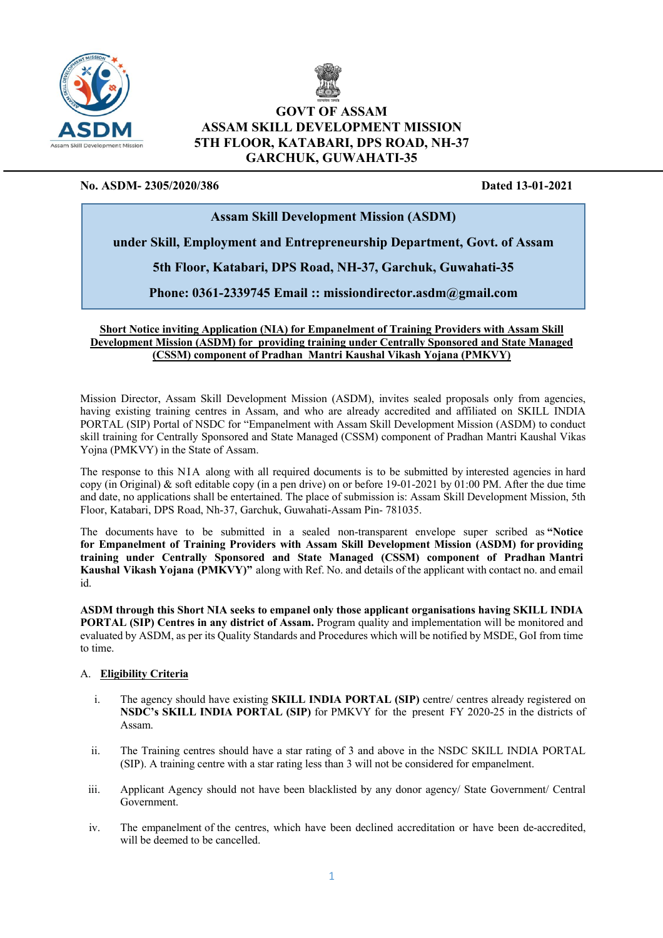



# **GOVT OF ASSAM ASSAM SKILL DEVELOPMENT MISSION 5TH FLOOR, KATABARI, DPS ROAD, NH-37 GARCHUK, GUWAHATI-35**

# **No. ASDM- 2305/2020/386 Dated 13-01-2021**

# **Assam Skill Development Mission (ASDM)**

# **under Skill, Employment and Entrepreneurship Department, Govt. of Assam**

**5th Floor, Katabari, DPS Road, NH-37, Garchuk, Guwahati-35**

**Phone: 0361-2339745 Email :: missiondirector.asdm@gmail.com**

# **Short Notice inviting Application (NIA) for Empanelment of Training Providers with Assam Skill and State Mayor Development Mission (ASDM) for providing training under Centrally Sponsored and State Managed (CSSM) component of Pradhan Mantri Kaushal Vikash Yojana (PMKVY)**

Mission Director, Assam Skill Development Mission (ASDM), invites sealed proposals only from agencies, having existing training centres in Assam, and who are already accredited and affiliated on SKILL INDIA PORTAL (SIP) Portal of NSDC for "Empanelment with Assam Skill Development Mission (ASDM) to conduct skill training for Centrally Sponsored and State Managed (CSSM) component of Pradhan Mantri Kaushal Vikas Yojna (PMKVY) in the State of Assam.

The response to this NIA along with all required documents is to be submitted by interested agencies in hard copy (in Original) & soft editable copy (in a pen drive) on or before 19-01-2021 by 01:00 PM. After the due time and date, no applications shall be entertained. The place of submission is: Assam Skill Development Mission, 5th Floor, Katabari, DPS Road, Nh-37, Garchuk, Guwahati-Assam Pin- 781035.

The documents have to be submitted in a sealed non-transparent envelope super scribed as **"Notice for Empanelment of Training Providers with Assam Skill Development Mission (ASDM) for providing training under Centrally Sponsored and State Managed (CSSM) component of Pradhan Mantri Kaushal Vikash Yojana (PMKVY)"** along with Ref. No. and details of the applicant with contact no. and email id.

**ASDM through this Short NIA seeks to empanel only those applicant organisations having SKILL INDIA PORTAL (SIP) Centres in any district of Assam.** Program quality and implementation will be monitored and evaluated by ASDM, as per its Quality Standards and Procedures which will be notified by MSDE, GoI from time to time.

# A. **Eligibility Criteria**

- i. The agency should have existing **SKILL INDIA PORTAL (SIP)** centre/ centres already registered on **NSDC's SKILL INDIA PORTAL (SIP)** for PMKVY for the present FY 2020-25 in the districts of Assam.
- ii. The Training centres should have a star rating of 3 and above in the NSDC SKILL INDIA PORTAL (SIP). A training centre with a star rating less than 3 will not be considered for empanelment.
- iii. Applicant Agency should not have been blacklisted by any donor agency/ State Government/ Central Government.
- iv. The empanelment of the centres, which have been declined accreditation or have been de-accredited, will be deemed to be cancelled.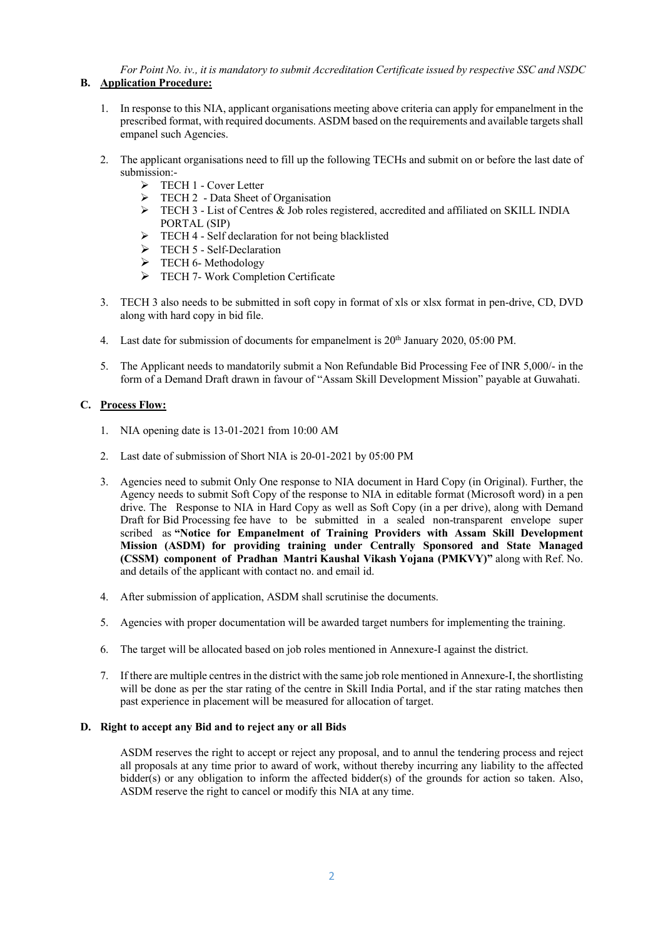*For Point No. iv., it is mandatory to submit Accreditation Certificate issued by respective SSC and NSDC* **B. Application Procedure:**

- 1. In response to this NIA, applicant organisations meeting above criteria can apply for empanelment in the prescribed format, with required documents. ASDM based on the requirements and available targets shall empanel such Agencies.
- 2. The applicant organisations need to fill up the following TECHs and submit on or before the last date of submission:-
	- Ø TECH 1 Cover Letter
	- $\triangleright$  TECH 2 Data Sheet of Organisation
	- Ø TECH 3 List of Centres & Job roles registered, accredited and affiliated on SKILL INDIA PORTAL (SIP)
	- $\triangleright$  TECH 4 Self declaration for not being blacklisted
	- Ø TECH 5 Self-Declaration
	- $\triangleright$  TECH 6- Methodology
	- Ø TECH 7- Work Completion Certificate
- 3. TECH 3 also needs to be submitted in soft copy in format of xls or xlsx format in pen-drive, CD, DVD along with hard copy in bid file.
- 4. Last date for submission of documents for empanelment is  $20<sup>th</sup>$  January 2020, 05:00 PM.
- 5. The Applicant needs to mandatorily submit a Non Refundable Bid Processing Fee of INR 5,000/- in the form of a Demand Draft drawn in favour of "Assam Skill Development Mission" payable at Guwahati.

## **C. Process Flow:**

- 1. NIA opening date is 13-01-2021 from 10:00 AM
- 2. Last date of submission of Short NIA is 20-01-2021 by 05:00 PM
- 3. Agencies need to submit Only One response to NIA document in Hard Copy (in Original). Further, the Agency needs to submit Soft Copy of the response to NIA in editable format (Microsoft word) in a pen drive. The Response to NIA in Hard Copy as well as Soft Copy (in a per drive), along with Demand Draft for Bid Processing fee have to be submitted in a sealed non-transparent envelope super scribed as **"Notice for Empanelment of Training Providers with Assam Skill Development Mission (ASDM) for providing training under Centrally Sponsored and State Managed (CSSM) component of Pradhan Mantri Kaushal Vikash Yojana (PMKVY)"** along with Ref. No. and details of the applicant with contact no. and email id.
- 4. After submission of application, ASDM shall scrutinise the documents.
- 5. Agencies with proper documentation will be awarded target numbers for implementing the training.
- 6. The target will be allocated based on job roles mentioned in Annexure-I against the district.
- 7. If there are multiple centresin the district with the same job role mentioned in Annexure-I, the shortlisting will be done as per the star rating of the centre in Skill India Portal, and if the star rating matches then past experience in placement will be measured for allocation of target.

# **D. Right to accept any Bid and to reject any or all Bids**

ASDM reserves the right to accept or reject any proposal, and to annul the tendering process and reject all proposals at any time prior to award of work, without thereby incurring any liability to the affected bidder(s) or any obligation to inform the affected bidder(s) of the grounds for action so taken. Also, ASDM reserve the right to cancel or modify this NIA at any time.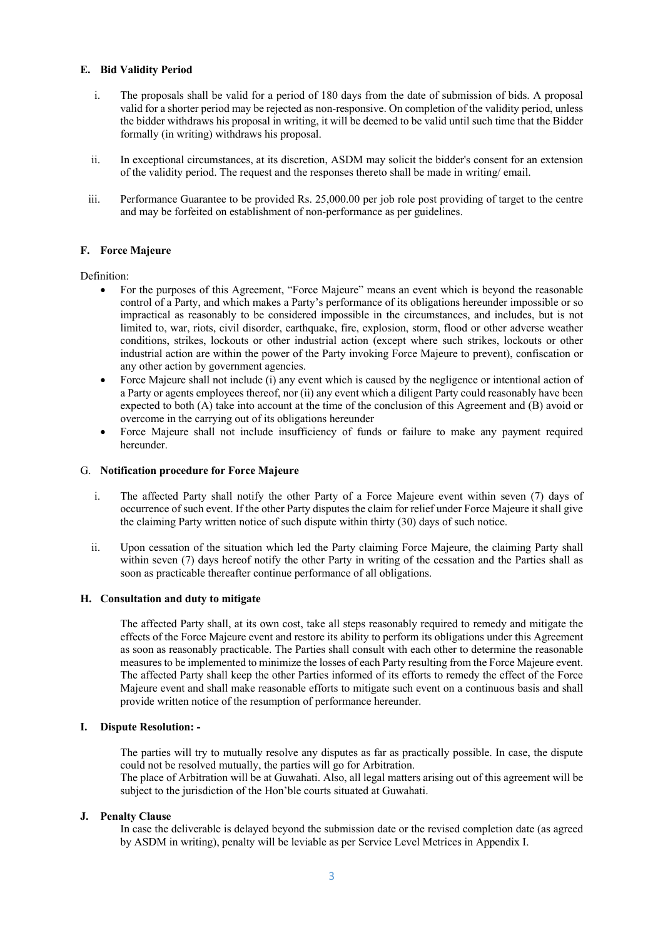## **E. Bid Validity Period**

- i. The proposals shall be valid for a period of 180 days from the date of submission of bids. A proposal valid for a shorter period may be rejected as non-responsive. On completion of the validity period, unless the bidder withdraws his proposal in writing, it will be deemed to be valid until such time that the Bidder formally (in writing) withdraws his proposal.
- ii. In exceptional circumstances, at its discretion, ASDM may solicit the bidder's consent for an extension of the validity period. The request and the responses thereto shall be made in writing/ email.
- iii. Performance Guarantee to be provided Rs. 25,000.00 per job role post providing of target to the centre and may be forfeited on establishment of non-performance as per guidelines.

### **F. Force Majeure**

Definition:

- For the purposes of this Agreement, "Force Majeure" means an event which is beyond the reasonable control of a Party, and which makes a Party's performance of its obligations hereunder impossible or so impractical as reasonably to be considered impossible in the circumstances, and includes, but is not limited to, war, riots, civil disorder, earthquake, fire, explosion, storm, flood or other adverse weather conditions, strikes, lockouts or other industrial action (except where such strikes, lockouts or other industrial action are within the power of the Party invoking Force Majeure to prevent), confiscation or any other action by government agencies.
- Force Majeure shall not include (i) any event which is caused by the negligence or intentional action of a Party or agents employees thereof, nor (ii) any event which a diligent Party could reasonably have been expected to both (A) take into account at the time of the conclusion of this Agreement and (B) avoid or overcome in the carrying out of its obligations hereunder
- Force Majeure shall not include insufficiency of funds or failure to make any payment required hereunder.

#### G. **Notification procedure for Force Majeure**

- i. The affected Party shall notify the other Party of a Force Majeure event within seven (7) days of occurrence of such event. If the other Party disputes the claim for relief under Force Majeure it shall give the claiming Party written notice of such dispute within thirty (30) days of such notice.
- ii. Upon cessation of the situation which led the Party claiming Force Majeure, the claiming Party shall within seven (7) days hereof notify the other Party in writing of the cessation and the Parties shall as soon as practicable thereafter continue performance of all obligations.

### **H. Consultation and duty to mitigate**

The affected Party shall, at its own cost, take all steps reasonably required to remedy and mitigate the effects of the Force Majeure event and restore its ability to perform its obligations under this Agreement as soon as reasonably practicable. The Parties shall consult with each other to determine the reasonable measures to be implemented to minimize the losses of each Party resulting from the Force Majeure event. The affected Party shall keep the other Parties informed of its efforts to remedy the effect of the Force Majeure event and shall make reasonable efforts to mitigate such event on a continuous basis and shall provide written notice of the resumption of performance hereunder.

## **I. Dispute Resolution: -**

The parties will try to mutually resolve any disputes as far as practically possible. In case, the dispute could not be resolved mutually, the parties will go for Arbitration.

The place of Arbitration will be at Guwahati. Also, all legal matters arising out of this agreement will be subject to the jurisdiction of the Hon'ble courts situated at Guwahati.

#### **J. Penalty Clause**

In case the deliverable is delayed beyond the submission date or the revised completion date (as agreed by ASDM in writing), penalty will be leviable as per Service Level Metrices in Appendix I.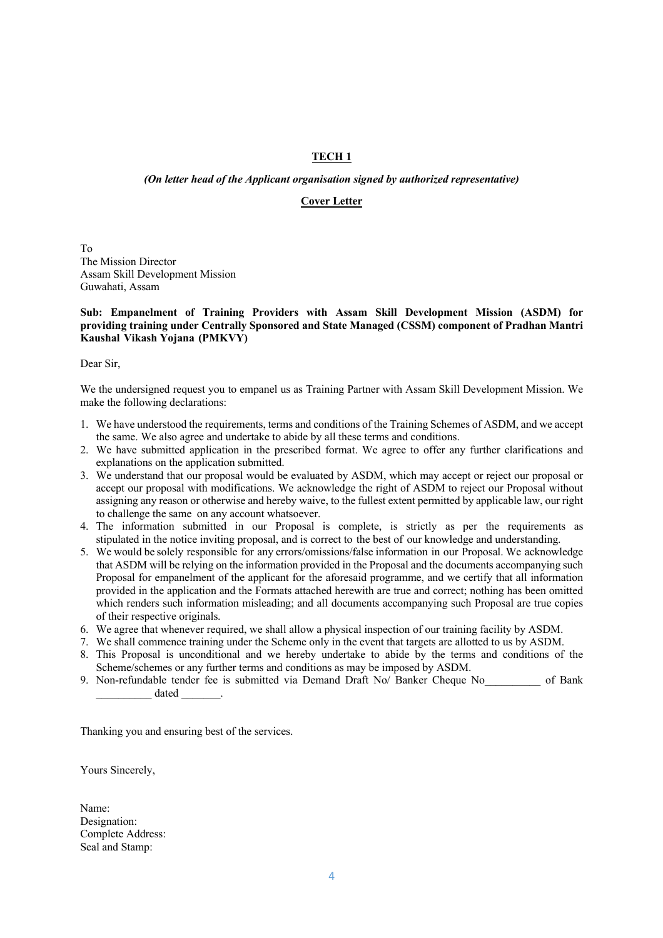# **TECH 1**

## *(On letter head of the Applicant organisation signed by authorized representative)*

## **Cover Letter**

To The Mission Director Assam Skill Development Mission Guwahati, Assam

### **Sub: Empanelment of Training Providers with Assam Skill Development Mission (ASDM) for providing training under Centrally Sponsored and State Managed (CSSM) component of Pradhan Mantri Kaushal Vikash Yojana (PMKVY)**

Dear Sir,

We the undersigned request you to empanel us as Training Partner with Assam Skill Development Mission. We make the following declarations:

- 1. We have understood the requirements, terms and conditions of the Training Schemes of ASDM, and we accept the same. We also agree and undertake to abide by all these terms and conditions.
- 2. We have submitted application in the prescribed format. We agree to offer any further clarifications and explanations on the application submitted.
- 3. We understand that our proposal would be evaluated by ASDM, which may accept or reject our proposal or accept our proposal with modifications. We acknowledge the right of ASDM to reject our Proposal without assigning any reason or otherwise and hereby waive, to the fullest extent permitted by applicable law, our right to challenge the same on any account whatsoever.
- 4. The information submitted in our Proposal is complete, is strictly as per the requirements as stipulated in the notice inviting proposal, and is correct to the best of our knowledge and understanding.
- 5. We would be solely responsible for any errors/omissions/false information in our Proposal. We acknowledge that ASDM will be relying on the information provided in the Proposal and the documents accompanying such Proposal for empanelment of the applicant for the aforesaid programme, and we certify that all information provided in the application and the Formats attached herewith are true and correct; nothing has been omitted which renders such information misleading; and all documents accompanying such Proposal are true copies of their respective originals.
- 6. We agree that whenever required, we shall allow a physical inspection of our training facility by ASDM.
- 7. We shall commence training under the Scheme only in the event that targets are allotted to us by ASDM.
- 8. This Proposal is unconditional and we hereby undertake to abide by the terms and conditions of the Scheme/schemes or any further terms and conditions as may be imposed by ASDM.
- 9. Non-refundable tender fee is submitted via Demand Draft No/ Banker Cheque No cof Bank  $\qquad \qquad \text{dated}$

Thanking you and ensuring best of the services.

Yours Sincerely,

Name: Designation: Complete Address: Seal and Stamp: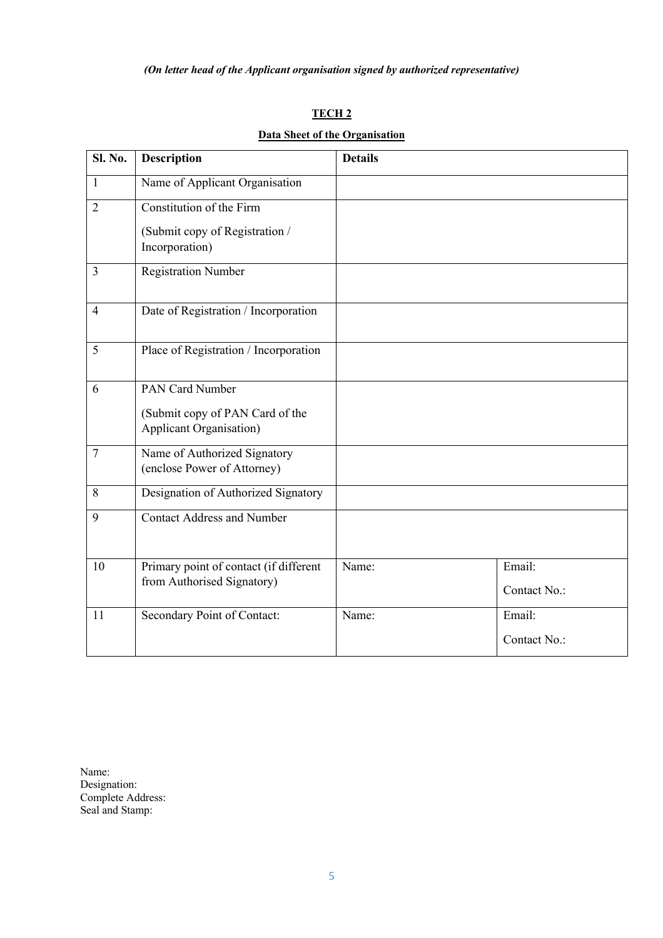# **TECH 2**

# **Data Sheet of the Organisation**

| Sl. No.        | <b>Description</b>                                                 | <b>Details</b> |              |
|----------------|--------------------------------------------------------------------|----------------|--------------|
| 1              | Name of Applicant Organisation                                     |                |              |
| $\overline{2}$ | Constitution of the Firm                                           |                |              |
|                | (Submit copy of Registration /<br>Incorporation)                   |                |              |
| 3              | <b>Registration Number</b>                                         |                |              |
| $\overline{4}$ | Date of Registration / Incorporation                               |                |              |
| 5              | Place of Registration / Incorporation                              |                |              |
| 6              | PAN Card Number                                                    |                |              |
|                | (Submit copy of PAN Card of the<br><b>Applicant Organisation</b> ) |                |              |
| $\overline{7}$ | Name of Authorized Signatory<br>(enclose Power of Attorney)        |                |              |
| 8              | Designation of Authorized Signatory                                |                |              |
| 9              | <b>Contact Address and Number</b>                                  |                |              |
| 10             | Primary point of contact (if different                             | Name:          | Email:       |
|                | from Authorised Signatory)                                         |                | Contact No.: |
| 11             | Secondary Point of Contact:                                        | Name:          | Email:       |
|                |                                                                    |                | Contact No.: |

Name: Designation: Complete Address: Seal and Stamp: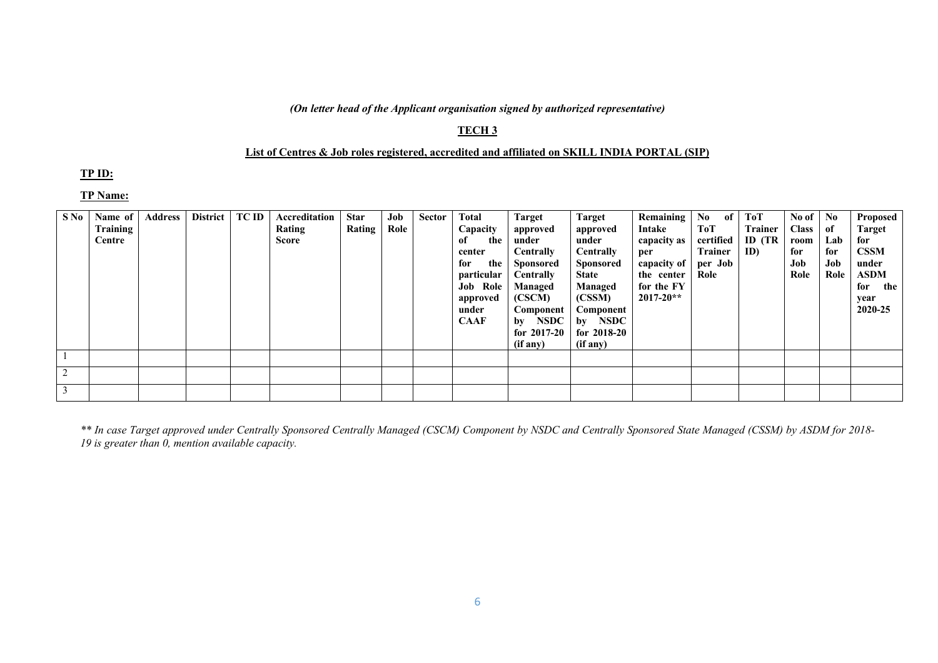# *(On letter head of the Applicant organisation signed by authorized representative)*

# **TECH 3**

## **List of Centres & Job roles registered, accredited and affiliated on SKILL INDIA PORTAL (SIP)**

# **TP ID:**

# **TP Name:**

| S No | Name of<br>Training<br>Centre | <b>Address</b> | <b>District</b> | <b>TC ID</b> | Accreditation<br>Rating<br>Score | <b>Star</b><br>Rating | Job<br>Role | Sector | Total<br>Capacity<br>the<br>of<br>center<br>the<br>for<br>particular<br><b>Job Role</b><br>approved<br>under<br><b>CAAF</b> | Target<br>approved<br>under<br><b>Centrally</b><br><b>Sponsored</b><br>Centrally<br>Managed<br>(CSCM)<br>Component<br>by NSDC | Target<br>approved<br>under<br><b>Centrally</b><br><b>Sponsored</b><br><b>State</b><br>Managed<br>(CSSM)<br>Component<br>by NSDC | <b>Remaining</b><br>Intake<br>capacity as<br>per<br>capacity of<br>the center<br>for the FY<br>$2017 - 20**$ | No<br>of<br>ToT<br>certified<br><b>Trainer</b><br>per Job<br>Role | ToT<br><b>Trainer</b><br>ID (TR<br>ID | No of<br><b>Class</b><br>room<br>for<br>Job<br>Role | N <sub>0</sub><br>of<br>Lab<br>for<br>Job<br>Role | Proposed<br><b>Target</b><br>for<br><b>CSSM</b><br>under<br><b>ASDM</b><br>for<br>the<br>year<br>2020-25 |
|------|-------------------------------|----------------|-----------------|--------------|----------------------------------|-----------------------|-------------|--------|-----------------------------------------------------------------------------------------------------------------------------|-------------------------------------------------------------------------------------------------------------------------------|----------------------------------------------------------------------------------------------------------------------------------|--------------------------------------------------------------------------------------------------------------|-------------------------------------------------------------------|---------------------------------------|-----------------------------------------------------|---------------------------------------------------|----------------------------------------------------------------------------------------------------------|
|      |                               |                |                 |              |                                  |                       |             |        |                                                                                                                             | for $2017-20$<br>(if any)                                                                                                     | for $2018-20$<br>(if any)                                                                                                        |                                                                                                              |                                                                   |                                       |                                                     |                                                   |                                                                                                          |
|      |                               |                |                 |              |                                  |                       |             |        |                                                                                                                             |                                                                                                                               |                                                                                                                                  |                                                                                                              |                                                                   |                                       |                                                     |                                                   |                                                                                                          |
|      |                               |                |                 |              |                                  |                       |             |        |                                                                                                                             |                                                                                                                               |                                                                                                                                  |                                                                                                              |                                                                   |                                       |                                                     |                                                   |                                                                                                          |
|      |                               |                |                 |              |                                  |                       |             |        |                                                                                                                             |                                                                                                                               |                                                                                                                                  |                                                                                                              |                                                                   |                                       |                                                     |                                                   |                                                                                                          |

*\*\* In case Target approved under Centrally Sponsored Centrally Managed (CSCM) Component by NSDC and Centrally Sponsored State Managed (CSSM) by ASDM for 2018- 19 is greater than 0, mention available capacity.*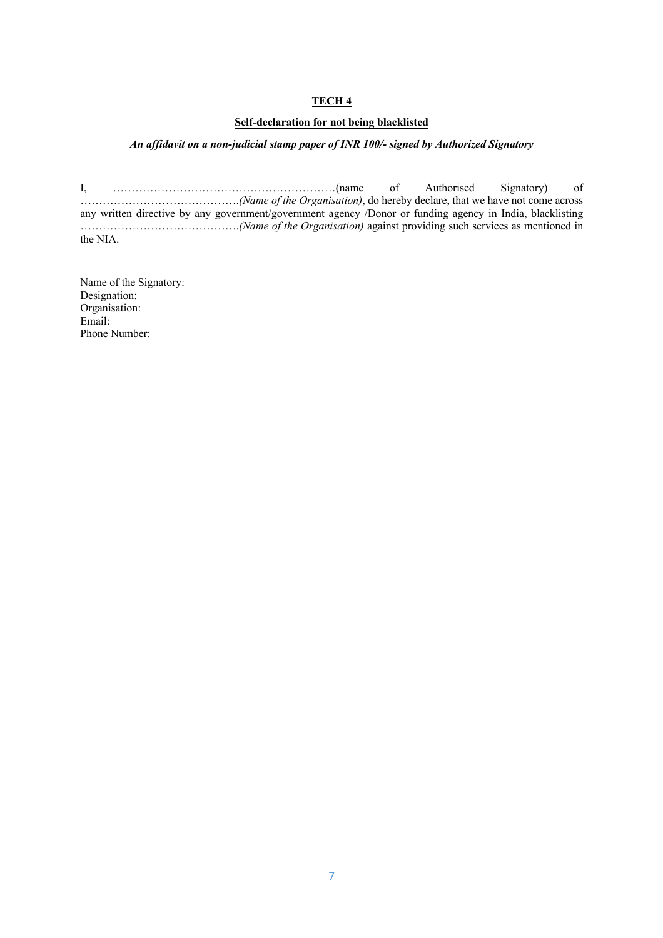# **TECH 4**

# **Self-declaration for not being blacklisted**

# *An affidavit on a non-judicial stamp paper of INR 100/- signed by Authorized Signatory*

I, ……………………………………………………(name of Authorised Signatory) of …………………………………….*(Name of the Organisation)*, do hereby declare, that we have not come across any written directive by any government/government agency /Donor or funding agency in India, blacklisting …………………………………….*(Name of the Organisation)* against providing such services as mentioned in the NIA.

Name of the Signatory: Designation: Organisation: Email: Phone Number: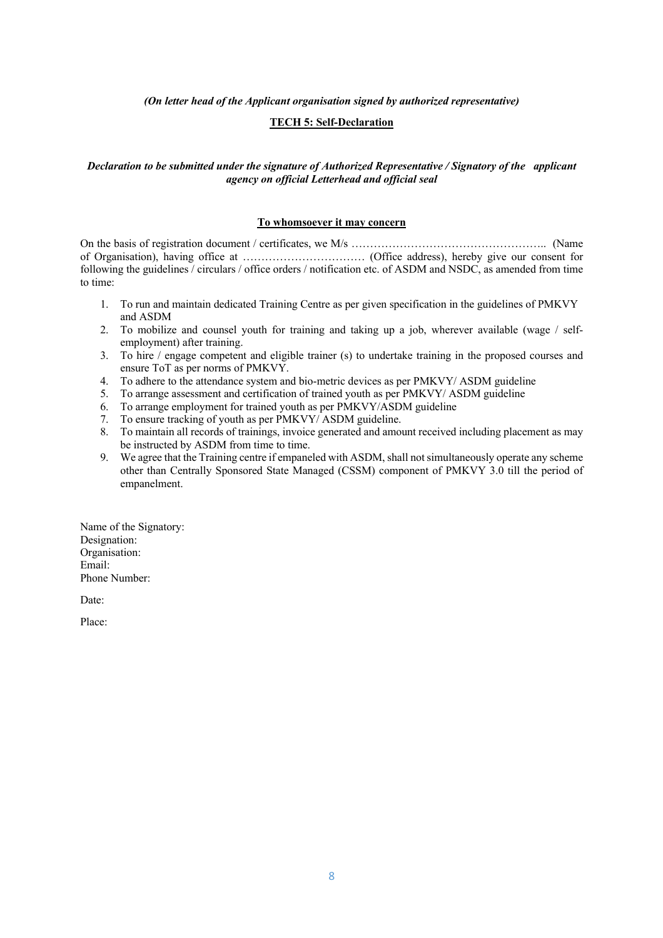*(On letter head of the Applicant organisation signed by authorized representative)*

## **TECH 5: Self-Declaration**

## *Declaration to be submitted under the signature of Authorized Representative / Signatory of the applicant agency on official Letterhead and official seal*

#### **To whomsoever it may concern**

On the basis of registration document / certificates, we M/s …………………………………………….. (Name of Organisation), having office at …………………………… (Office address), hereby give our consent for following the guidelines / circulars / office orders / notification etc. of ASDM and NSDC, as amended from time to time:

- 1. To run and maintain dedicated Training Centre as per given specification in the guidelines of PMKVY and ASDM
- 2. To mobilize and counsel youth for training and taking up a job, wherever available (wage / selfemployment) after training.
- 3. To hire / engage competent and eligible trainer (s) to undertake training in the proposed courses and ensure ToT as per norms of PMKVY.
- 4. To adhere to the attendance system and bio-metric devices as per PMKVY/ ASDM guideline
- 5. To arrange assessment and certification of trained youth as per PMKVY/ ASDM guideline 5. To arrange assessment and certification of trained youth as per PMKVY/AS<br>6. To arrange employment for trained youth as per PMKVY/ASDM guideline
- 
- 7. To ensure tracking of youth as per PMKVY/ ASDM guideline.
- 8. To maintain all records of trainings, invoice generated and amount received including placement as may be instructed by ASDM from time to time.
- 9. We agree that the Training centre if empaneled with ASDM, shall not simultaneously operate any scheme other than Centrally Sponsored State Managed (CSSM) component of PMKVY 3.0 till the period of empanelment.

Name of the Signatory: Designation: Organisation: Email: Phone Number:

Date:

Place: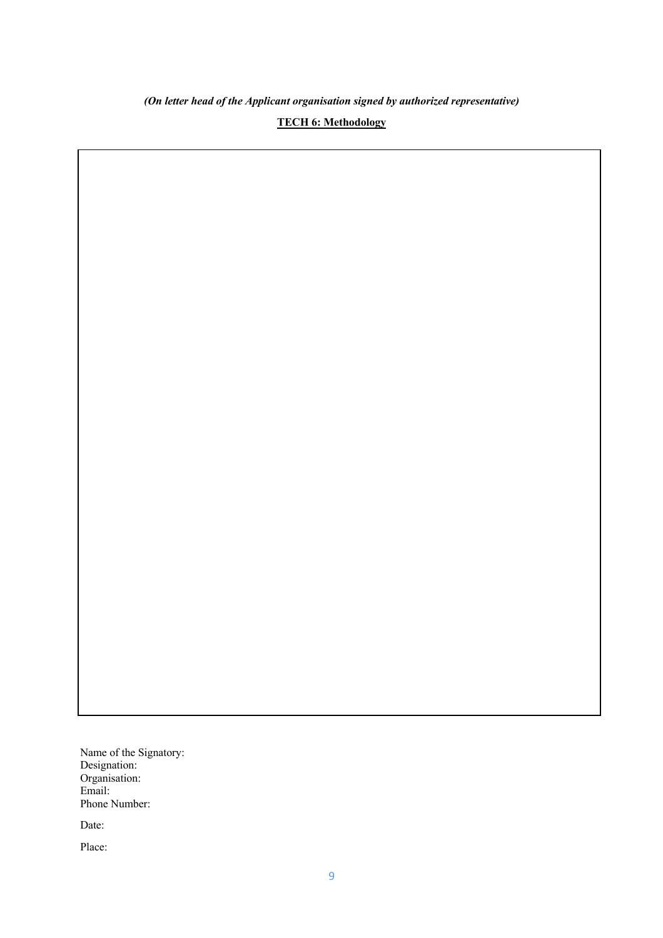*(On letter head of the Applicant organisation signed by authorized representative)*

**TECH 6: Methodology**

Name of the Signatory: Designation: Organisation: Email: Phone Number:

Date:

Place: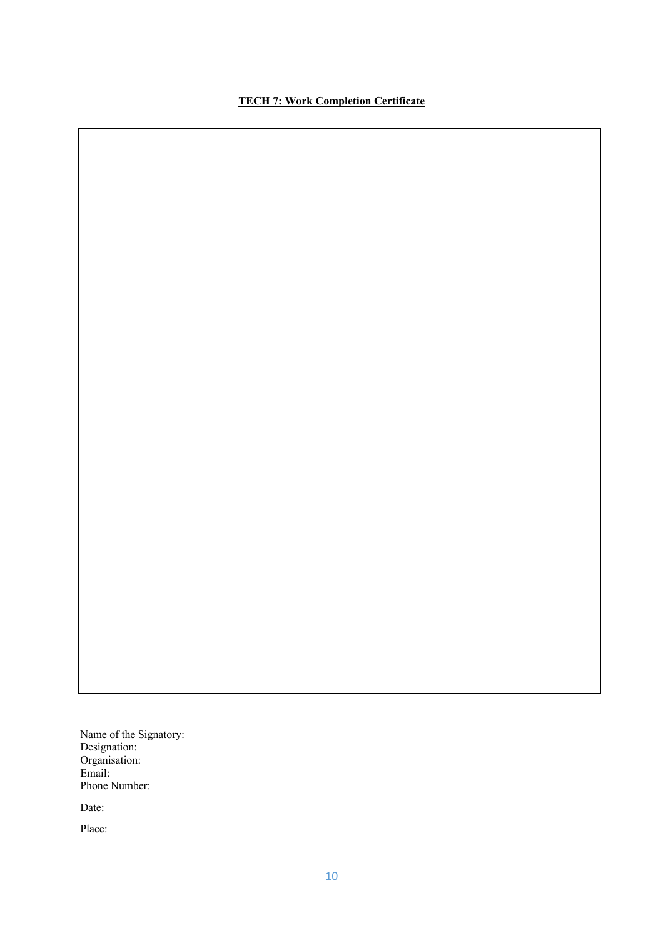# **TECH 7: Work Completion Certificate**

Name of the Signatory: Designation: Organisation: Email: Phone Number:

Date:

Place: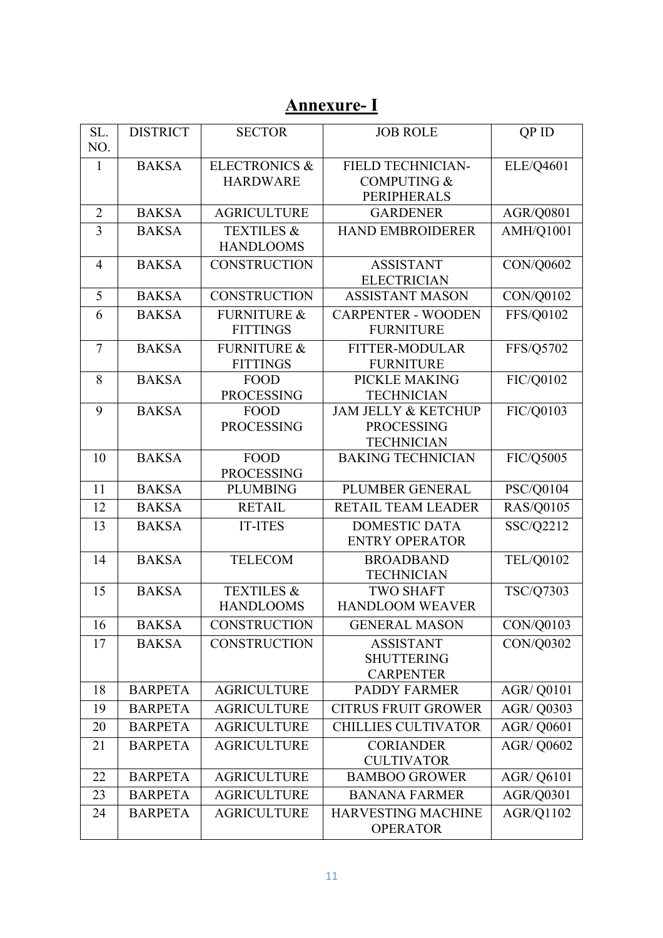# **Annexure- I**

| SL.<br>NO.     | <b>DISTRICT</b> | <b>SECTOR</b>                               | <b>JOB ROLE</b>                                     | QP ID             |
|----------------|-----------------|---------------------------------------------|-----------------------------------------------------|-------------------|
|                |                 |                                             |                                                     |                   |
| $\mathbf{1}$   | <b>BAKSA</b>    | <b>ELECTRONICS &amp;</b><br><b>HARDWARE</b> | <b>FIELD TECHNICIAN-</b><br><b>COMPUTING &amp;</b>  | ELE/Q4601         |
|                |                 |                                             | <b>PERIPHERALS</b>                                  |                   |
| $\overline{2}$ | <b>BAKSA</b>    | <b>AGRICULTURE</b>                          | <b>GARDENER</b>                                     | <b>AGR/Q0801</b>  |
| 3              | <b>BAKSA</b>    | <b>TEXTILES &amp;</b>                       | <b>HAND EMBROIDERER</b>                             | AMH/Q1001         |
|                |                 | <b>HANDLOOMS</b>                            |                                                     |                   |
| 4              | <b>BAKSA</b>    | <b>CONSTRUCTION</b>                         | <b>ASSISTANT</b>                                    | CON/Q0602         |
|                |                 |                                             | <b>ELECTRICIAN</b>                                  |                   |
| 5              | <b>BAKSA</b>    | <b>CONSTRUCTION</b>                         | <b>ASSISTANT MASON</b>                              | CON/Q0102         |
| 6              | <b>BAKSA</b>    | <b>FURNITURE &amp;</b>                      | <b>CARPENTER - WOODEN</b>                           | FFS/Q0102         |
|                |                 | <b>FITTINGS</b>                             | <b>FURNITURE</b>                                    |                   |
| 7              | <b>BAKSA</b>    | <b>FURNITURE &amp;</b>                      | <b>FITTER-MODULAR</b>                               | FFS/Q5702         |
|                |                 | <b>FITTINGS</b>                             | <b>FURNITURE</b>                                    |                   |
| 8              | <b>BAKSA</b>    | <b>FOOD</b>                                 | PICKLE MAKING                                       | FIC/Q0102         |
|                |                 | <b>PROCESSING</b>                           | <b>TECHNICIAN</b>                                   |                   |
| 9              | <b>BAKSA</b>    | <b>FOOD</b><br><b>PROCESSING</b>            | <b>JAM JELLY &amp; KETCHUP</b><br><b>PROCESSING</b> | FIC/Q0103         |
|                |                 |                                             | <b>TECHNICIAN</b>                                   |                   |
| 10             | <b>BAKSA</b>    | FOOD                                        | <b>BAKING TECHNICIAN</b>                            | FIC/Q5005         |
|                |                 | <b>PROCESSING</b>                           |                                                     |                   |
| 11             | <b>BAKSA</b>    | <b>PLUMBING</b>                             | PLUMBER GENERAL                                     | PSC/Q0104         |
| 12             | <b>BAKSA</b>    | <b>RETAIL</b>                               | RETAIL TEAM LEADER                                  | <b>RAS/Q0105</b>  |
| 13             | <b>BAKSA</b>    | <b>IT-ITES</b>                              | <b>DOMESTIC DATA</b>                                | SSC/Q2212         |
|                |                 |                                             | <b>ENTRY OPERATOR</b>                               |                   |
| 14             | <b>BAKSA</b>    | <b>TELECOM</b>                              | <b>BROADBAND</b>                                    | <b>TEL/Q0102</b>  |
|                | <b>BAKSA</b>    |                                             | <b>TECHNICIAN</b>                                   |                   |
| 15             |                 | <b>TEXTILES &amp;</b><br><b>HANDLOOMS</b>   | <b>TWO SHAFT</b><br><b>HANDLOOM WEAVER</b>          | TSC/Q7303         |
| 16             | <b>BAKSA</b>    | <b>CONSTRUCTION</b>                         | <b>GENERAL MASON</b>                                |                   |
|                |                 |                                             |                                                     | CON/Q0103         |
| 17             | <b>BAKSA</b>    | <b>CONSTRUCTION</b>                         | <b>ASSISTANT</b><br><b>SHUTTERING</b>               | CON/Q0302         |
|                |                 |                                             | <b>CARPENTER</b>                                    |                   |
| 18             | <b>BARPETA</b>  | <b>AGRICULTURE</b>                          | <b>PADDY FARMER</b>                                 | <b>AGR/ Q0101</b> |
| 19             | <b>BARPETA</b>  | <b>AGRICULTURE</b>                          | <b>CITRUS FRUIT GROWER</b>                          | <b>AGR/ Q0303</b> |
| 20             | <b>BARPETA</b>  | <b>AGRICULTURE</b>                          | <b>CHILLIES CULTIVATOR</b>                          | <b>AGR/ Q0601</b> |
| 21             | <b>BARPETA</b>  | <b>AGRICULTURE</b>                          | <b>CORIANDER</b>                                    | <b>AGR/ Q0602</b> |
|                |                 |                                             | <b>CULTIVATOR</b>                                   |                   |
| 22             | <b>BARPETA</b>  | <b>AGRICULTURE</b>                          | <b>BAMBOO GROWER</b>                                | <b>AGR/ Q6101</b> |
| 23             | <b>BARPETA</b>  | <b>AGRICULTURE</b>                          | <b>BANANA FARMER</b>                                | AGR/Q0301         |
| 24             | <b>BARPETA</b>  | <b>AGRICULTURE</b>                          | <b>HARVESTING MACHINE</b>                           | AGR/Q1102         |
|                |                 |                                             | <b>OPERATOR</b>                                     |                   |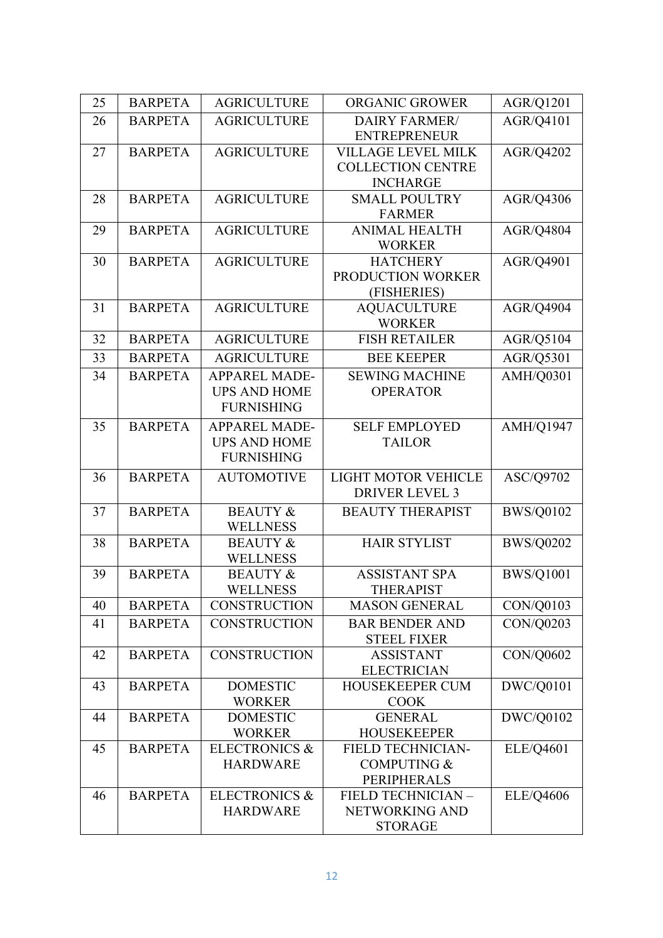| 25 | <b>BARPETA</b> | <b>AGRICULTURE</b>       | ORGANIC GROWER                      | AGR/Q1201        |
|----|----------------|--------------------------|-------------------------------------|------------------|
| 26 | <b>BARPETA</b> | <b>AGRICULTURE</b>       | <b>DAIRY FARMER/</b>                | AGR/Q4101        |
|    |                |                          | <b>ENTREPRENEUR</b>                 |                  |
| 27 | <b>BARPETA</b> | <b>AGRICULTURE</b>       | <b>VILLAGE LEVEL MILK</b>           | AGR/Q4202        |
|    |                |                          | <b>COLLECTION CENTRE</b>            |                  |
|    |                |                          | <b>INCHARGE</b>                     |                  |
| 28 | <b>BARPETA</b> | <b>AGRICULTURE</b>       | <b>SMALL POULTRY</b>                | AGR/Q4306        |
|    |                |                          | <b>FARMER</b>                       |                  |
| 29 | <b>BARPETA</b> | <b>AGRICULTURE</b>       | <b>ANIMAL HEALTH</b>                | AGR/Q4804        |
|    |                |                          | <b>WORKER</b>                       |                  |
| 30 | <b>BARPETA</b> | <b>AGRICULTURE</b>       | <b>HATCHERY</b>                     | AGR/Q4901        |
|    |                |                          | PRODUCTION WORKER                   |                  |
|    |                |                          | (FISHERIES)                         |                  |
| 31 | <b>BARPETA</b> | <b>AGRICULTURE</b>       | <b>AQUACULTURE</b><br><b>WORKER</b> | AGR/Q4904        |
| 32 | <b>BARPETA</b> | <b>AGRICULTURE</b>       | <b>FISH RETAILER</b>                | AGR/Q5104        |
|    |                |                          |                                     |                  |
| 33 | <b>BARPETA</b> | <b>AGRICULTURE</b>       | <b>BEE KEEPER</b>                   | AGR/Q5301        |
| 34 | <b>BARPETA</b> | <b>APPAREL MADE-</b>     | <b>SEWING MACHINE</b>               | AMH/Q0301        |
|    |                | <b>UPS AND HOME</b>      | <b>OPERATOR</b>                     |                  |
|    |                | <b>FURNISHING</b>        |                                     |                  |
| 35 | <b>BARPETA</b> | <b>APPAREL MADE-</b>     | <b>SELF EMPLOYED</b>                | <b>AMH/Q1947</b> |
|    |                | <b>UPS AND HOME</b>      | <b>TAILOR</b>                       |                  |
|    |                | <b>FURNISHING</b>        |                                     |                  |
| 36 | <b>BARPETA</b> | <b>AUTOMOTIVE</b>        | LIGHT MOTOR VEHICLE                 | ASC/Q9702        |
|    |                |                          | <b>DRIVER LEVEL 3</b>               |                  |
| 37 | <b>BARPETA</b> | <b>BEAUTY &amp;</b>      | <b>BEAUTY THERAPIST</b>             | <b>BWS/Q0102</b> |
|    |                | <b>WELLNESS</b>          |                                     |                  |
| 38 | <b>BARPETA</b> | <b>BEAUTY &amp;</b>      | <b>HAIR STYLIST</b>                 | <b>BWS/Q0202</b> |
|    |                | <b>WELLNESS</b>          |                                     |                  |
| 39 | <b>BARPETA</b> | <b>BEAUTY &amp;</b>      | <b>ASSISTANT SPA</b>                | <b>BWS/Q1001</b> |
|    |                | WELLNESS                 | <b>THERAPIST</b>                    |                  |
| 40 | <b>BARPETA</b> | <b>CONSTRUCTION</b>      | <b>MASON GENERAL</b>                | CON/Q0103        |
| 41 | <b>BARPETA</b> | <b>CONSTRUCTION</b>      | <b>BAR BENDER AND</b>               | CON/Q0203        |
|    |                |                          | <b>STEEL FIXER</b>                  |                  |
| 42 | <b>BARPETA</b> | <b>CONSTRUCTION</b>      | <b>ASSISTANT</b>                    | CON/Q0602        |
|    |                |                          | <b>ELECTRICIAN</b>                  |                  |
| 43 | <b>BARPETA</b> | <b>DOMESTIC</b>          | <b>HOUSEKEEPER CUM</b>              | DWC/Q0101        |
|    |                | <b>WORKER</b>            | <b>COOK</b>                         |                  |
| 44 | <b>BARPETA</b> | <b>DOMESTIC</b>          | <b>GENERAL</b>                      | DWC/Q0102        |
|    |                | <b>WORKER</b>            | <b>HOUSEKEEPER</b>                  |                  |
| 45 | <b>BARPETA</b> | <b>ELECTRONICS &amp;</b> | <b>FIELD TECHNICIAN-</b>            | ELE/Q4601        |
|    |                | <b>HARDWARE</b>          | <b>COMPUTING &amp;</b>              |                  |
|    |                |                          | PERIPHERALS                         |                  |
| 46 | <b>BARPETA</b> | <b>ELECTRONICS &amp;</b> | FIELD TECHNICIAN -                  | <b>ELE/Q4606</b> |
|    |                | <b>HARDWARE</b>          | NETWORKING AND                      |                  |
|    |                |                          | <b>STORAGE</b>                      |                  |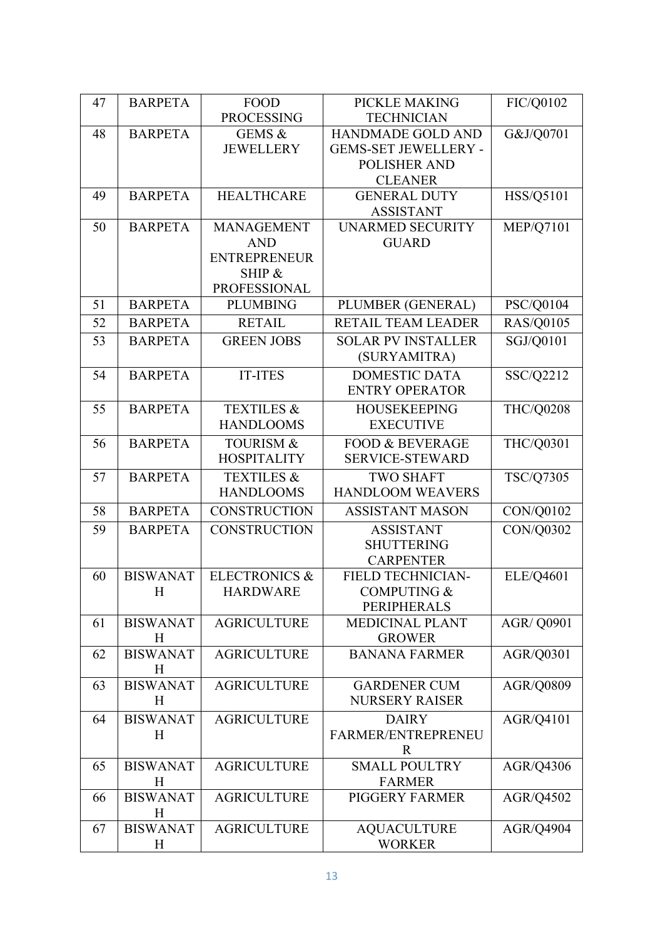| 47 | <b>BARPETA</b>       | <b>FOOD</b>              | PICKLE MAKING                                | FIC/Q0102         |
|----|----------------------|--------------------------|----------------------------------------------|-------------------|
|    |                      | <b>PROCESSING</b>        | <b>TECHNICIAN</b>                            |                   |
| 48 | <b>BARPETA</b>       | GEMS &                   | <b>HANDMADE GOLD AND</b>                     | G&J/Q0701         |
|    |                      | <b>JEWELLERY</b>         | <b>GEMS-SET JEWELLERY -</b>                  |                   |
|    |                      |                          | <b>POLISHER AND</b>                          |                   |
|    |                      |                          | <b>CLEANER</b>                               |                   |
| 49 | <b>BARPETA</b>       | <b>HEALTHCARE</b>        | <b>GENERAL DUTY</b>                          | HSS/Q5101         |
|    |                      |                          | <b>ASSISTANT</b>                             |                   |
| 50 | <b>BARPETA</b>       | <b>MANAGEMENT</b>        | <b>UNARMED SECURITY</b>                      | <b>MEP/Q7101</b>  |
|    |                      | <b>AND</b>               | <b>GUARD</b>                                 |                   |
|    |                      | <b>ENTREPRENEUR</b>      |                                              |                   |
|    |                      | SHIP &                   |                                              |                   |
|    |                      | <b>PROFESSIONAL</b>      |                                              |                   |
| 51 | <b>BARPETA</b>       | <b>PLUMBING</b>          | PLUMBER (GENERAL)                            | PSC/Q0104         |
| 52 | <b>BARPETA</b>       | <b>RETAIL</b>            | RETAIL TEAM LEADER                           | <b>RAS/Q0105</b>  |
| 53 | <b>BARPETA</b>       | <b>GREEN JOBS</b>        | <b>SOLAR PV INSTALLER</b>                    | SGJ/Q0101         |
|    |                      |                          | (SURYAMITRA)                                 |                   |
| 54 | <b>BARPETA</b>       | <b>IT-ITES</b>           | <b>DOMESTIC DATA</b>                         | SSC/Q2212         |
|    |                      |                          | <b>ENTRY OPERATOR</b>                        |                   |
| 55 | <b>BARPETA</b>       | <b>TEXTILES &amp;</b>    | <b>HOUSEKEEPING</b>                          | <b>THC/Q0208</b>  |
|    |                      | <b>HANDLOOMS</b>         | <b>EXECUTIVE</b>                             |                   |
| 56 | <b>BARPETA</b>       | <b>TOURISM &amp;</b>     | <b>FOOD &amp; BEVERAGE</b>                   | THC/Q0301         |
|    |                      | <b>HOSPITALITY</b>       | <b>SERVICE-STEWARD</b>                       |                   |
| 57 | <b>BARPETA</b>       | <b>TEXTILES &amp;</b>    | <b>TWO SHAFT</b>                             | TSC/Q7305         |
|    |                      | <b>HANDLOOMS</b>         | <b>HANDLOOM WEAVERS</b>                      |                   |
| 58 | <b>BARPETA</b>       | <b>CONSTRUCTION</b>      | <b>ASSISTANT MASON</b>                       | CON/Q0102         |
| 59 | <b>BARPETA</b>       | <b>CONSTRUCTION</b>      | <b>ASSISTANT</b>                             | CON/Q0302         |
|    |                      |                          | <b>SHUTTERING</b>                            |                   |
|    |                      |                          | <b>CARPENTER</b>                             |                   |
| 60 | <b>BISWANAT</b>      | <b>ELECTRONICS &amp;</b> | <b>FIELD TECHNICIAN-</b>                     | ELE/Q4601         |
|    | $H_{\rm}$            | <b>HARDWARE</b>          | <b>COMPUTING &amp;</b>                       |                   |
|    |                      |                          | <b>PERIPHERALS</b>                           |                   |
| 61 | <b>BISWANAT</b>      | <b>AGRICULTURE</b>       | <b>MEDICINAL PLANT</b>                       | <b>AGR/ Q0901</b> |
|    | H                    |                          | <b>GROWER</b>                                |                   |
| 62 | <b>BISWANAT</b>      | <b>AGRICULTURE</b>       | <b>BANANA FARMER</b>                         | AGR/Q0301         |
|    | Η<br><b>BISWANAT</b> |                          |                                              |                   |
| 63 | Η                    | <b>AGRICULTURE</b>       | <b>GARDENER CUM</b><br><b>NURSERY RAISER</b> | AGR/Q0809         |
|    |                      |                          |                                              |                   |
| 64 | <b>BISWANAT</b>      | <b>AGRICULTURE</b>       | <b>DAIRY</b>                                 | AGR/Q4101         |
|    | H                    |                          | FARMER/ENTREPRENEU                           |                   |
| 65 |                      |                          | $\mathbf R$                                  |                   |
|    | <b>BISWANAT</b><br>Η | <b>AGRICULTURE</b>       | <b>SMALL POULTRY</b><br><b>FARMER</b>        | AGR/Q4306         |
| 66 | <b>BISWANAT</b>      | <b>AGRICULTURE</b>       | PIGGERY FARMER                               | AGR/Q4502         |
|    | H                    |                          |                                              |                   |
| 67 | <b>BISWANAT</b>      | <b>AGRICULTURE</b>       | <b>AQUACULTURE</b>                           | AGR/Q4904         |
|    | H                    |                          | <b>WORKER</b>                                |                   |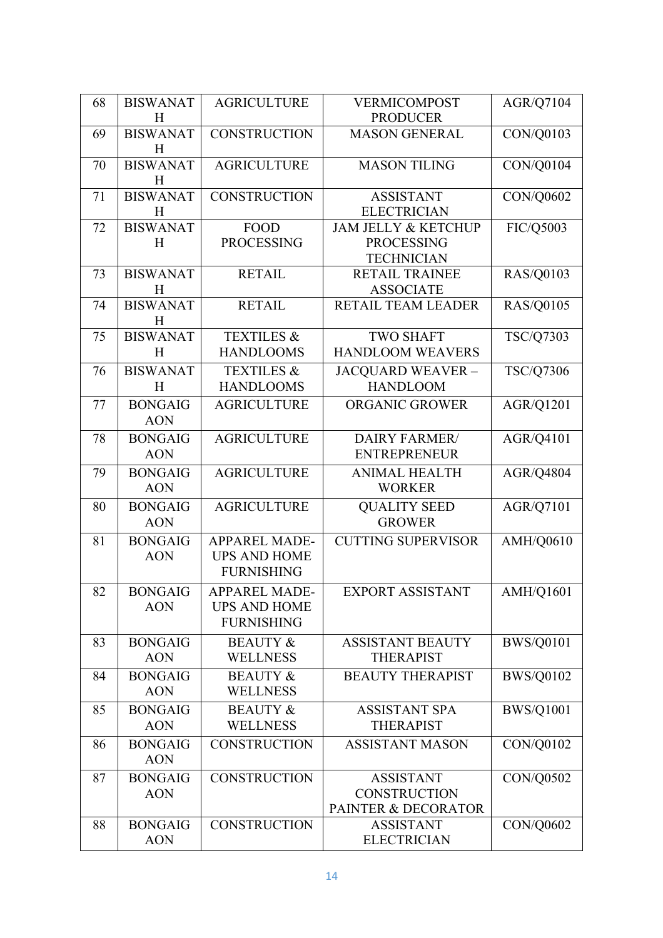| 68 | <b>BISWANAT</b>      | <b>AGRICULTURE</b>    | <b>VERMICOMPOST</b>            | AGR/Q7104        |
|----|----------------------|-----------------------|--------------------------------|------------------|
|    | H                    |                       | <b>PRODUCER</b>                |                  |
| 69 | <b>BISWANAT</b>      | <b>CONSTRUCTION</b>   | <b>MASON GENERAL</b>           | CON/Q0103        |
|    | H<br><b>BISWANAT</b> | <b>AGRICULTURE</b>    | <b>MASON TILING</b>            |                  |
| 70 | H                    |                       |                                | CON/Q0104        |
| 71 | <b>BISWANAT</b>      | <b>CONSTRUCTION</b>   | <b>ASSISTANT</b>               | CON/Q0602        |
|    | H                    |                       | <b>ELECTRICIAN</b>             |                  |
| 72 | <b>BISWANAT</b>      | <b>FOOD</b>           | <b>JAM JELLY &amp; KETCHUP</b> | FIC/Q5003        |
|    | H                    | <b>PROCESSING</b>     | <b>PROCESSING</b>              |                  |
|    |                      |                       | <b>TECHNICIAN</b>              |                  |
| 73 | <b>BISWANAT</b>      | <b>RETAIL</b>         | <b>RETAIL TRAINEE</b>          | <b>RAS/Q0103</b> |
|    | H                    |                       | <b>ASSOCIATE</b>               |                  |
| 74 | <b>BISWANAT</b>      | <b>RETAIL</b>         | RETAIL TEAM LEADER             | RAS/Q0105        |
|    | H                    |                       |                                |                  |
| 75 | <b>BISWANAT</b>      | <b>TEXTILES &amp;</b> | <b>TWO SHAFT</b>               | TSC/Q7303        |
|    | H                    | <b>HANDLOOMS</b>      | <b>HANDLOOM WEAVERS</b>        |                  |
| 76 | <b>BISWANAT</b>      | <b>TEXTILES &amp;</b> | JACQUARD WEAVER -              | TSC/Q7306        |
|    | H                    | <b>HANDLOOMS</b>      | <b>HANDLOOM</b>                |                  |
| 77 | <b>BONGAIG</b>       | <b>AGRICULTURE</b>    | ORGANIC GROWER                 | AGR/Q1201        |
|    | <b>AON</b>           |                       |                                |                  |
| 78 | <b>BONGAIG</b>       | <b>AGRICULTURE</b>    | <b>DAIRY FARMER/</b>           | AGR/Q4101        |
|    | <b>AON</b>           |                       | <b>ENTREPRENEUR</b>            |                  |
| 79 | <b>BONGAIG</b>       | <b>AGRICULTURE</b>    | <b>ANIMAL HEALTH</b>           | AGR/Q4804        |
|    | <b>AON</b>           |                       | <b>WORKER</b>                  |                  |
| 80 | <b>BONGAIG</b>       | <b>AGRICULTURE</b>    | <b>QUALITY SEED</b>            | AGR/Q7101        |
|    | <b>AON</b>           |                       | <b>GROWER</b>                  |                  |
| 81 | <b>BONGAIG</b>       | <b>APPAREL MADE-</b>  | <b>CUTTING SUPERVISOR</b>      | <b>AMH/Q0610</b> |
|    | <b>AON</b>           | <b>UPS AND HOME</b>   |                                |                  |
|    |                      | <b>FURNISHING</b>     |                                |                  |
| 82 | <b>BONGAIG</b>       | <b>APPAREL MADE-</b>  | EXPORT ASSISTANT               | AMH/Q1601        |
|    | <b>AON</b>           | <b>UPS AND HOME</b>   |                                |                  |
|    |                      | <b>FURNISHING</b>     |                                |                  |
| 83 | <b>BONGAIG</b>       | <b>BEAUTY &amp;</b>   | <b>ASSISTANT BEAUTY</b>        | <b>BWS/Q0101</b> |
|    | <b>AON</b>           | <b>WELLNESS</b>       | <b>THERAPIST</b>               |                  |
| 84 | <b>BONGAIG</b>       | <b>BEAUTY &amp;</b>   | <b>BEAUTY THERAPIST</b>        | <b>BWS/Q0102</b> |
|    | <b>AON</b>           | <b>WELLNESS</b>       |                                |                  |
| 85 | <b>BONGAIG</b>       | <b>BEAUTY &amp;</b>   | <b>ASSISTANT SPA</b>           | <b>BWS/Q1001</b> |
|    | <b>AON</b>           | <b>WELLNESS</b>       | <b>THERAPIST</b>               |                  |
| 86 | <b>BONGAIG</b>       | <b>CONSTRUCTION</b>   | <b>ASSISTANT MASON</b>         | CON/Q0102        |
|    | <b>AON</b>           |                       |                                |                  |
| 87 | <b>BONGAIG</b>       | <b>CONSTRUCTION</b>   | <b>ASSISTANT</b>               | CON/Q0502        |
|    | <b>AON</b>           |                       | <b>CONSTRUCTION</b>            |                  |
|    |                      |                       | PAINTER & DECORATOR            |                  |
| 88 | <b>BONGAIG</b>       | <b>CONSTRUCTION</b>   | <b>ASSISTANT</b>               | CON/Q0602        |
|    | <b>AON</b>           |                       | <b>ELECTRICIAN</b>             |                  |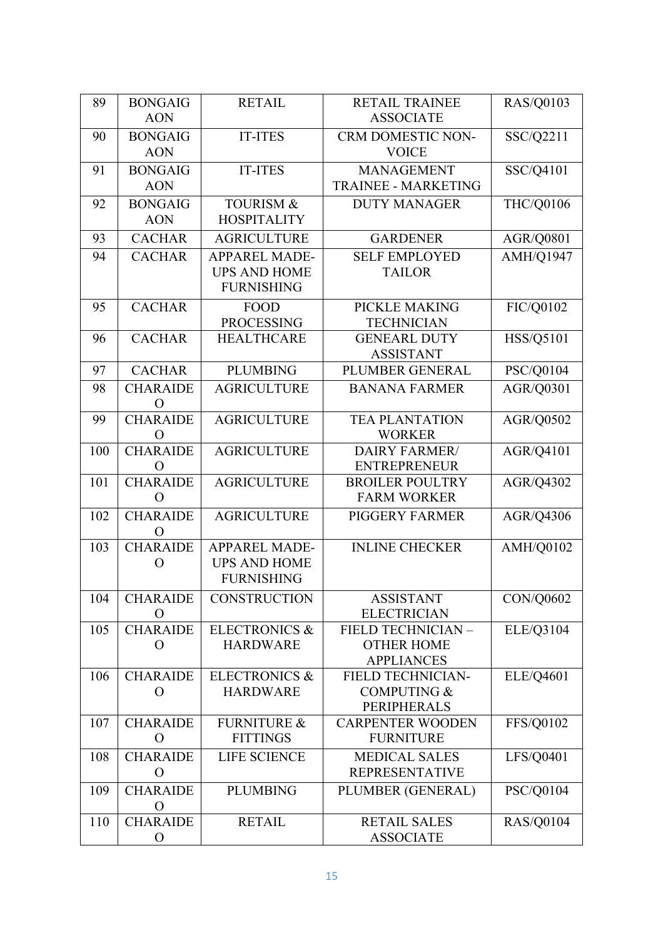| 89  | <b>BONGAIG</b>                    | <b>RETAIL</b>            | <b>RETAIL TRAINEE</b>                        | <b>RAS/Q0103</b> |
|-----|-----------------------------------|--------------------------|----------------------------------------------|------------------|
|     | <b>AON</b>                        |                          | <b>ASSOCIATE</b>                             |                  |
| 90  | <b>BONGAIG</b>                    | <b>IT-ITES</b>           | <b>CRM DOMESTIC NON-</b>                     | SSC/Q2211        |
|     | <b>AON</b>                        |                          | <b>VOICE</b>                                 |                  |
| 91  | <b>BONGAIG</b>                    | <b>IT-ITES</b>           | <b>MANAGEMENT</b>                            | SSC/Q4101        |
|     | <b>AON</b>                        |                          | <b>TRAINEE - MARKETING</b>                   |                  |
| 92  | <b>BONGAIG</b>                    | <b>TOURISM &amp;</b>     | <b>DUTY MANAGER</b>                          | THC/Q0106        |
|     | <b>AON</b>                        | <b>HOSPITALITY</b>       |                                              |                  |
| 93  | <b>CACHAR</b>                     | <b>AGRICULTURE</b>       | <b>GARDENER</b>                              | AGR/Q0801        |
| 94  | <b>CACHAR</b>                     | <b>APPAREL MADE-</b>     | <b>SELF EMPLOYED</b>                         | AMH/Q1947        |
|     |                                   | <b>UPS AND HOME</b>      | <b>TAILOR</b>                                |                  |
|     |                                   | <b>FURNISHING</b>        |                                              |                  |
| 95  | <b>CACHAR</b>                     | <b>FOOD</b>              | PICKLE MAKING                                | FIC/Q0102        |
|     |                                   | <b>PROCESSING</b>        | <b>TECHNICIAN</b>                            |                  |
| 96  | <b>CACHAR</b>                     | <b>HEALTHCARE</b>        | <b>GENEARL DUTY</b>                          | <b>HSS/Q5101</b> |
| 97  | <b>CACHAR</b>                     | <b>PLUMBING</b>          | <b>ASSISTANT</b><br>PLUMBER GENERAL          | PSC/Q0104        |
|     |                                   |                          |                                              |                  |
| 98  | <b>CHARAIDE</b><br>$\overline{O}$ | <b>AGRICULTURE</b>       | <b>BANANA FARMER</b>                         | AGR/Q0301        |
| 99  | <b>CHARAIDE</b>                   | <b>AGRICULTURE</b>       | <b>TEA PLANTATION</b>                        | AGR/Q0502        |
|     | O                                 |                          | <b>WORKER</b>                                |                  |
| 100 | <b>CHARAIDE</b>                   | <b>AGRICULTURE</b>       | <b>DAIRY FARMER/</b>                         | AGR/Q4101        |
|     | O                                 |                          | <b>ENTREPRENEUR</b>                          |                  |
| 101 | <b>CHARAIDE</b>                   | <b>AGRICULTURE</b>       | <b>BROILER POULTRY</b><br><b>FARM WORKER</b> | AGR/Q4302        |
|     | $\overline{O}$                    |                          |                                              |                  |
| 102 | <b>CHARAIDE</b><br>O              | <b>AGRICULTURE</b>       | <b>PIGGERY FARMER</b>                        | AGR/Q4306        |
| 103 | <b>CHARAIDE</b>                   | <b>APPAREL MADE-</b>     | <b>INLINE CHECKER</b>                        | AMH/Q0102        |
|     | $\Omega$                          | <b>UPS AND HOME</b>      |                                              |                  |
|     |                                   | <b>FURNISHING</b>        |                                              |                  |
| 104 | <b>CHARAIDE</b>                   | <b>CONSTRUCTION</b>      | <b>ASSISTANT</b>                             | CON/Q0602        |
|     | O                                 |                          | <b>ELECTRICIAN</b>                           |                  |
| 105 | <b>CHARAIDE</b>                   | <b>ELECTRONICS &amp;</b> | FIELD TECHNICIAN -                           | ELE/Q3104        |
|     | O                                 | <b>HARDWARE</b>          | <b>OTHER HOME</b><br><b>APPLIANCES</b>       |                  |
| 106 | <b>CHARAIDE</b>                   | <b>ELECTRONICS &amp;</b> | <b>FIELD TECHNICIAN-</b>                     | ELE/Q4601        |
|     | O                                 | <b>HARDWARE</b>          | <b>COMPUTING &amp;</b>                       |                  |
|     |                                   |                          | <b>PERIPHERALS</b>                           |                  |
| 107 | <b>CHARAIDE</b>                   | <b>FURNITURE &amp;</b>   | <b>CARPENTER WOODEN</b>                      | FFS/Q0102        |
|     | $\mathcal{O}$                     | <b>FITTINGS</b>          | <b>FURNITURE</b>                             |                  |
| 108 | <b>CHARAIDE</b>                   | LIFE SCIENCE             | <b>MEDICAL SALES</b>                         | LFS/Q0401        |
|     | $\mathbf{O}$                      |                          | <b>REPRESENTATIVE</b>                        |                  |
| 109 | <b>CHARAIDE</b>                   | <b>PLUMBING</b>          | PLUMBER (GENERAL)                            | PSC/Q0104        |
|     | $\mathbf O$                       |                          |                                              |                  |
| 110 | <b>CHARAIDE</b>                   | <b>RETAIL</b>            | <b>RETAIL SALES</b>                          | <b>RAS/Q0104</b> |
|     | $\mathbf O$                       |                          | <b>ASSOCIATE</b>                             |                  |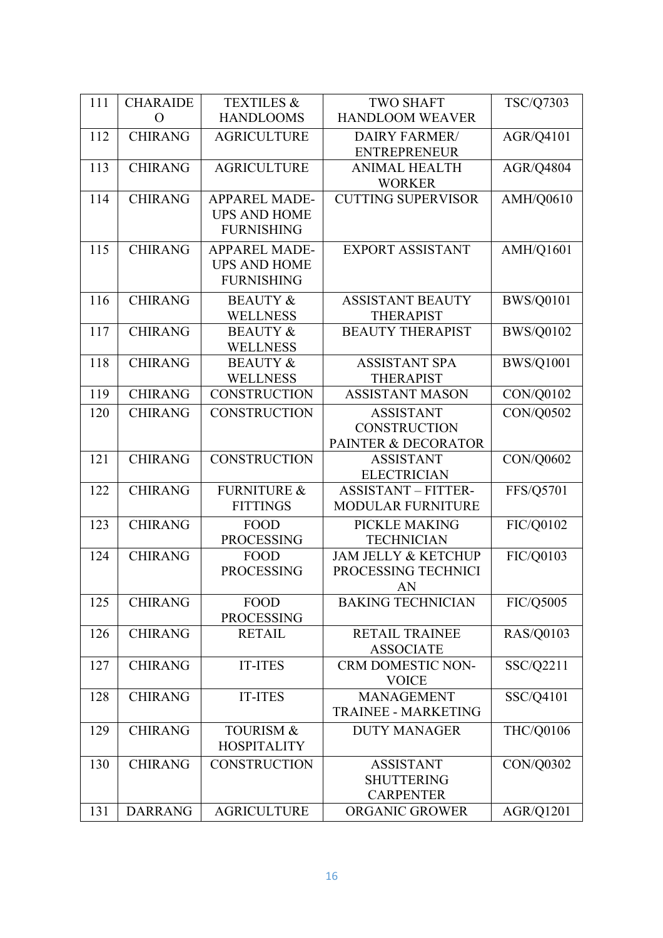| 111 | <b>CHARAIDE</b> | <b>TEXTILES &amp;</b>  | <b>TWO SHAFT</b>               | TSC/Q7303        |
|-----|-----------------|------------------------|--------------------------------|------------------|
|     | $\Omega$        | <b>HANDLOOMS</b>       | <b>HANDLOOM WEAVER</b>         |                  |
| 112 | <b>CHIRANG</b>  | <b>AGRICULTURE</b>     | <b>DAIRY FARMER/</b>           | AGR/Q4101        |
|     |                 |                        | <b>ENTREPRENEUR</b>            |                  |
| 113 | <b>CHIRANG</b>  | <b>AGRICULTURE</b>     | <b>ANIMAL HEALTH</b>           | <b>AGR/Q4804</b> |
|     |                 |                        | <b>WORKER</b>                  |                  |
| 114 | <b>CHIRANG</b>  | <b>APPAREL MADE-</b>   | <b>CUTTING SUPERVISOR</b>      | <b>AMH/Q0610</b> |
|     |                 | <b>UPS AND HOME</b>    |                                |                  |
|     |                 | <b>FURNISHING</b>      |                                |                  |
| 115 | <b>CHIRANG</b>  | <b>APPAREL MADE-</b>   | <b>EXPORT ASSISTANT</b>        | <b>AMH/Q1601</b> |
|     |                 | <b>UPS AND HOME</b>    |                                |                  |
|     |                 | <b>FURNISHING</b>      |                                |                  |
| 116 | <b>CHIRANG</b>  | <b>BEAUTY &amp;</b>    | <b>ASSISTANT BEAUTY</b>        | <b>BWS/Q0101</b> |
|     |                 | <b>WELLNESS</b>        | <b>THERAPIST</b>               |                  |
| 117 | <b>CHIRANG</b>  | <b>BEAUTY &amp;</b>    | <b>BEAUTY THERAPIST</b>        | <b>BWS/Q0102</b> |
|     |                 | <b>WELLNESS</b>        |                                |                  |
| 118 | <b>CHIRANG</b>  | <b>BEAUTY &amp;</b>    | <b>ASSISTANT SPA</b>           | <b>BWS/Q1001</b> |
|     |                 | <b>WELLNESS</b>        | <b>THERAPIST</b>               |                  |
| 119 | <b>CHIRANG</b>  | <b>CONSTRUCTION</b>    | <b>ASSISTANT MASON</b>         | CON/Q0102        |
| 120 | <b>CHIRANG</b>  | <b>CONSTRUCTION</b>    | <b>ASSISTANT</b>               | <b>CON/Q0502</b> |
|     |                 |                        | <b>CONSTRUCTION</b>            |                  |
|     |                 |                        | PAINTER & DECORATOR            |                  |
| 121 | <b>CHIRANG</b>  | <b>CONSTRUCTION</b>    | <b>ASSISTANT</b>               | CON/Q0602        |
|     |                 |                        | <b>ELECTRICIAN</b>             |                  |
| 122 | <b>CHIRANG</b>  | <b>FURNITURE &amp;</b> | <b>ASSISTANT - FITTER-</b>     | FFS/Q5701        |
|     |                 | <b>FITTINGS</b>        | <b>MODULAR FURNITURE</b>       |                  |
| 123 | <b>CHIRANG</b>  | <b>FOOD</b>            | PICKLE MAKING                  | FIC/Q0102        |
|     |                 | <b>PROCESSING</b>      | <b>TECHNICIAN</b>              |                  |
| 124 | <b>CHIRANG</b>  | <b>FOOD</b>            | <b>JAM JELLY &amp; KETCHUP</b> | FIC/Q0103        |
|     |                 | <b>PROCESSING</b>      | PROCESSING TECHNICI            |                  |
| 125 | <b>CHIRANG</b>  | FOOD                   | AN<br><b>BAKING TECHNICIAN</b> | FIC/Q5005        |
|     |                 | <b>PROCESSING</b>      |                                |                  |
| 126 | <b>CHIRANG</b>  | <b>RETAIL</b>          | <b>RETAIL TRAINEE</b>          | <b>RAS/Q0103</b> |
|     |                 |                        | <b>ASSOCIATE</b>               |                  |
| 127 | <b>CHIRANG</b>  | <b>IT-ITES</b>         | <b>CRM DOMESTIC NON-</b>       | SSC/Q2211        |
|     |                 |                        | <b>VOICE</b>                   |                  |
| 128 | <b>CHIRANG</b>  | <b>IT-ITES</b>         | <b>MANAGEMENT</b>              | SSC/Q4101        |
|     |                 |                        | <b>TRAINEE - MARKETING</b>     |                  |
| 129 | <b>CHIRANG</b>  | <b>TOURISM &amp;</b>   | <b>DUTY MANAGER</b>            | THC/Q0106        |
|     |                 | <b>HOSPITALITY</b>     |                                |                  |
| 130 | <b>CHIRANG</b>  | <b>CONSTRUCTION</b>    | <b>ASSISTANT</b>               | CON/Q0302        |
|     |                 |                        | <b>SHUTTERING</b>              |                  |
|     |                 |                        | <b>CARPENTER</b>               |                  |
| 131 | <b>DARRANG</b>  | <b>AGRICULTURE</b>     | ORGANIC GROWER                 | AGR/Q1201        |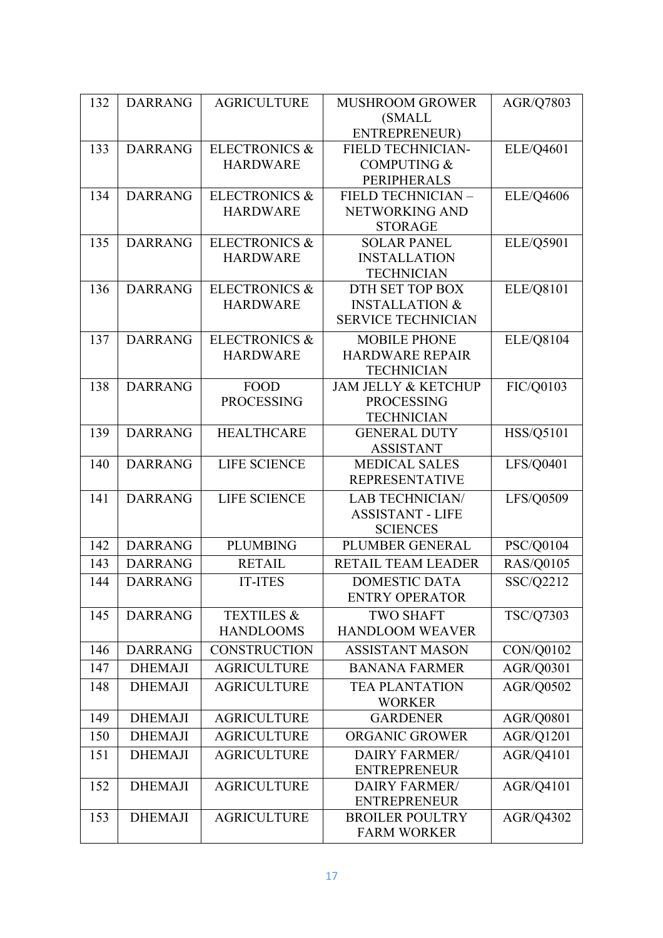| 132 | <b>DARRANG</b> | <b>AGRICULTURE</b>       | <b>MUSHROOM GROWER</b>               | <b>AGR/Q7803</b> |
|-----|----------------|--------------------------|--------------------------------------|------------------|
|     |                |                          | (SMALL                               |                  |
|     |                |                          | ENTREPRENEUR)                        |                  |
| 133 | <b>DARRANG</b> | <b>ELECTRONICS &amp;</b> | FIELD TECHNICIAN-                    | ELE/Q4601        |
|     |                | <b>HARDWARE</b>          | <b>COMPUTING &amp;</b>               |                  |
|     |                |                          | PERIPHERALS                          |                  |
| 134 | <b>DARRANG</b> | <b>ELECTRONICS &amp;</b> | FIELD TECHNICIAN -                   | <b>ELE/Q4606</b> |
|     |                | <b>HARDWARE</b>          | NETWORKING AND                       |                  |
|     | <b>DARRANG</b> | <b>ELECTRONICS &amp;</b> | <b>STORAGE</b><br><b>SOLAR PANEL</b> |                  |
| 135 |                | <b>HARDWARE</b>          | <b>INSTALLATION</b>                  | ELE/Q5901        |
|     |                |                          | <b>TECHNICIAN</b>                    |                  |
| 136 | <b>DARRANG</b> | <b>ELECTRONICS &amp;</b> | DTH SET TOP BOX                      | ELE/Q8101        |
|     |                | <b>HARDWARE</b>          | <b>INSTALLATION &amp;</b>            |                  |
|     |                |                          | <b>SERVICE TECHNICIAN</b>            |                  |
| 137 | <b>DARRANG</b> | <b>ELECTRONICS &amp;</b> | <b>MOBILE PHONE</b>                  | <b>ELE/Q8104</b> |
|     |                | <b>HARDWARE</b>          | <b>HARDWARE REPAIR</b>               |                  |
|     |                |                          | <b>TECHNICIAN</b>                    |                  |
| 138 | <b>DARRANG</b> | <b>FOOD</b>              | <b>JAM JELLY &amp; KETCHUP</b>       | FIC/Q0103        |
|     |                | <b>PROCESSING</b>        | <b>PROCESSING</b>                    |                  |
|     |                |                          | <b>TECHNICIAN</b>                    |                  |
| 139 | <b>DARRANG</b> | <b>HEALTHCARE</b>        | <b>GENERAL DUTY</b>                  | <b>HSS/Q5101</b> |
|     |                |                          | <b>ASSISTANT</b>                     |                  |
| 140 | <b>DARRANG</b> | <b>LIFE SCIENCE</b>      | <b>MEDICAL SALES</b>                 | LFS/Q0401        |
|     |                |                          | <b>REPRESENTATIVE</b>                |                  |
| 141 | <b>DARRANG</b> | <b>LIFE SCIENCE</b>      | <b>LAB TECHNICIAN/</b>               | LFS/Q0509        |
|     |                |                          | <b>ASSISTANT - LIFE</b>              |                  |
|     |                | <b>PLUMBING</b>          | <b>SCIENCES</b>                      |                  |
| 142 | <b>DARRANG</b> |                          | PLUMBER GENERAL                      | PSC/Q0104        |
| 143 | <b>DARRANG</b> | <b>RETAIL</b>            | RETAIL TEAM LEADER                   | <b>RAS/Q0105</b> |
| 144 | <b>DARRANG</b> | <b>IT-ITES</b>           | <b>DOMESTIC DATA</b>                 | SSC/Q2212        |
|     |                |                          | <b>ENTRY OPERATOR</b>                |                  |
| 145 | <b>DARRANG</b> | <b>TEXTILES &amp;</b>    | <b>TWO SHAFT</b>                     | <b>TSC/Q7303</b> |
|     |                | <b>HANDLOOMS</b>         | <b>HANDLOOM WEAVER</b>               |                  |
| 146 | <b>DARRANG</b> | <b>CONSTRUCTION</b>      | <b>ASSISTANT MASON</b>               | CON/Q0102        |
| 147 | <b>DHEMAJI</b> | <b>AGRICULTURE</b>       | <b>BANANA FARMER</b>                 | AGR/Q0301        |
| 148 | <b>DHEMAJI</b> | <b>AGRICULTURE</b>       | <b>TEA PLANTATION</b>                | AGR/Q0502        |
|     |                |                          | <b>WORKER</b>                        |                  |
| 149 | <b>DHEMAJI</b> | <b>AGRICULTURE</b>       | <b>GARDENER</b>                      | AGR/Q0801        |
| 150 | <b>DHEMAJI</b> | <b>AGRICULTURE</b>       | <b>ORGANIC GROWER</b>                | AGR/Q1201        |
| 151 | <b>DHEMAJI</b> | <b>AGRICULTURE</b>       | <b>DAIRY FARMER/</b>                 | AGR/Q4101        |
|     |                |                          | <b>ENTREPRENEUR</b>                  |                  |
| 152 | <b>DHEMAJI</b> | <b>AGRICULTURE</b>       | <b>DAIRY FARMER/</b>                 | AGR/Q4101        |
|     |                |                          | <b>ENTREPRENEUR</b>                  |                  |
| 153 | <b>DHEMAJI</b> | <b>AGRICULTURE</b>       | <b>BROILER POULTRY</b>               | AGR/Q4302        |
|     |                |                          | <b>FARM WORKER</b>                   |                  |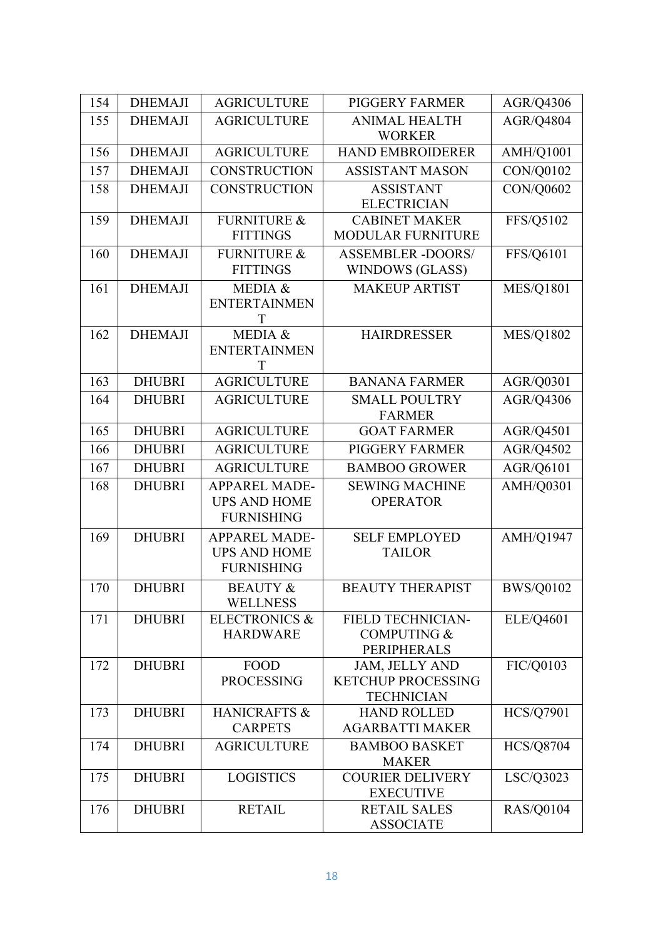| 154 | <b>DHEMAJI</b> | <b>AGRICULTURE</b>       | <b>PIGGERY FARMER</b>                          | AGR/Q4306        |
|-----|----------------|--------------------------|------------------------------------------------|------------------|
| 155 | <b>DHEMAJI</b> | <b>AGRICULTURE</b>       | <b>ANIMAL HEALTH</b>                           | AGR/Q4804        |
|     |                |                          | <b>WORKER</b>                                  |                  |
| 156 | <b>DHEMAJI</b> | <b>AGRICULTURE</b>       | <b>HAND EMBROIDERER</b>                        | AMH/Q1001        |
| 157 | <b>DHEMAJI</b> | <b>CONSTRUCTION</b>      | <b>ASSISTANT MASON</b>                         | CON/Q0102        |
| 158 | <b>DHEMAJI</b> | <b>CONSTRUCTION</b>      | <b>ASSISTANT</b>                               | CON/Q0602        |
|     |                |                          | <b>ELECTRICIAN</b>                             |                  |
| 159 | <b>DHEMAJI</b> | <b>FURNITURE &amp;</b>   | <b>CABINET MAKER</b>                           | FFS/Q5102        |
|     |                | <b>FITTINGS</b>          | <b>MODULAR FURNITURE</b>                       |                  |
| 160 | <b>DHEMAJI</b> | <b>FURNITURE &amp;</b>   | <b>ASSEMBLER -DOORS/</b>                       | FFS/Q6101        |
|     |                | <b>FITTINGS</b>          | WINDOWS (GLASS)                                |                  |
| 161 | <b>DHEMAJI</b> | MEDIA &                  | <b>MAKEUP ARTIST</b>                           | <b>MES/Q1801</b> |
|     |                | <b>ENTERTAINMEN</b>      |                                                |                  |
|     |                |                          |                                                |                  |
| 162 | <b>DHEMAJI</b> | MEDIA &                  | <b>HAIRDRESSER</b>                             | <b>MES/Q1802</b> |
|     |                | <b>ENTERTAINMEN</b><br>T |                                                |                  |
| 163 | <b>DHUBRI</b>  | <b>AGRICULTURE</b>       | <b>BANANA FARMER</b>                           | AGR/Q0301        |
| 164 | <b>DHUBRI</b>  | <b>AGRICULTURE</b>       | <b>SMALL POULTRY</b>                           | AGR/Q4306        |
|     |                |                          | <b>FARMER</b>                                  |                  |
| 165 | <b>DHUBRI</b>  | <b>AGRICULTURE</b>       | <b>GOAT FARMER</b>                             | AGR/Q4501        |
| 166 | <b>DHUBRI</b>  | <b>AGRICULTURE</b>       | PIGGERY FARMER                                 | AGR/Q4502        |
| 167 | <b>DHUBRI</b>  | <b>AGRICULTURE</b>       | <b>BAMBOO GROWER</b>                           | AGR/Q6101        |
| 168 | <b>DHUBRI</b>  | <b>APPAREL MADE-</b>     | <b>SEWING MACHINE</b>                          | AMH/Q0301        |
|     |                | <b>UPS AND HOME</b>      | <b>OPERATOR</b>                                |                  |
|     |                | <b>FURNISHING</b>        |                                                |                  |
| 169 | <b>DHUBRI</b>  | <b>APPAREL MADE-</b>     | <b>SELF EMPLOYED</b>                           | AMH/Q1947        |
|     |                | <b>UPS AND HOME</b>      | <b>TAILOR</b>                                  |                  |
|     |                | <b>FURNISHING</b>        |                                                |                  |
| 170 | DHUBRI         | <b>BEAUTY &amp;</b>      | <b>BEAUTY THERAPIST</b>                        | <b>BWS/Q0102</b> |
|     |                | <b>WELLNESS</b>          |                                                |                  |
| 171 | <b>DHUBRI</b>  | <b>ELECTRONICS &amp;</b> | FIELD TECHNICIAN-                              | ELE/Q4601        |
|     |                | <b>HARDWARE</b>          | <b>COMPUTING &amp;</b>                         |                  |
|     |                |                          | <b>PERIPHERALS</b>                             |                  |
| 172 | <b>DHUBRI</b>  | <b>FOOD</b>              | <b>JAM, JELLY AND</b>                          | FIC/Q0103        |
|     |                | <b>PROCESSING</b>        | <b>KETCHUP PROCESSING</b><br><b>TECHNICIAN</b> |                  |
| 173 | <b>DHUBRI</b>  | <b>HANICRAFTS &amp;</b>  | <b>HAND ROLLED</b>                             | <b>HCS/Q7901</b> |
|     |                | <b>CARPETS</b>           | <b>AGARBATTI MAKER</b>                         |                  |
| 174 | <b>DHUBRI</b>  | <b>AGRICULTURE</b>       | <b>BAMBOO BASKET</b>                           | <b>HCS/Q8704</b> |
|     |                |                          | <b>MAKER</b>                                   |                  |
| 175 | <b>DHUBRI</b>  | <b>LOGISTICS</b>         | <b>COURIER DELIVERY</b>                        | LSC/Q3023        |
|     |                |                          | <b>EXECUTIVE</b>                               |                  |
| 176 | <b>DHUBRI</b>  | <b>RETAIL</b>            | <b>RETAIL SALES</b>                            | <b>RAS/Q0104</b> |
|     |                |                          | <b>ASSOCIATE</b>                               |                  |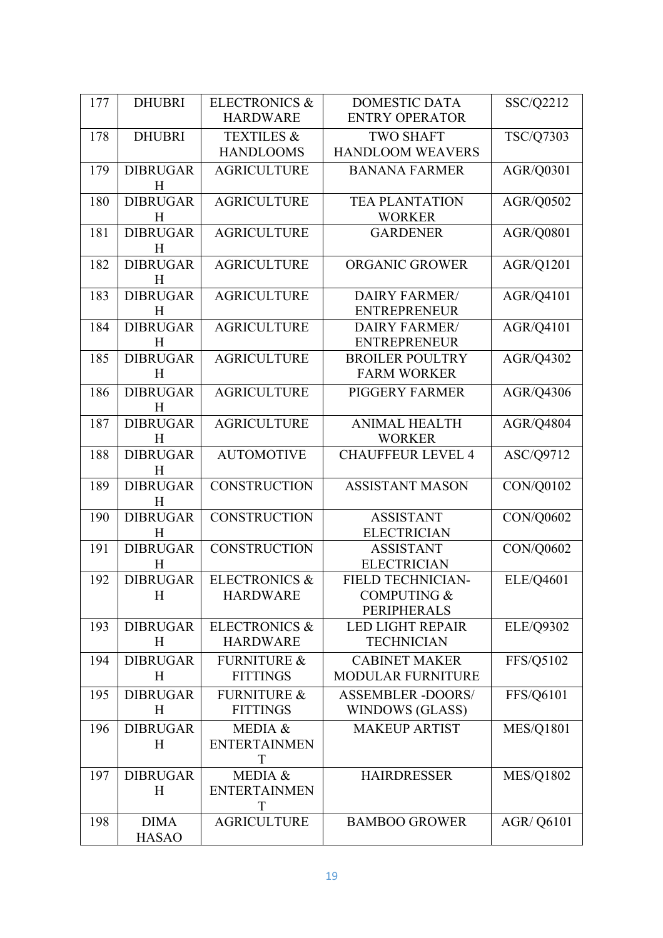| 177 | <b>DHUBRI</b>        | <b>ELECTRONICS &amp;</b> | <b>DOMESTIC DATA</b>                        | SSC/Q2212         |
|-----|----------------------|--------------------------|---------------------------------------------|-------------------|
|     |                      | <b>HARDWARE</b>          | <b>ENTRY OPERATOR</b>                       |                   |
| 178 | <b>DHUBRI</b>        | <b>TEXTILES &amp;</b>    | <b>TWO SHAFT</b>                            | TSC/Q7303         |
|     |                      | <b>HANDLOOMS</b>         | <b>HANDLOOM WEAVERS</b>                     |                   |
| 179 | <b>DIBRUGAR</b>      | <b>AGRICULTURE</b>       | <b>BANANA FARMER</b>                        | AGR/Q0301         |
|     | H                    |                          |                                             |                   |
| 180 | <b>DIBRUGAR</b>      | <b>AGRICULTURE</b>       | <b>TEA PLANTATION</b>                       | AGR/Q0502         |
|     | H                    |                          | <b>WORKER</b>                               |                   |
| 181 | <b>DIBRUGAR</b>      | <b>AGRICULTURE</b>       | <b>GARDENER</b>                             | <b>AGR/Q0801</b>  |
|     | H                    |                          |                                             |                   |
| 182 | <b>DIBRUGAR</b>      | <b>AGRICULTURE</b>       | <b>ORGANIC GROWER</b>                       | AGR/Q1201         |
|     | H                    |                          |                                             |                   |
| 183 | <b>DIBRUGAR</b>      | <b>AGRICULTURE</b>       | DAIRY FARMER/                               | AGR/Q4101         |
|     | H                    |                          | <b>ENTREPRENEUR</b>                         |                   |
| 184 | <b>DIBRUGAR</b><br>H | <b>AGRICULTURE</b>       | <b>DAIRY FARMER/</b><br><b>ENTREPRENEUR</b> | AGR/Q4101         |
| 185 | <b>DIBRUGAR</b>      | <b>AGRICULTURE</b>       | <b>BROILER POULTRY</b>                      | AGR/Q4302         |
|     | H                    |                          | <b>FARM WORKER</b>                          |                   |
|     | <b>DIBRUGAR</b>      |                          | <b>PIGGERY FARMER</b>                       |                   |
| 186 | H                    | <b>AGRICULTURE</b>       |                                             | AGR/Q4306         |
| 187 | <b>DIBRUGAR</b>      | <b>AGRICULTURE</b>       | <b>ANIMAL HEALTH</b>                        | AGR/Q4804         |
|     | H                    |                          | <b>WORKER</b>                               |                   |
| 188 | <b>DIBRUGAR</b>      | <b>AUTOMOTIVE</b>        | <b>CHAUFFEUR LEVEL 4</b>                    | ASC/Q9712         |
|     | H                    |                          |                                             |                   |
| 189 | <b>DIBRUGAR</b>      | <b>CONSTRUCTION</b>      | <b>ASSISTANT MASON</b>                      | CON/Q0102         |
|     | H                    |                          |                                             |                   |
| 190 | <b>DIBRUGAR</b>      | <b>CONSTRUCTION</b>      | <b>ASSISTANT</b>                            | CON/Q0602         |
|     | H                    |                          | <b>ELECTRICIAN</b>                          |                   |
| 191 | <b>DIBRUGAR</b>      | <b>CONSTRUCTION</b>      | <b>ASSISTANT</b>                            | CON/Q0602         |
|     | H                    |                          | <b>ELECTRICIAN</b>                          |                   |
| 192 | <b>DIBRUGAR</b>      | <b>ELECTRONICS &amp;</b> | <b>FIELD TECHNICIAN-</b>                    | ELE/Q4601         |
|     | Η                    | <b>HARDWARE</b>          | <b>COMPUTING &amp;</b>                      |                   |
|     |                      |                          | <b>PERIPHERALS</b>                          |                   |
| 193 | <b>DIBRUGAR</b>      | <b>ELECTRONICS &amp;</b> | <b>LED LIGHT REPAIR</b>                     | <b>ELE/Q9302</b>  |
|     | H                    | <b>HARDWARE</b>          | <b>TECHNICIAN</b>                           |                   |
| 194 | <b>DIBRUGAR</b>      | <b>FURNITURE &amp;</b>   | <b>CABINET MAKER</b>                        | FFS/Q5102         |
|     | H                    | <b>FITTINGS</b>          | <b>MODULAR FURNITURE</b>                    |                   |
| 195 | <b>DIBRUGAR</b>      | <b>FURNITURE &amp;</b>   | <b>ASSEMBLER -DOORS/</b>                    | FFS/Q6101         |
|     | H                    | <b>FITTINGS</b>          | WINDOWS (GLASS)                             |                   |
| 196 | <b>DIBRUGAR</b>      | MEDIA &                  | <b>MAKEUP ARTIST</b>                        | <b>MES/Q1801</b>  |
|     | H                    | <b>ENTERTAINMEN</b>      |                                             |                   |
|     |                      | T                        |                                             |                   |
| 197 | <b>DIBRUGAR</b>      | MEDIA &                  | <b>HAIRDRESSER</b>                          | <b>MES/Q1802</b>  |
|     | H                    | <b>ENTERTAINMEN</b><br>T |                                             |                   |
| 198 | <b>DIMA</b>          | <b>AGRICULTURE</b>       | <b>BAMBOO GROWER</b>                        | <b>AGR/ Q6101</b> |
|     | <b>HASAO</b>         |                          |                                             |                   |
|     |                      |                          |                                             |                   |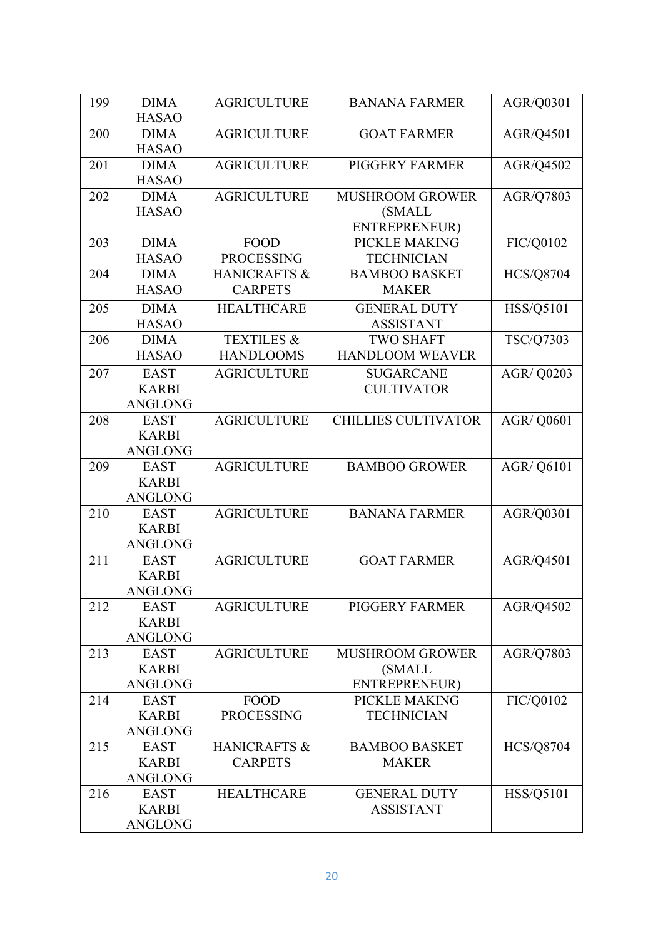| 199 | <b>DIMA</b>                    | <b>AGRICULTURE</b>             | <b>BANANA FARMER</b>                 | AGR/Q0301         |
|-----|--------------------------------|--------------------------------|--------------------------------------|-------------------|
|     | <b>HASAO</b>                   |                                |                                      |                   |
| 200 | <b>DIMA</b>                    | <b>AGRICULTURE</b>             | <b>GOAT FARMER</b>                   | AGR/Q4501         |
|     | <b>HASAO</b>                   |                                |                                      |                   |
| 201 | <b>DIMA</b>                    | <b>AGRICULTURE</b>             | <b>PIGGERY FARMER</b>                | AGR/Q4502         |
|     | <b>HASAO</b>                   |                                |                                      |                   |
| 202 | <b>DIMA</b>                    | <b>AGRICULTURE</b>             | <b>MUSHROOM GROWER</b>               | AGR/Q7803         |
|     | <b>HASAO</b>                   |                                | (SMALL<br>ENTREPRENEUR)              |                   |
| 203 | <b>DIMA</b>                    | <b>FOOD</b>                    | PICKLE MAKING                        | FIC/Q0102         |
|     | <b>HASAO</b>                   | <b>PROCESSING</b>              | <b>TECHNICIAN</b>                    |                   |
| 204 | <b>DIMA</b>                    | <b>HANICRAFTS &amp;</b>        | <b>BAMBOO BASKET</b>                 | <b>HCS/Q8704</b>  |
|     | <b>HASAO</b>                   | <b>CARPETS</b>                 | <b>MAKER</b>                         |                   |
|     |                                |                                |                                      |                   |
| 205 | <b>DIMA</b>                    | <b>HEALTHCARE</b>              | <b>GENERAL DUTY</b>                  | HSS/Q5101         |
| 206 | <b>HASAO</b><br><b>DIMA</b>    | <b>TEXTILES &amp;</b>          | <b>ASSISTANT</b><br><b>TWO SHAFT</b> |                   |
|     | <b>HASAO</b>                   | <b>HANDLOOMS</b>               | <b>HANDLOOM WEAVER</b>               | <b>TSC/Q7303</b>  |
|     |                                |                                |                                      |                   |
| 207 | <b>EAST</b>                    | <b>AGRICULTURE</b>             | <b>SUGARCANE</b>                     | AGR/ Q0203        |
|     | <b>KARBI</b><br><b>ANGLONG</b> |                                | <b>CULTIVATOR</b>                    |                   |
| 208 | <b>EAST</b>                    | <b>AGRICULTURE</b>             | <b>CHILLIES CULTIVATOR</b>           | <b>AGR/ Q0601</b> |
|     | <b>KARBI</b>                   |                                |                                      |                   |
|     | ANGLONG                        |                                |                                      |                   |
| 209 | <b>EAST</b>                    | <b>AGRICULTURE</b>             | <b>BAMBOO GROWER</b>                 | <b>AGR/ Q6101</b> |
|     | <b>KARBI</b>                   |                                |                                      |                   |
|     | ANGLONG                        |                                |                                      |                   |
| 210 | <b>EAST</b>                    | <b>AGRICULTURE</b>             | <b>BANANA FARMER</b>                 | AGR/Q0301         |
|     | <b>KARBI</b>                   |                                |                                      |                   |
|     | ANGLONG                        |                                |                                      |                   |
| 211 | <b>EAST</b>                    | <b>AGRICULTURE</b>             | <b>GOAT FARMER</b>                   | AGR/Q4501         |
|     | <b>KARBI</b>                   |                                |                                      |                   |
|     | ANGLONG                        |                                |                                      |                   |
| 212 | <b>EAST</b>                    | <b>AGRICULTURE</b>             | <b>PIGGERY FARMER</b>                | AGR/Q4502         |
|     | <b>KARBI</b>                   |                                |                                      |                   |
|     | <b>ANGLONG</b>                 |                                |                                      |                   |
| 213 | <b>EAST</b>                    | <b>AGRICULTURE</b>             | <b>MUSHROOM GROWER</b>               | AGR/Q7803         |
|     | <b>KARBI</b>                   |                                | <b>(SMALL</b>                        |                   |
|     | <b>ANGLONG</b>                 |                                | <b>ENTREPRENEUR)</b>                 |                   |
| 214 | <b>EAST</b>                    | <b>FOOD</b>                    | PICKLE MAKING                        | FIC/Q0102         |
|     | <b>KARBI</b>                   | <b>PROCESSING</b>              | <b>TECHNICIAN</b>                    |                   |
|     | <b>ANGLONG</b>                 |                                |                                      |                   |
| 215 | <b>EAST</b><br><b>KARBI</b>    | HANICRAFTS &<br><b>CARPETS</b> | <b>BAMBOO BASKET</b><br><b>MAKER</b> | <b>HCS/Q8704</b>  |
|     | <b>ANGLONG</b>                 |                                |                                      |                   |
| 216 | <b>EAST</b>                    | <b>HEALTHCARE</b>              | <b>GENERAL DUTY</b>                  | HSS/Q5101         |
|     | <b>KARBI</b>                   |                                | <b>ASSISTANT</b>                     |                   |
|     | <b>ANGLONG</b>                 |                                |                                      |                   |
|     |                                |                                |                                      |                   |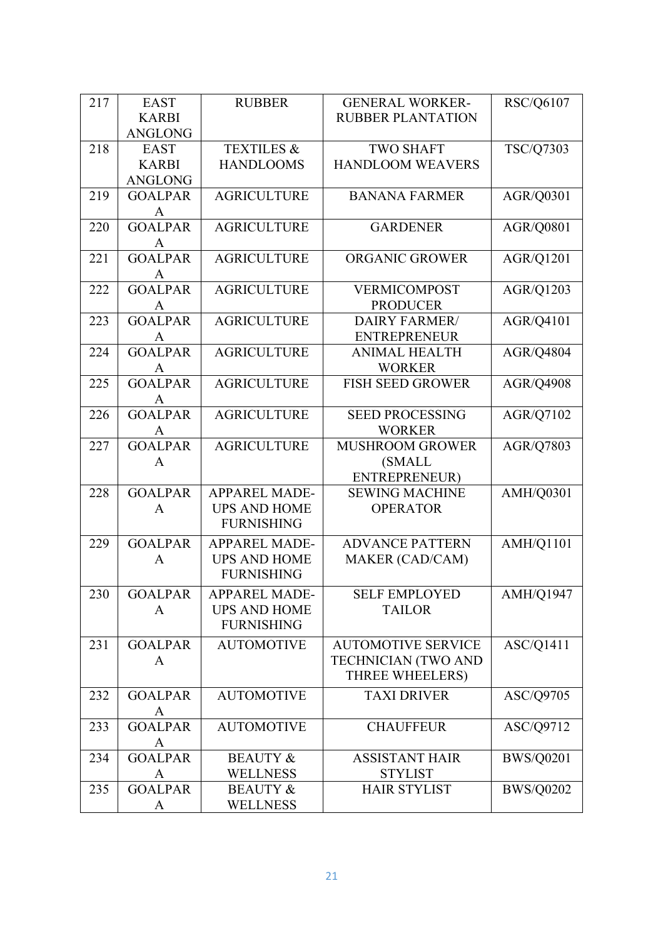| 217 | <b>EAST</b>    | <b>RUBBER</b>         | <b>GENERAL WORKER-</b>     | <b>RSC/Q6107</b> |
|-----|----------------|-----------------------|----------------------------|------------------|
|     | <b>KARBI</b>   |                       | <b>RUBBER PLANTATION</b>   |                  |
|     | <b>ANGLONG</b> |                       |                            |                  |
| 218 | <b>EAST</b>    | <b>TEXTILES &amp;</b> | <b>TWO SHAFT</b>           | TSC/Q7303        |
|     | <b>KARBI</b>   | <b>HANDLOOMS</b>      | <b>HANDLOOM WEAVERS</b>    |                  |
|     | <b>ANGLONG</b> |                       |                            |                  |
| 219 | <b>GOALPAR</b> | <b>AGRICULTURE</b>    | <b>BANANA FARMER</b>       | AGR/Q0301        |
|     | A              |                       |                            |                  |
| 220 | <b>GOALPAR</b> | <b>AGRICULTURE</b>    | <b>GARDENER</b>            | AGR/Q0801        |
|     | A              |                       |                            |                  |
| 221 | <b>GOALPAR</b> | <b>AGRICULTURE</b>    | ORGANIC GROWER             | AGR/Q1201        |
|     | A              |                       |                            |                  |
| 222 | <b>GOALPAR</b> | <b>AGRICULTURE</b>    | VERMICOMPOST               | AGR/Q1203        |
|     | A              |                       | <b>PRODUCER</b>            |                  |
| 223 | <b>GOALPAR</b> | <b>AGRICULTURE</b>    | <b>DAIRY FARMER/</b>       | AGR/Q4101        |
|     | A              |                       | <b>ENTREPRENEUR</b>        |                  |
| 224 | <b>GOALPAR</b> | <b>AGRICULTURE</b>    | <b>ANIMAL HEALTH</b>       | <b>AGR/Q4804</b> |
|     | A              |                       | <b>WORKER</b>              |                  |
| 225 | <b>GOALPAR</b> | <b>AGRICULTURE</b>    | <b>FISH SEED GROWER</b>    | <b>AGR/Q4908</b> |
|     | A              |                       |                            |                  |
| 226 | <b>GOALPAR</b> | <b>AGRICULTURE</b>    | <b>SEED PROCESSING</b>     | AGR/Q7102        |
|     | A              |                       | <b>WORKER</b>              |                  |
| 227 | <b>GOALPAR</b> | <b>AGRICULTURE</b>    | <b>MUSHROOM GROWER</b>     | <b>AGR/Q7803</b> |
|     | A              |                       | (SMALL                     |                  |
|     |                |                       | ENTREPRENEUR)              |                  |
| 228 | <b>GOALPAR</b> | APPAREL MADE-         | <b>SEWING MACHINE</b>      | AMH/Q0301        |
|     | A              | <b>UPS AND HOME</b>   | <b>OPERATOR</b>            |                  |
|     |                | <b>FURNISHING</b>     |                            |                  |
| 229 | <b>GOALPAR</b> | <b>APPAREL MADE-</b>  | <b>ADVANCE PATTERN</b>     | <b>AMH/Q1101</b> |
|     | A              | <b>UPS AND HOME</b>   | MAKER (CAD/CAM)            |                  |
|     |                | <b>FURNISHING</b>     |                            |                  |
| 230 | <b>GOALPAR</b> | <b>APPAREL MADE-</b>  | <b>SELF EMPLOYED</b>       |                  |
|     | A              | <b>UPS AND HOME</b>   | <b>TAILOR</b>              | <b>AMH/Q1947</b> |
|     |                | <b>FURNISHING</b>     |                            |                  |
|     |                |                       |                            |                  |
| 231 | <b>GOALPAR</b> | <b>AUTOMOTIVE</b>     | <b>AUTOMOTIVE SERVICE</b>  | ASC/Q1411        |
|     | A              |                       | <b>TECHNICIAN (TWO AND</b> |                  |
|     |                |                       | THREE WHEELERS)            |                  |
| 232 | <b>GOALPAR</b> | <b>AUTOMOTIVE</b>     | <b>TAXI DRIVER</b>         | ASC/Q9705        |
|     | A              |                       |                            |                  |
| 233 | <b>GOALPAR</b> | <b>AUTOMOTIVE</b>     | <b>CHAUFFEUR</b>           | ASC/Q9712        |
|     | A              |                       |                            |                  |
| 234 | <b>GOALPAR</b> | <b>BEAUTY &amp;</b>   | <b>ASSISTANT HAIR</b>      | <b>BWS/Q0201</b> |
|     | A              | <b>WELLNESS</b>       | <b>STYLIST</b>             |                  |
| 235 | <b>GOALPAR</b> | <b>BEAUTY &amp;</b>   | <b>HAIR STYLIST</b>        | <b>BWS/Q0202</b> |
|     | $\mathbf{A}$   | <b>WELLNESS</b>       |                            |                  |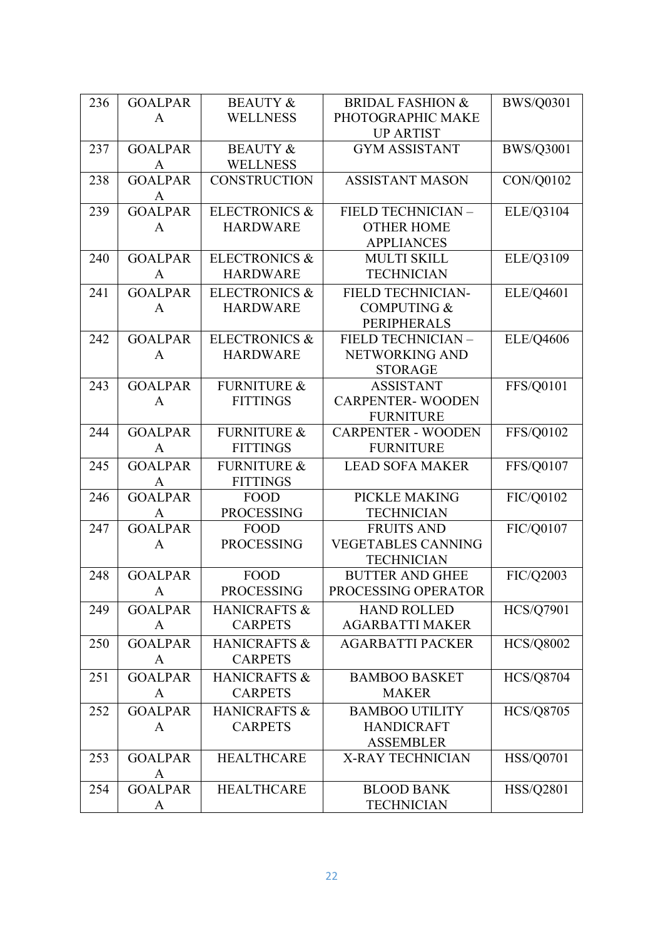| 236 | <b>GOALPAR</b> | <b>BEAUTY &amp;</b>      | <b>BRIDAL FASHION &amp;</b> | <b>BWS/Q0301</b> |
|-----|----------------|--------------------------|-----------------------------|------------------|
|     | A              | <b>WELLNESS</b>          | PHOTOGRAPHIC MAKE           |                  |
|     |                |                          | <b>UP ARTIST</b>            |                  |
| 237 | <b>GOALPAR</b> | <b>BEAUTY &amp;</b>      | <b>GYM ASSISTANT</b>        | <b>BWS/Q3001</b> |
|     | A              | <b>WELLNESS</b>          |                             |                  |
| 238 | <b>GOALPAR</b> | <b>CONSTRUCTION</b>      | <b>ASSISTANT MASON</b>      | CON/Q0102        |
|     | A              |                          |                             |                  |
| 239 | <b>GOALPAR</b> | <b>ELECTRONICS &amp;</b> | FIELD TECHNICIAN -          | ELE/Q3104        |
|     | A              | <b>HARDWARE</b>          | <b>OTHER HOME</b>           |                  |
|     |                |                          | <b>APPLIANCES</b>           |                  |
| 240 | <b>GOALPAR</b> | <b>ELECTRONICS &amp;</b> | <b>MULTI SKILL</b>          | ELE/Q3109        |
|     | $\mathbf{A}$   | <b>HARDWARE</b>          | <b>TECHNICIAN</b>           |                  |
| 241 | <b>GOALPAR</b> | <b>ELECTRONICS &amp;</b> | FIELD TECHNICIAN-           | ELE/Q4601        |
|     | A              | <b>HARDWARE</b>          | <b>COMPUTING &amp;</b>      |                  |
|     |                |                          | <b>PERIPHERALS</b>          |                  |
| 242 | <b>GOALPAR</b> | <b>ELECTRONICS &amp;</b> | FIELD TECHNICIAN -          | ELE/Q4606        |
|     | A              | <b>HARDWARE</b>          | NETWORKING AND              |                  |
|     |                |                          | <b>STORAGE</b>              |                  |
| 243 | <b>GOALPAR</b> | <b>FURNITURE &amp;</b>   | <b>ASSISTANT</b>            | FFS/Q0101        |
|     | A              | <b>FITTINGS</b>          | <b>CARPENTER-WOODEN</b>     |                  |
|     |                |                          | <b>FURNITURE</b>            |                  |
| 244 | <b>GOALPAR</b> | <b>FURNITURE &amp;</b>   | <b>CARPENTER - WOODEN</b>   | FFS/Q0102        |
|     | $\mathbf{A}$   | <b>FITTINGS</b>          | <b>FURNITURE</b>            |                  |
| 245 | <b>GOALPAR</b> | <b>FURNITURE &amp;</b>   | <b>LEAD SOFA MAKER</b>      | FFS/Q0107        |
|     | A              | <b>FITTINGS</b>          |                             |                  |
| 246 | <b>GOALPAR</b> | <b>FOOD</b>              | PICKLE MAKING               | FIC/Q0102        |
|     | A              | <b>PROCESSING</b>        | <b>TECHNICIAN</b>           |                  |
| 247 | <b>GOALPAR</b> | <b>FOOD</b>              | <b>FRUITS AND</b>           | FIC/Q0107        |
|     | A              | <b>PROCESSING</b>        | <b>VEGETABLES CANNING</b>   |                  |
|     |                |                          | <b>TECHNICIAN</b>           |                  |
| 248 | <b>GOALPAR</b> | <b>FOOD</b>              | <b>BUTTER AND GHEE</b>      | FIC/Q2003        |
|     | $\mathbf{A}$   | <b>PROCESSING</b>        | PROCESSING OPERATOR         |                  |
| 249 | <b>GOALPAR</b> | HANICRAFTS &             | <b>HAND ROLLED</b>          | <b>HCS/Q7901</b> |
|     | A              | <b>CARPETS</b>           | <b>AGARBATTI MAKER</b>      |                  |
| 250 | <b>GOALPAR</b> | HANICRAFTS &             | <b>AGARBATTI PACKER</b>     | <b>HCS/Q8002</b> |
|     | A              | <b>CARPETS</b>           |                             |                  |
| 251 | <b>GOALPAR</b> | <b>HANICRAFTS &amp;</b>  | <b>BAMBOO BASKET</b>        | <b>HCS/Q8704</b> |
|     |                | <b>CARPETS</b>           | <b>MAKER</b>                |                  |
|     | A              |                          |                             |                  |
| 252 | <b>GOALPAR</b> | <b>HANICRAFTS &amp;</b>  | <b>BAMBOO UTILITY</b>       | <b>HCS/Q8705</b> |
|     | A              | <b>CARPETS</b>           | <b>HANDICRAFT</b>           |                  |
|     |                |                          | <b>ASSEMBLER</b>            |                  |
| 253 | <b>GOALPAR</b> | <b>HEALTHCARE</b>        | X-RAY TECHNICIAN            | <b>HSS/Q0701</b> |
|     | A              |                          |                             |                  |
| 254 | <b>GOALPAR</b> | <b>HEALTHCARE</b>        | <b>BLOOD BANK</b>           | <b>HSS/Q2801</b> |
|     | A              |                          | <b>TECHNICIAN</b>           |                  |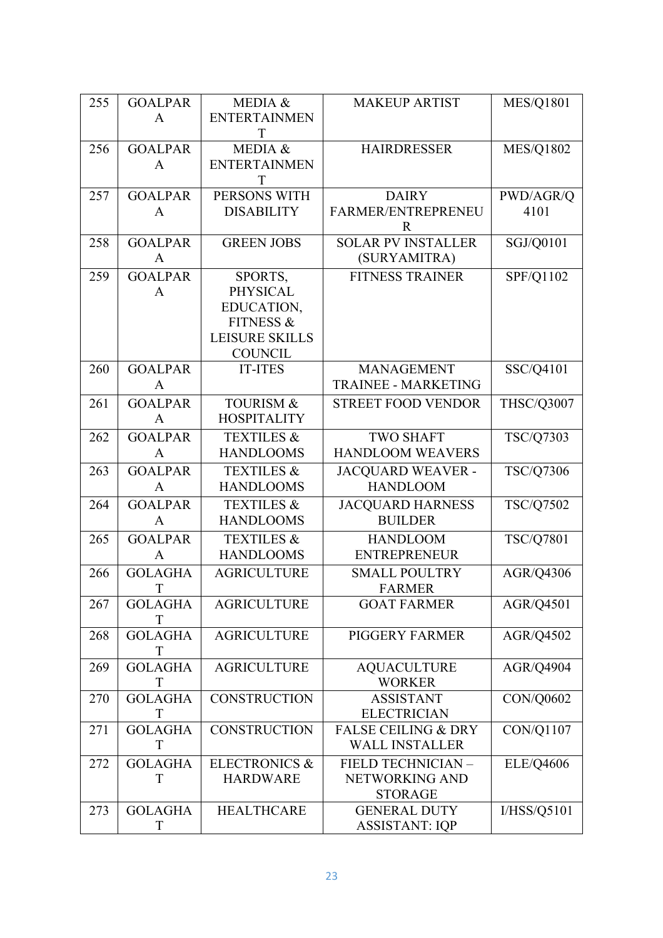| 255 | <b>GOALPAR</b> | MEDIA &                  | <b>MAKEUP ARTIST</b>           | <b>MES/Q1801</b> |
|-----|----------------|--------------------------|--------------------------------|------------------|
|     | A              | <b>ENTERTAINMEN</b>      |                                |                  |
|     |                | T                        |                                |                  |
| 256 | <b>GOALPAR</b> | MEDIA &                  | <b>HAIRDRESSER</b>             | <b>MES/Q1802</b> |
|     |                |                          |                                |                  |
|     | A              | <b>ENTERTAINMEN</b>      |                                |                  |
|     |                | Т                        |                                |                  |
| 257 | <b>GOALPAR</b> | PERSONS WITH             | <b>DAIRY</b>                   | PWD/AGR/Q        |
|     | A              | <b>DISABILITY</b>        | FARMER/ENTREPRENEU             | 4101             |
|     |                |                          | $\mathbf R$                    |                  |
| 258 | <b>GOALPAR</b> | <b>GREEN JOBS</b>        | <b>SOLAR PV INSTALLER</b>      | SGJ/Q0101        |
|     |                |                          |                                |                  |
|     | A              |                          | (SURYAMITRA)                   |                  |
| 259 | <b>GOALPAR</b> | SPORTS,                  | <b>FITNESS TRAINER</b>         | SPF/Q1102        |
|     | A              | <b>PHYSICAL</b>          |                                |                  |
|     |                | EDUCATION,               |                                |                  |
|     |                | <b>FITNESS &amp;</b>     |                                |                  |
|     |                | <b>LEISURE SKILLS</b>    |                                |                  |
|     |                |                          |                                |                  |
|     |                | <b>COUNCIL</b>           |                                |                  |
| 260 | <b>GOALPAR</b> | <b>IT-ITES</b>           | <b>MANAGEMENT</b>              | SSC/Q4101        |
|     | A              |                          | <b>TRAINEE - MARKETING</b>     |                  |
| 261 | <b>GOALPAR</b> | <b>TOURISM &amp;</b>     | <b>STREET FOOD VENDOR</b>      | THSC/Q3007       |
|     | A              | <b>HOSPITALITY</b>       |                                |                  |
|     |                |                          |                                |                  |
| 262 | <b>GOALPAR</b> | <b>TEXTILES &amp;</b>    | <b>TWO SHAFT</b>               | TSC/Q7303        |
|     | A              | <b>HANDLOOMS</b>         | <b>HANDLOOM WEAVERS</b>        |                  |
| 263 | <b>GOALPAR</b> | <b>TEXTILES &amp;</b>    | <b>JACQUARD WEAVER -</b>       | TSC/Q7306        |
|     | A              | <b>HANDLOOMS</b>         | <b>HANDLOOM</b>                |                  |
|     |                |                          |                                |                  |
| 264 | <b>GOALPAR</b> | <b>TEXTILES &amp;</b>    | <b>JACQUARD HARNESS</b>        | TSC/Q7502        |
|     | $\mathbf{A}$   | <b>HANDLOOMS</b>         | <b>BUILDER</b>                 |                  |
| 265 | <b>GOALPAR</b> | <b>TEXTILES &amp;</b>    | <b>HANDLOOM</b>                | TSC/Q7801        |
|     | A              | <b>HANDLOOMS</b>         | <b>ENTREPRENEUR</b>            |                  |
|     |                |                          |                                |                  |
| 266 | <b>GOLAGHA</b> | <b>AGRICULTURE</b>       | <b>SMALL POULTRY</b>           | AGR/Q4306        |
|     | T              |                          | <b>FARMER</b>                  |                  |
| 267 | <b>GOLAGHA</b> | <b>AGRICULTURE</b>       | <b>GOAT FARMER</b>             | AGR/Q4501        |
|     | T              |                          |                                |                  |
| 268 | <b>GOLAGHA</b> | <b>AGRICULTURE</b>       | PIGGERY FARMER                 | AGR/Q4502        |
|     | T              |                          |                                |                  |
|     |                |                          |                                |                  |
| 269 | <b>GOLAGHA</b> | <b>AGRICULTURE</b>       | <b>AQUACULTURE</b>             | AGR/Q4904        |
|     | T              |                          | <b>WORKER</b>                  |                  |
| 270 | <b>GOLAGHA</b> | <b>CONSTRUCTION</b>      | <b>ASSISTANT</b>               | CON/Q0602        |
|     | T              |                          | <b>ELECTRICIAN</b>             |                  |
| 271 | <b>GOLAGHA</b> | <b>CONSTRUCTION</b>      | <b>FALSE CEILING &amp; DRY</b> | CON/Q1107        |
|     | T              |                          | <b>WALL INSTALLER</b>          |                  |
|     |                |                          |                                |                  |
| 272 | <b>GOLAGHA</b> | <b>ELECTRONICS &amp;</b> | FIELD TECHNICIAN -             | <b>ELE/Q4606</b> |
|     | T              | <b>HARDWARE</b>          | NETWORKING AND                 |                  |
|     |                |                          | <b>STORAGE</b>                 |                  |
| 273 | <b>GOLAGHA</b> | <b>HEALTHCARE</b>        | <b>GENERAL DUTY</b>            | I/HSS/Q5101      |
|     | T              |                          | <b>ASSISTANT: IQP</b>          |                  |
|     |                |                          |                                |                  |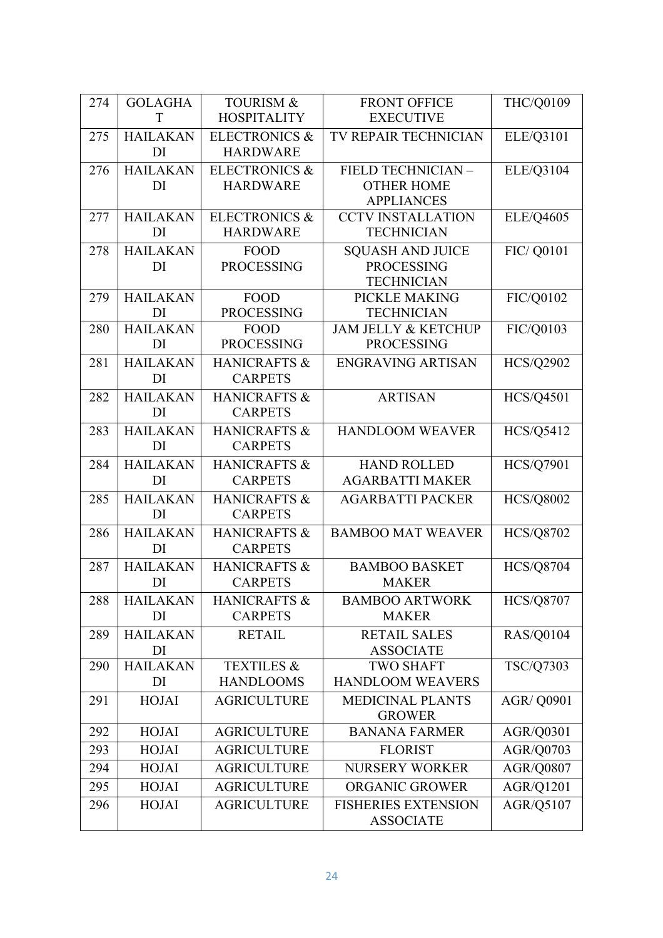| 274 | <b>GOLAGHA</b>        | <b>TOURISM &amp;</b>     | <b>FRONT OFFICE</b>                      | THC/Q0109         |
|-----|-----------------------|--------------------------|------------------------------------------|-------------------|
|     | T                     | <b>HOSPITALITY</b>       | <b>EXECUTIVE</b>                         |                   |
| 275 | <b>HAILAKAN</b>       | <b>ELECTRONICS &amp;</b> | TV REPAIR TECHNICIAN                     | ELE/Q3101         |
|     | DI                    | <b>HARDWARE</b>          |                                          |                   |
| 276 | <b>HAILAKAN</b>       | <b>ELECTRONICS &amp;</b> | FIELD TECHNICIAN -                       | ELE/Q3104         |
|     | DI                    | <b>HARDWARE</b>          | <b>OTHER HOME</b>                        |                   |
|     |                       |                          | <b>APPLIANCES</b>                        |                   |
| 277 | <b>HAILAKAN</b>       | <b>ELECTRONICS &amp;</b> | <b>CCTV INSTALLATION</b>                 | ELE/Q4605         |
|     | DI                    | <b>HARDWARE</b>          | <b>TECHNICIAN</b>                        |                   |
| 278 | <b>HAILAKAN</b>       | <b>FOOD</b>              | <b>SQUASH AND JUICE</b>                  | FIC/ Q0101        |
|     | DI                    | <b>PROCESSING</b>        | <b>PROCESSING</b><br><b>TECHNICIAN</b>   |                   |
| 279 | <b>HAILAKAN</b>       | <b>FOOD</b>              | PICKLE MAKING                            | FIC/Q0102         |
|     | DI                    | <b>PROCESSING</b>        | <b>TECHNICIAN</b>                        |                   |
| 280 | <b>HAILAKAN</b>       | <b>FOOD</b>              | <b>JAM JELLY &amp; KETCHUP</b>           | FIC/Q0103         |
|     | DI                    | <b>PROCESSING</b>        | <b>PROCESSING</b>                        |                   |
| 281 | <b>HAILAKAN</b>       | HANICRAFTS &             | <b>ENGRAVING ARTISAN</b>                 | <b>HCS/Q2902</b>  |
|     | DI                    | <b>CARPETS</b>           |                                          |                   |
| 282 | <b>HAILAKAN</b>       | HANICRAFTS &             | <b>ARTISAN</b>                           | <b>HCS/Q4501</b>  |
|     | DI                    | <b>CARPETS</b>           |                                          |                   |
| 283 | <b>HAILAKAN</b>       | <b>HANICRAFTS &amp;</b>  | <b>HANDLOOM WEAVER</b>                   | <b>HCS/Q5412</b>  |
|     | DI                    | <b>CARPETS</b>           |                                          |                   |
| 284 | <b>HAILAKAN</b>       | HANICRAFTS &             | <b>HAND ROLLED</b>                       | <b>HCS/Q7901</b>  |
|     | DI                    | <b>CARPETS</b>           | <b>AGARBATTI MAKER</b>                   |                   |
| 285 | <b>HAILAKAN</b>       | <b>HANICRAFTS &amp;</b>  | <b>AGARBATTI PACKER</b>                  | <b>HCS/Q8002</b>  |
|     | DI                    | <b>CARPETS</b>           |                                          |                   |
| 286 | <b>HAILAKAN</b>       | <b>HANICRAFTS &amp;</b>  | <b>BAMBOO MAT WEAVER</b>                 | <b>HCS/Q8702</b>  |
|     | DI                    | <b>CARPETS</b>           |                                          |                   |
| 287 | <b>HAILAKAN</b>       | <b>HANICRAFTS &amp;</b>  | <b>BAMBOO BASKET</b>                     | <b>HCS/Q8704</b>  |
|     | DI                    | <b>CARPETS</b>           | <b>MAKER</b>                             |                   |
| 288 | <b>HAILAKAN</b>       | HANICRAFTS &             | <b>BAMBOO ARTWORK</b>                    | <b>HCS/Q8707</b>  |
|     | DI                    | <b>CARPETS</b>           | <b>MAKER</b>                             |                   |
| 289 | <b>HAILAKAN</b>       | <b>RETAIL</b>            | <b>RETAIL SALES</b>                      | <b>RAS/Q0104</b>  |
|     | DI                    |                          | <b>ASSOCIATE</b>                         |                   |
| 290 | <b>HAILAKAN</b><br>DI | <b>TEXTILES &amp;</b>    | <b>TWO SHAFT</b>                         | TSC/Q7303         |
|     |                       | <b>HANDLOOMS</b>         | <b>HANDLOOM WEAVERS</b>                  |                   |
| 291 | <b>HOJAI</b>          | <b>AGRICULTURE</b>       | <b>MEDICINAL PLANTS</b><br><b>GROWER</b> | <b>AGR/ Q0901</b> |
| 292 | <b>HOJAI</b>          | <b>AGRICULTURE</b>       | <b>BANANA FARMER</b>                     | AGR/Q0301         |
| 293 | <b>HOJAI</b>          | <b>AGRICULTURE</b>       | <b>FLORIST</b>                           | AGR/Q0703         |
| 294 | <b>HOJAI</b>          | <b>AGRICULTURE</b>       | <b>NURSERY WORKER</b>                    | <b>AGR/Q0807</b>  |
| 295 | <b>HOJAI</b>          | <b>AGRICULTURE</b>       | ORGANIC GROWER                           | AGR/Q1201         |
| 296 | <b>HOJAI</b>          | <b>AGRICULTURE</b>       | <b>FISHERIES EXTENSION</b>               | AGR/Q5107         |
|     |                       |                          | <b>ASSOCIATE</b>                         |                   |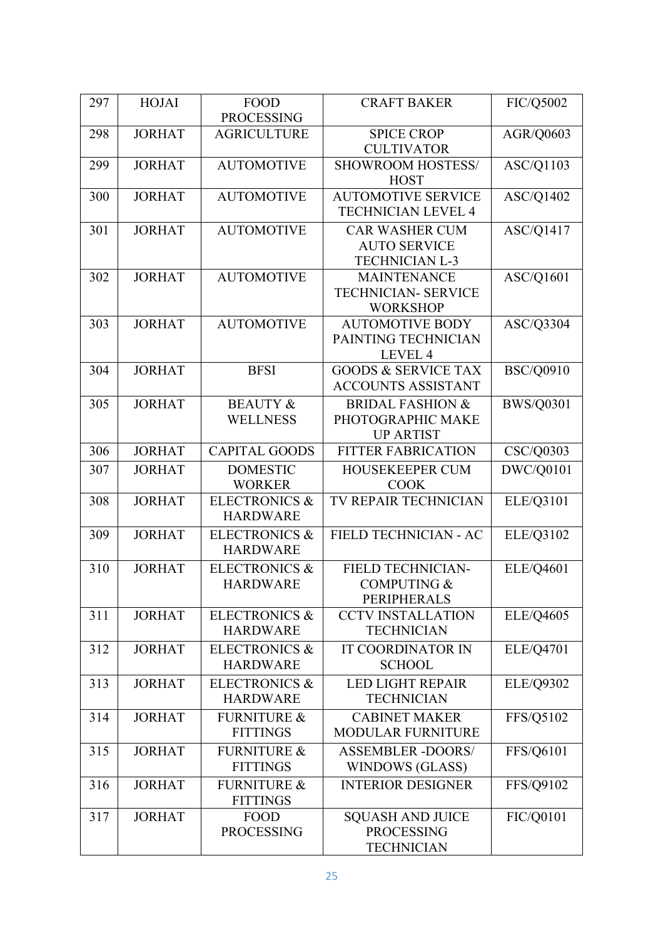| 297 | <b>HOJAI</b>  | <b>FOOD</b>              | <b>CRAFT BAKER</b>                                     | FIC/Q5002        |
|-----|---------------|--------------------------|--------------------------------------------------------|------------------|
|     |               | <b>PROCESSING</b>        |                                                        |                  |
| 298 | <b>JORHAT</b> | <b>AGRICULTURE</b>       | <b>SPICE CROP</b><br><b>CULTIVATOR</b>                 | AGR/Q0603        |
| 299 | <b>JORHAT</b> | <b>AUTOMOTIVE</b>        | <b>SHOWROOM HOSTESS/</b>                               | ASC/Q1103        |
|     |               |                          | <b>HOST</b>                                            |                  |
| 300 | <b>JORHAT</b> | <b>AUTOMOTIVE</b>        | <b>AUTOMOTIVE SERVICE</b><br><b>TECHNICIAN LEVEL 4</b> | ASC/Q1402        |
| 301 | <b>JORHAT</b> | <b>AUTOMOTIVE</b>        | <b>CAR WASHER CUM</b>                                  | ASC/Q1417        |
|     |               |                          | <b>AUTO SERVICE</b>                                    |                  |
|     |               |                          | <b>TECHNICIAN L-3</b>                                  |                  |
| 302 | <b>JORHAT</b> | <b>AUTOMOTIVE</b>        | <b>MAINTENANCE</b>                                     | ASC/Q1601        |
|     |               |                          | <b>TECHNICIAN- SERVICE</b>                             |                  |
|     |               |                          | <b>WORKSHOP</b>                                        |                  |
| 303 | <b>JORHAT</b> | <b>AUTOMOTIVE</b>        | <b>AUTOMOTIVE BODY</b>                                 | ASC/Q3304        |
|     |               |                          | PAINTING TECHNICIAN                                    |                  |
|     |               |                          | LEVEL 4                                                |                  |
| 304 | <b>JORHAT</b> | <b>BFSI</b>              | <b>GOODS &amp; SERVICE TAX</b>                         | <b>BSC/Q0910</b> |
|     |               |                          | <b>ACCOUNTS ASSISTANT</b>                              |                  |
| 305 | <b>JORHAT</b> | <b>BEAUTY &amp;</b>      | <b>BRIDAL FASHION &amp;</b>                            | <b>BWS/Q0301</b> |
|     |               | <b>WELLNESS</b>          | PHOTOGRAPHIC MAKE                                      |                  |
|     |               |                          | <b>UP ARTIST</b>                                       |                  |
|     |               |                          |                                                        |                  |
| 306 | <b>JORHAT</b> | <b>CAPITAL GOODS</b>     | <b>FITTER FABRICATION</b>                              | CSC/Q0303        |
| 307 | <b>JORHAT</b> | <b>DOMESTIC</b>          | HOUSEKEEPER CUM                                        | DWC/Q0101        |
|     |               | <b>WORKER</b>            | <b>COOK</b>                                            |                  |
| 308 | <b>JORHAT</b> | <b>ELECTRONICS &amp;</b> | TV REPAIR TECHNICIAN                                   | ELE/Q3101        |
|     |               | <b>HARDWARE</b>          |                                                        |                  |
| 309 | <b>JORHAT</b> | <b>ELECTRONICS &amp;</b> | FIELD TECHNICIAN - AC                                  | ELE/Q3102        |
|     |               | <b>HARDWARE</b>          |                                                        |                  |
| 310 | <b>JORHAT</b> | <b>ELECTRONICS &amp;</b> | FIELD TECHNICIAN-                                      | ELE/Q4601        |
|     |               | <b>HARDWARE</b>          | <b>COMPUTING &amp;</b>                                 |                  |
|     |               |                          | <b>PERIPHERALS</b>                                     |                  |
| 311 | <b>JORHAT</b> | <b>ELECTRONICS &amp;</b> | <b>CCTV INSTALLATION</b>                               | <b>ELE/Q4605</b> |
|     |               | <b>HARDWARE</b>          | <b>TECHNICIAN</b>                                      |                  |
| 312 | <b>JORHAT</b> | <b>ELECTRONICS &amp;</b> | <b>IT COORDINATOR IN</b>                               | ELE/Q4701        |
|     |               | <b>HARDWARE</b>          | <b>SCHOOL</b>                                          |                  |
| 313 | <b>JORHAT</b> | <b>ELECTRONICS &amp;</b> | <b>LED LIGHT REPAIR</b>                                | <b>ELE/Q9302</b> |
|     |               | <b>HARDWARE</b>          | <b>TECHNICIAN</b>                                      |                  |
| 314 | <b>JORHAT</b> | <b>FURNITURE &amp;</b>   | <b>CABINET MAKER</b>                                   | FFS/Q5102        |
|     |               | <b>FITTINGS</b>          | <b>MODULAR FURNITURE</b>                               |                  |
|     |               |                          |                                                        |                  |
| 315 | <b>JORHAT</b> | <b>FURNITURE &amp;</b>   | <b>ASSEMBLER -DOORS/</b>                               | FFS/Q6101        |
|     |               | <b>FITTINGS</b>          | WINDOWS (GLASS)                                        |                  |
| 316 | <b>JORHAT</b> | <b>FURNITURE &amp;</b>   | <b>INTERIOR DESIGNER</b>                               | FFS/Q9102        |
|     |               | <b>FITTINGS</b>          |                                                        |                  |
| 317 | <b>JORHAT</b> | FOOD                     | <b>SQUASH AND JUICE</b>                                | FIC/Q0101        |
|     |               | <b>PROCESSING</b>        | <b>PROCESSING</b>                                      |                  |
|     |               |                          | <b>TECHNICIAN</b>                                      |                  |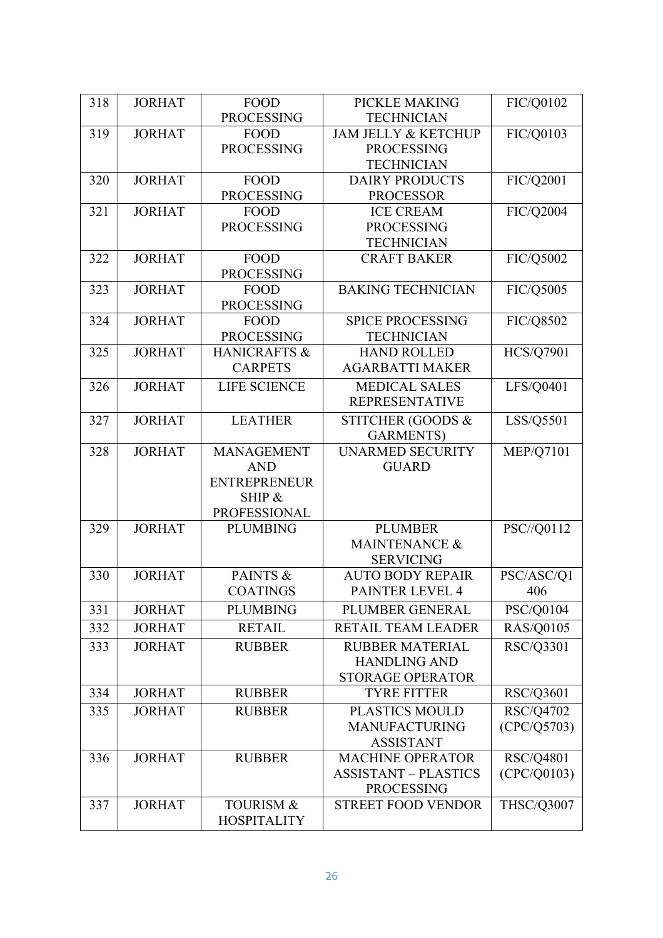| 318 | <b>JORHAT</b> | <b>FOOD</b>                               | PICKLE MAKING                                | FIC/Q0102         |
|-----|---------------|-------------------------------------------|----------------------------------------------|-------------------|
|     |               | <b>PROCESSING</b>                         | <b>TECHNICIAN</b>                            |                   |
| 319 | <b>JORHAT</b> | <b>FOOD</b>                               | <b>JAM JELLY &amp; KETCHUP</b>               | FIC/Q0103         |
|     |               | <b>PROCESSING</b>                         | <b>PROCESSING</b>                            |                   |
|     |               |                                           | <b>TECHNICIAN</b>                            |                   |
| 320 | <b>JORHAT</b> | <b>FOOD</b>                               | <b>DAIRY PRODUCTS</b>                        | FIC/Q2001         |
|     |               | <b>PROCESSING</b>                         | <b>PROCESSOR</b>                             |                   |
| 321 | <b>JORHAT</b> | <b>FOOD</b>                               | <b>ICE CREAM</b>                             | FIC/Q2004         |
|     |               | <b>PROCESSING</b>                         | <b>PROCESSING</b>                            |                   |
|     |               |                                           | <b>TECHNICIAN</b>                            |                   |
| 322 | <b>JORHAT</b> | <b>FOOD</b>                               | <b>CRAFT BAKER</b>                           | FIC/Q5002         |
|     |               | <b>PROCESSING</b>                         |                                              |                   |
| 323 | <b>JORHAT</b> | <b>FOOD</b>                               | <b>BAKING TECHNICIAN</b>                     | FIC/Q5005         |
|     |               | <b>PROCESSING</b>                         |                                              |                   |
| 324 | <b>JORHAT</b> | <b>FOOD</b>                               | <b>SPICE PROCESSING</b>                      | FIC/Q8502         |
|     |               | <b>PROCESSING</b>                         | <b>TECHNICIAN</b>                            |                   |
| 325 | <b>JORHAT</b> | <b>HANICRAFTS &amp;</b><br><b>CARPETS</b> | <b>HAND ROLLED</b><br><b>AGARBATTI MAKER</b> | <b>HCS/Q7901</b>  |
|     |               |                                           |                                              |                   |
| 326 | <b>JORHAT</b> | <b>LIFE SCIENCE</b>                       | <b>MEDICAL SALES</b>                         | LFS/Q0401         |
|     |               |                                           | <b>REPRESENTATIVE</b>                        |                   |
| 327 | <b>JORHAT</b> | <b>LEATHER</b>                            | STITCHER (GOODS &                            | LSS/Q5501         |
|     |               |                                           | <b>GARMENTS</b> )                            |                   |
| 328 | <b>JORHAT</b> | <b>MANAGEMENT</b>                         | <b>UNARMED SECURITY</b>                      | <b>MEP/Q7101</b>  |
|     |               | <b>AND</b>                                | <b>GUARD</b>                                 |                   |
|     |               | <b>ENTREPRENEUR</b>                       |                                              |                   |
|     |               | SHIP &                                    |                                              |                   |
|     | <b>JORHAT</b> | <b>PROFESSIONAL</b><br><b>PLUMBING</b>    | <b>PLUMBER</b>                               | PSC//Q0112        |
| 329 |               |                                           | <b>MAINTENANCE &amp;</b>                     |                   |
|     |               |                                           | <b>SERVICING</b>                             |                   |
| 330 | <b>JORHAT</b> | PAINTS &                                  | <b>AUTO BODY REPAIR</b>                      | PSC/ASC/Q1        |
|     |               | <b>COATINGS</b>                           | <b>PAINTER LEVEL 4</b>                       | 406               |
| 331 | <b>JORHAT</b> | <b>PLUMBING</b>                           | PLUMBER GENERAL                              | PSC/Q0104         |
|     |               |                                           |                                              |                   |
| 332 | <b>JORHAT</b> | <b>RETAIL</b>                             | RETAIL TEAM LEADER                           | RAS/Q0105         |
| 333 | <b>JORHAT</b> | <b>RUBBER</b>                             | <b>RUBBER MATERIAL</b>                       | RSC/Q3301         |
|     |               |                                           | <b>HANDLING AND</b>                          |                   |
|     |               |                                           | <b>STORAGE OPERATOR</b>                      |                   |
| 334 | <b>JORHAT</b> | <b>RUBBER</b>                             | <b>TYRE FITTER</b>                           | RSC/Q3601         |
| 335 | <b>JORHAT</b> | <b>RUBBER</b>                             | <b>PLASTICS MOULD</b>                        | RSC/Q4702         |
|     |               |                                           | <b>MANUFACTURING</b>                         | (CPC/Q5703)       |
|     |               |                                           | <b>ASSISTANT</b>                             |                   |
| 336 | <b>JORHAT</b> | <b>RUBBER</b>                             | <b>MACHINE OPERATOR</b>                      | RSC/Q4801         |
|     |               |                                           | <b>ASSISTANT - PLASTICS</b>                  | (CPC/Q0103)       |
|     |               |                                           | <b>PROCESSING</b>                            |                   |
| 337 | <b>JORHAT</b> | <b>TOURISM &amp;</b>                      | <b>STREET FOOD VENDOR</b>                    | <b>THSC/Q3007</b> |
|     |               | <b>HOSPITALITY</b>                        |                                              |                   |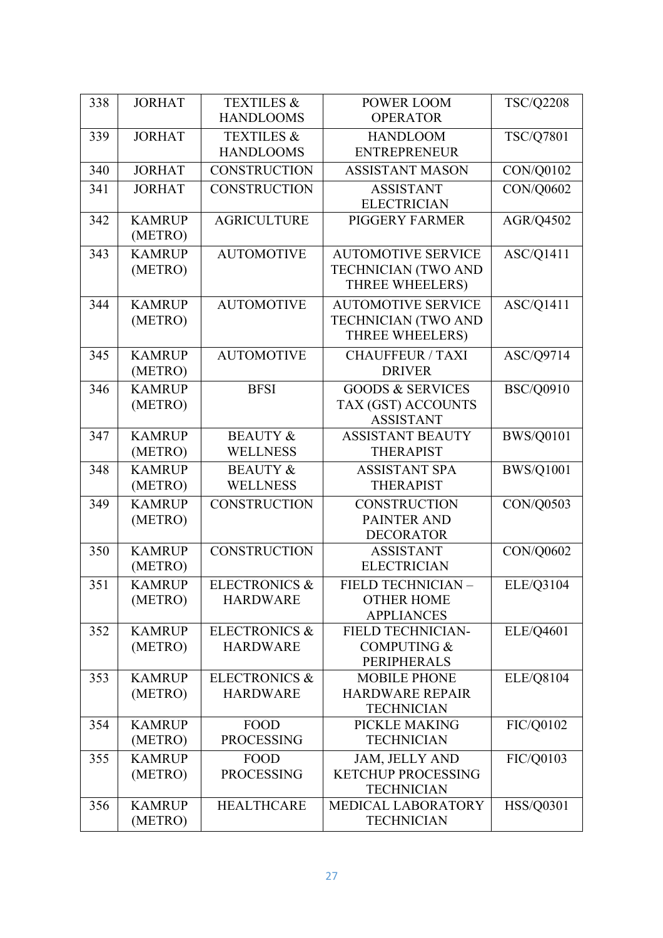| 338 | <b>JORHAT</b>            | <b>TEXTILES &amp;</b>    | <b>POWER LOOM</b>                              | <b>TSC/Q2208</b> |
|-----|--------------------------|--------------------------|------------------------------------------------|------------------|
|     |                          | <b>HANDLOOMS</b>         | <b>OPERATOR</b>                                |                  |
| 339 | <b>JORHAT</b>            | <b>TEXTILES &amp;</b>    | <b>HANDLOOM</b>                                | TSC/Q7801        |
|     |                          | <b>HANDLOOMS</b>         | <b>ENTREPRENEUR</b>                            |                  |
| 340 | <b>JORHAT</b>            | <b>CONSTRUCTION</b>      | <b>ASSISTANT MASON</b>                         | CON/Q0102        |
| 341 | <b>JORHAT</b>            | <b>CONSTRUCTION</b>      | <b>ASSISTANT</b>                               | CON/Q0602        |
|     |                          |                          | <b>ELECTRICIAN</b>                             |                  |
| 342 | <b>KAMRUP</b>            | <b>AGRICULTURE</b>       | <b>PIGGERY FARMER</b>                          | AGR/Q4502        |
|     | (METRO)                  |                          |                                                |                  |
| 343 | <b>KAMRUP</b>            | <b>AUTOMOTIVE</b>        | <b>AUTOMOTIVE SERVICE</b>                      | ASC/Q1411        |
|     | (METRO)                  |                          | <b>TECHNICIAN (TWO AND</b>                     |                  |
|     |                          |                          | THREE WHEELERS)                                |                  |
| 344 | <b>KAMRUP</b>            | <b>AUTOMOTIVE</b>        | <b>AUTOMOTIVE SERVICE</b>                      | ASC/Q1411        |
|     | (METRO)                  |                          | <b>TECHNICIAN (TWO AND</b><br>THREE WHEELERS)  |                  |
|     |                          |                          |                                                |                  |
| 345 | <b>KAMRUP</b><br>(METRO) | <b>AUTOMOTIVE</b>        | <b>CHAUFFEUR / TAXI</b><br><b>DRIVER</b>       | ASC/Q9714        |
| 346 | <b>KAMRUP</b>            | <b>BFSI</b>              | <b>GOODS &amp; SERVICES</b>                    | <b>BSC/Q0910</b> |
|     | (METRO)                  |                          | TAX (GST) ACCOUNTS                             |                  |
|     |                          |                          | <b>ASSISTANT</b>                               |                  |
| 347 | <b>KAMRUP</b>            | <b>BEAUTY &amp;</b>      | <b>ASSISTANT BEAUTY</b>                        | <b>BWS/Q0101</b> |
|     | (METRO)                  | <b>WELLNESS</b>          | <b>THERAPIST</b>                               |                  |
| 348 | <b>KAMRUP</b>            | <b>BEAUTY &amp;</b>      | <b>ASSISTANT SPA</b>                           | <b>BWS/Q1001</b> |
|     | (METRO)                  | <b>WELLNESS</b>          | <b>THERAPIST</b>                               |                  |
| 349 | <b>KAMRUP</b>            | <b>CONSTRUCTION</b>      | <b>CONSTRUCTION</b>                            | CON/Q0503        |
|     | (METRO)                  |                          | <b>PAINTER AND</b>                             |                  |
|     |                          |                          | <b>DECORATOR</b>                               |                  |
| 350 | <b>KAMRUP</b>            | <b>CONSTRUCTION</b>      | <b>ASSISTANT</b>                               | CON/Q0602        |
|     | (METRO)                  |                          | <b>ELECTRICIAN</b>                             |                  |
| 351 | <b>KAMRUP</b>            | <b>ELECTRONICS &amp;</b> | FIELD TECHNICIAN -                             | ELE/Q3104        |
|     | (METRO)                  | <b>HARDWARE</b>          | <b>OTHER HOME</b><br><b>APPLIANCES</b>         |                  |
| 352 | <b>KAMRUP</b>            | <b>ELECTRONICS &amp;</b> | <b>FIELD TECHNICIAN-</b>                       | ELE/Q4601        |
|     | (METRO)                  | <b>HARDWARE</b>          | <b>COMPUTING &amp;</b>                         |                  |
|     |                          |                          | <b>PERIPHERALS</b>                             |                  |
| 353 | <b>KAMRUP</b>            | <b>ELECTRONICS &amp;</b> | <b>MOBILE PHONE</b>                            | ELE/Q8104        |
|     | (METRO)                  | <b>HARDWARE</b>          | <b>HARDWARE REPAIR</b>                         |                  |
|     |                          |                          | <b>TECHNICIAN</b>                              |                  |
| 354 | <b>KAMRUP</b>            | <b>FOOD</b>              | PICKLE MAKING                                  | FIC/Q0102        |
|     | (METRO)                  | <b>PROCESSING</b>        | <b>TECHNICIAN</b>                              |                  |
| 355 | <b>KAMRUP</b>            | <b>FOOD</b>              | JAM, JELLY AND                                 | FIC/Q0103        |
|     | (METRO)                  | <b>PROCESSING</b>        | <b>KETCHUP PROCESSING</b><br><b>TECHNICIAN</b> |                  |
| 356 | <b>KAMRUP</b>            | <b>HEALTHCARE</b>        | MEDICAL LABORATORY                             | <b>HSS/Q0301</b> |
|     | (METRO)                  |                          | <b>TECHNICIAN</b>                              |                  |
|     |                          |                          |                                                |                  |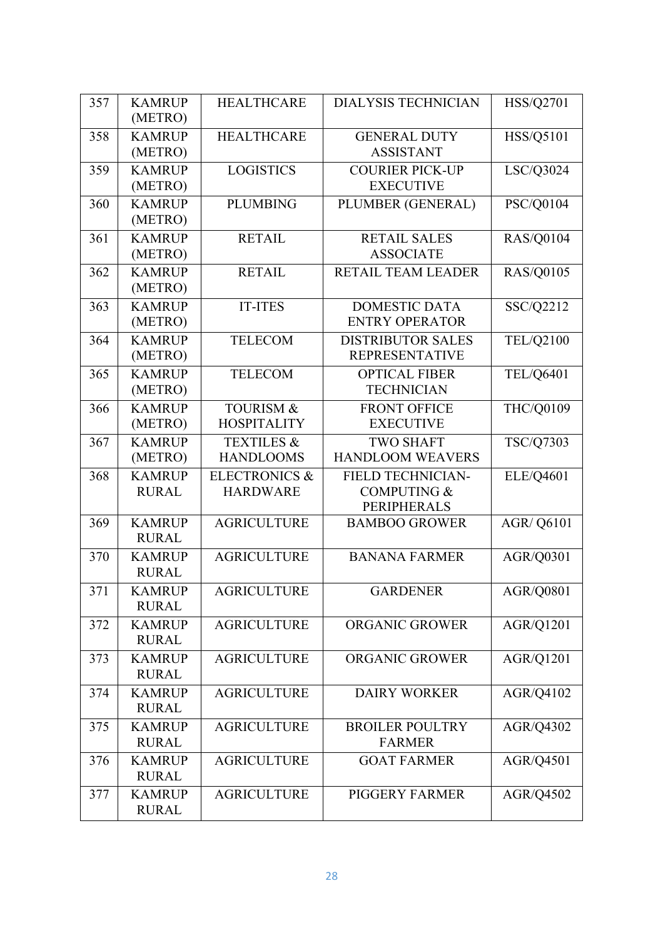| 357 | <b>KAMRUP</b><br>(METRO)      | <b>HEALTHCARE</b>                           | <b>DIALYSIS TECHNICIAN</b>                                        | <b>HSS/Q2701</b>  |
|-----|-------------------------------|---------------------------------------------|-------------------------------------------------------------------|-------------------|
| 358 | <b>KAMRUP</b><br>(METRO)      | <b>HEALTHCARE</b>                           | <b>GENERAL DUTY</b><br><b>ASSISTANT</b>                           | HSS/Q5101         |
| 359 | <b>KAMRUP</b><br>(METRO)      | <b>LOGISTICS</b>                            | <b>COURIER PICK-UP</b><br><b>EXECUTIVE</b>                        | LSC/Q3024         |
| 360 | <b>KAMRUP</b><br>(METRO)      | <b>PLUMBING</b>                             | PLUMBER (GENERAL)                                                 | PSC/Q0104         |
| 361 | <b>KAMRUP</b><br>(METRO)      | <b>RETAIL</b>                               | <b>RETAIL SALES</b><br><b>ASSOCIATE</b>                           | <b>RAS/Q0104</b>  |
| 362 | <b>KAMRUP</b><br>(METRO)      | <b>RETAIL</b>                               | RETAIL TEAM LEADER                                                | <b>RAS/Q0105</b>  |
| 363 | <b>KAMRUP</b><br>(METRO)      | <b>IT-ITES</b>                              | <b>DOMESTIC DATA</b><br><b>ENTRY OPERATOR</b>                     | SSC/Q2212         |
| 364 | <b>KAMRUP</b><br>(METRO)      | <b>TELECOM</b>                              | <b>DISTRIBUTOR SALES</b><br><b>REPRESENTATIVE</b>                 | TEL/Q2100         |
| 365 | <b>KAMRUP</b><br>(METRO)      | <b>TELECOM</b>                              | <b>OPTICAL FIBER</b><br><b>TECHNICIAN</b>                         | TEL/Q6401         |
| 366 | <b>KAMRUP</b><br>(METRO)      | <b>TOURISM &amp;</b><br><b>HOSPITALITY</b>  | <b>FRONT OFFICE</b><br><b>EXECUTIVE</b>                           | THC/Q0109         |
| 367 | <b>KAMRUP</b><br>(METRO)      | <b>TEXTILES &amp;</b><br><b>HANDLOOMS</b>   | <b>TWO SHAFT</b><br><b>HANDLOOM WEAVERS</b>                       | TSC/Q7303         |
| 368 | <b>KAMRUP</b><br><b>RURAL</b> | <b>ELECTRONICS &amp;</b><br><b>HARDWARE</b> | FIELD TECHNICIAN-<br><b>COMPUTING &amp;</b><br><b>PERIPHERALS</b> | ELE/Q4601         |
| 369 | <b>KAMRUP</b><br><b>RURAL</b> | <b>AGRICULTURE</b>                          | <b>BAMBOO GROWER</b>                                              | <b>AGR/ Q6101</b> |
| 370 | <b>KAMRUP</b><br><b>RURAL</b> | <b>AGRICULTURE</b>                          | <b>BANANA FARMER</b>                                              | AGR/Q0301         |
| 371 | <b>KAMRUP</b><br><b>RURAL</b> | <b>AGRICULTURE</b>                          | <b>GARDENER</b>                                                   | AGR/Q0801         |
| 372 | <b>KAMRUP</b><br><b>RURAL</b> | <b>AGRICULTURE</b>                          | ORGANIC GROWER                                                    | AGR/Q1201         |
| 373 | <b>KAMRUP</b><br><b>RURAL</b> | <b>AGRICULTURE</b>                          | <b>ORGANIC GROWER</b>                                             | AGR/Q1201         |
| 374 | <b>KAMRUP</b><br><b>RURAL</b> | <b>AGRICULTURE</b>                          | <b>DAIRY WORKER</b>                                               | AGR/Q4102         |
| 375 | <b>KAMRUP</b><br><b>RURAL</b> | <b>AGRICULTURE</b>                          | <b>BROILER POULTRY</b><br><b>FARMER</b>                           | AGR/Q4302         |
| 376 | <b>KAMRUP</b><br><b>RURAL</b> | <b>AGRICULTURE</b>                          | <b>GOAT FARMER</b>                                                | AGR/Q4501         |
| 377 | <b>KAMRUP</b><br><b>RURAL</b> | <b>AGRICULTURE</b>                          | PIGGERY FARMER                                                    | AGR/Q4502         |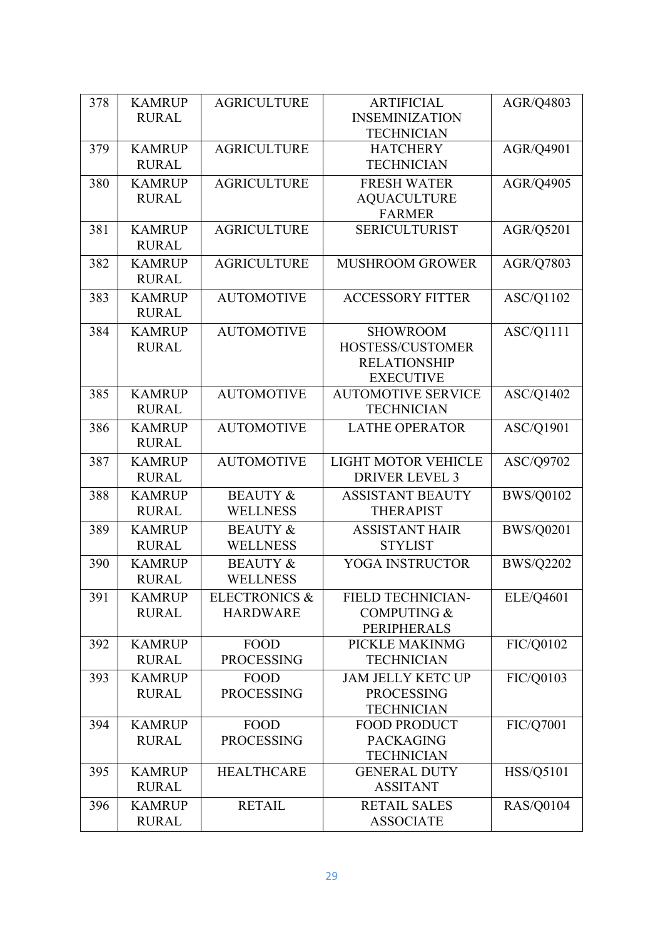| 378 | <b>KAMRUP</b> | <b>AGRICULTURE</b>       | <b>ARTIFICIAL</b>          | AGR/Q4803        |
|-----|---------------|--------------------------|----------------------------|------------------|
|     | <b>RURAL</b>  |                          | <b>INSEMINIZATION</b>      |                  |
|     |               |                          | <b>TECHNICIAN</b>          |                  |
| 379 | <b>KAMRUP</b> | <b>AGRICULTURE</b>       | <b>HATCHERY</b>            | AGR/Q4901        |
|     | <b>RURAL</b>  |                          | <b>TECHNICIAN</b>          |                  |
|     |               |                          |                            |                  |
| 380 | <b>KAMRUP</b> | <b>AGRICULTURE</b>       | <b>FRESH WATER</b>         | AGR/Q4905        |
|     | <b>RURAL</b>  |                          | <b>AQUACULTURE</b>         |                  |
|     |               |                          | <b>FARMER</b>              |                  |
| 381 | <b>KAMRUP</b> | <b>AGRICULTURE</b>       | <b>SERICULTURIST</b>       | AGR/Q5201        |
|     | <b>RURAL</b>  |                          |                            |                  |
| 382 | <b>KAMRUP</b> | <b>AGRICULTURE</b>       | <b>MUSHROOM GROWER</b>     | AGR/Q7803        |
|     | <b>RURAL</b>  |                          |                            |                  |
| 383 | <b>KAMRUP</b> | <b>AUTOMOTIVE</b>        | <b>ACCESSORY FITTER</b>    | ASC/Q1102        |
|     | <b>RURAL</b>  |                          |                            |                  |
| 384 | <b>KAMRUP</b> | <b>AUTOMOTIVE</b>        | <b>SHOWROOM</b>            | ASC/Q1111        |
|     | <b>RURAL</b>  |                          | HOSTESS/CUSTOMER           |                  |
|     |               |                          | <b>RELATIONSHIP</b>        |                  |
|     |               |                          | <b>EXECUTIVE</b>           |                  |
| 385 | <b>KAMRUP</b> | <b>AUTOMOTIVE</b>        | <b>AUTOMOTIVE SERVICE</b>  | ASC/Q1402        |
|     | <b>RURAL</b>  |                          | <b>TECHNICIAN</b>          |                  |
| 386 | <b>KAMRUP</b> | <b>AUTOMOTIVE</b>        | <b>LATHE OPERATOR</b>      | ASC/Q1901        |
|     | <b>RURAL</b>  |                          |                            |                  |
| 387 | <b>KAMRUP</b> | <b>AUTOMOTIVE</b>        | <b>LIGHT MOTOR VEHICLE</b> | ASC/Q9702        |
|     | <b>RURAL</b>  |                          | <b>DRIVER LEVEL 3</b>      |                  |
| 388 | <b>KAMRUP</b> | <b>BEAUTY &amp;</b>      | <b>ASSISTANT BEAUTY</b>    | <b>BWS/Q0102</b> |
|     | <b>RURAL</b>  | <b>WELLNESS</b>          | <b>THERAPIST</b>           |                  |
| 389 | <b>KAMRUP</b> | <b>BEAUTY &amp;</b>      | <b>ASSISTANT HAIR</b>      | <b>BWS/Q0201</b> |
|     | <b>RURAL</b>  | <b>WELLNESS</b>          | <b>STYLIST</b>             |                  |
| 390 | <b>KAMRUP</b> | <b>BEAUTY &amp;</b>      | YOGA INSTRUCTOR            | <b>BWS/Q2202</b> |
|     | <b>RURAL</b>  | <b>WELLNESS</b>          |                            |                  |
|     |               |                          |                            |                  |
| 391 | <b>KAMRUP</b> | <b>ELECTRONICS &amp;</b> | <b>FIELD TECHNICIAN-</b>   | ELE/Q4601        |
|     | <b>RURAL</b>  | <b>HARDWARE</b>          | <b>COMPUTING &amp;</b>     |                  |
|     |               |                          | PERIPHERALS                |                  |
| 392 | <b>KAMRUP</b> | <b>FOOD</b>              | PICKLE MAKINMG             | FIC/Q0102        |
|     | <b>RURAL</b>  | <b>PROCESSING</b>        | <b>TECHNICIAN</b>          |                  |
| 393 | <b>KAMRUP</b> | <b>FOOD</b>              | <b>JAM JELLY KETC UP</b>   | FIC/Q0103        |
|     | <b>RURAL</b>  | <b>PROCESSING</b>        | <b>PROCESSING</b>          |                  |
|     |               |                          | <b>TECHNICIAN</b>          |                  |
| 394 | <b>KAMRUP</b> | <b>FOOD</b>              | <b>FOOD PRODUCT</b>        | FIC/Q7001        |
|     | <b>RURAL</b>  | <b>PROCESSING</b>        | <b>PACKAGING</b>           |                  |
|     |               |                          | <b>TECHNICIAN</b>          |                  |
| 395 | <b>KAMRUP</b> | <b>HEALTHCARE</b>        | <b>GENERAL DUTY</b>        | HSS/Q5101        |
|     | <b>RURAL</b>  |                          | <b>ASSITANT</b>            |                  |
| 396 | <b>KAMRUP</b> | <b>RETAIL</b>            | <b>RETAIL SALES</b>        | <b>RAS/Q0104</b> |
|     | <b>RURAL</b>  |                          | <b>ASSOCIATE</b>           |                  |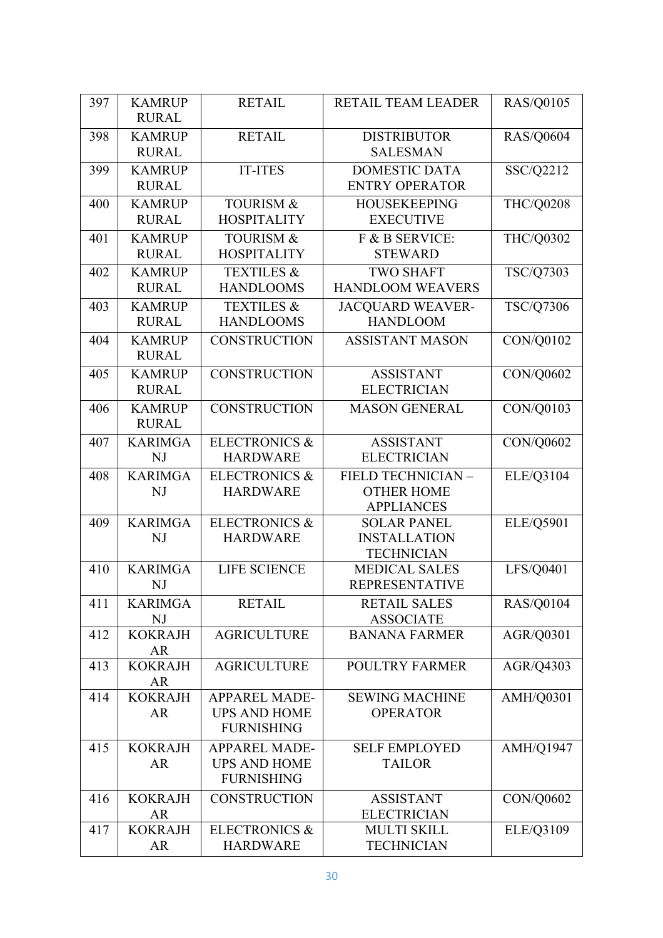| 397 | <b>KAMRUP</b>               | <b>RETAIL</b>            | RETAIL TEAM LEADER                      | <b>RAS/Q0105</b> |
|-----|-----------------------------|--------------------------|-----------------------------------------|------------------|
|     | <b>RURAL</b>                |                          |                                         |                  |
| 398 | <b>KAMRUP</b>               | <b>RETAIL</b>            | <b>DISTRIBUTOR</b>                      | <b>RAS/Q0604</b> |
|     | <b>RURAL</b>                |                          | <b>SALESMAN</b>                         |                  |
| 399 | <b>KAMRUP</b>               | <b>IT-ITES</b>           | <b>DOMESTIC DATA</b>                    | SSC/Q2212        |
|     | <b>RURAL</b>                |                          | <b>ENTRY OPERATOR</b>                   |                  |
| 400 | <b>KAMRUP</b>               | <b>TOURISM &amp;</b>     | <b>HOUSEKEEPING</b>                     | <b>THC/Q0208</b> |
|     | <b>RURAL</b>                | <b>HOSPITALITY</b>       | <b>EXECUTIVE</b>                        |                  |
| 401 | <b>KAMRUP</b>               | <b>TOURISM &amp;</b>     | F & B SERVICE:                          | <b>THC/Q0302</b> |
|     | <b>RURAL</b>                | <b>HOSPITALITY</b>       | <b>STEWARD</b>                          |                  |
| 402 | <b>KAMRUP</b>               | <b>TEXTILES &amp;</b>    | <b>TWO SHAFT</b>                        | TSC/Q7303        |
|     | <b>RURAL</b>                | <b>HANDLOOMS</b>         | <b>HANDLOOM WEAVERS</b>                 |                  |
| 403 | <b>KAMRUP</b>               | <b>TEXTILES &amp;</b>    | <b>JACQUARD WEAVER-</b>                 | <b>TSC/Q7306</b> |
|     | <b>RURAL</b>                | <b>HANDLOOMS</b>         | <b>HANDLOOM</b>                         |                  |
| 404 | <b>KAMRUP</b>               | <b>CONSTRUCTION</b>      | <b>ASSISTANT MASON</b>                  | CON/Q0102        |
|     | <b>RURAL</b>                |                          |                                         |                  |
| 405 | <b>KAMRUP</b>               | <b>CONSTRUCTION</b>      | <b>ASSISTANT</b>                        | CON/Q0602        |
|     | <b>RURAL</b>                |                          | <b>ELECTRICIAN</b>                      |                  |
| 406 | <b>KAMRUP</b>               | <b>CONSTRUCTION</b>      | <b>MASON GENERAL</b>                    | CON/Q0103        |
|     | <b>RURAL</b>                |                          |                                         |                  |
| 407 | <b>KARIMGA</b>              | <b>ELECTRONICS &amp;</b> | <b>ASSISTANT</b>                        | CON/Q0602        |
|     | <b>NJ</b>                   | <b>HARDWARE</b>          | <b>ELECTRICIAN</b>                      |                  |
| 408 | <b>KARIMGA</b>              | <b>ELECTRONICS &amp;</b> | FIELD TECHNICIAN -                      | ELE/Q3104        |
|     | NJ                          | <b>HARDWARE</b>          | <b>OTHER HOME</b>                       |                  |
| 409 | <b>KARIMGA</b>              | <b>ELECTRONICS &amp;</b> | <b>APPLIANCES</b><br><b>SOLAR PANEL</b> | ELE/Q5901        |
|     | NJ                          | <b>HARDWARE</b>          | <b>INSTALLATION</b>                     |                  |
|     |                             |                          | <b>TECHNICIAN</b>                       |                  |
| 410 | <b>KARIMGA</b>              | <b>LIFE SCIENCE</b>      | <b>MEDICAL SALES</b>                    | LFS/Q0401        |
|     | NJ                          |                          | <b>REPRESENTATIVE</b>                   |                  |
| 411 | <b>KARIMGA</b>              | <b>RETAIL</b>            | <b>RETAIL SALES</b>                     | <b>RAS/Q0104</b> |
|     | NJ                          |                          | <b>ASSOCIATE</b>                        |                  |
| 412 | <b>KOKRAJH</b>              | <b>AGRICULTURE</b>       | <b>BANANA FARMER</b>                    | AGR/Q0301        |
|     | AR                          |                          |                                         |                  |
| 413 | <b>KOKRAJH</b>              | <b>AGRICULTURE</b>       | <b>POULTRY FARMER</b>                   | AGR/Q4303        |
| 414 | <b>AR</b><br><b>KOKRAJH</b> | <b>APPAREL MADE-</b>     | <b>SEWING MACHINE</b>                   | AMH/Q0301        |
|     | <b>AR</b>                   | <b>UPS AND HOME</b>      | <b>OPERATOR</b>                         |                  |
|     |                             | <b>FURNISHING</b>        |                                         |                  |
| 415 | <b>KOKRAJH</b>              | <b>APPAREL MADE-</b>     | <b>SELF EMPLOYED</b>                    | <b>AMH/Q1947</b> |
|     | <b>AR</b>                   | <b>UPS AND HOME</b>      | <b>TAILOR</b>                           |                  |
|     |                             | <b>FURNISHING</b>        |                                         |                  |
| 416 | <b>KOKRAJH</b>              | <b>CONSTRUCTION</b>      | <b>ASSISTANT</b>                        | CON/Q0602        |
|     | AR                          |                          | <b>ELECTRICIAN</b>                      |                  |
| 417 | <b>KOKRAJH</b>              | <b>ELECTRONICS &amp;</b> | <b>MULTI SKILL</b>                      | ELE/Q3109        |
|     | AR                          | <b>HARDWARE</b>          | <b>TECHNICIAN</b>                       |                  |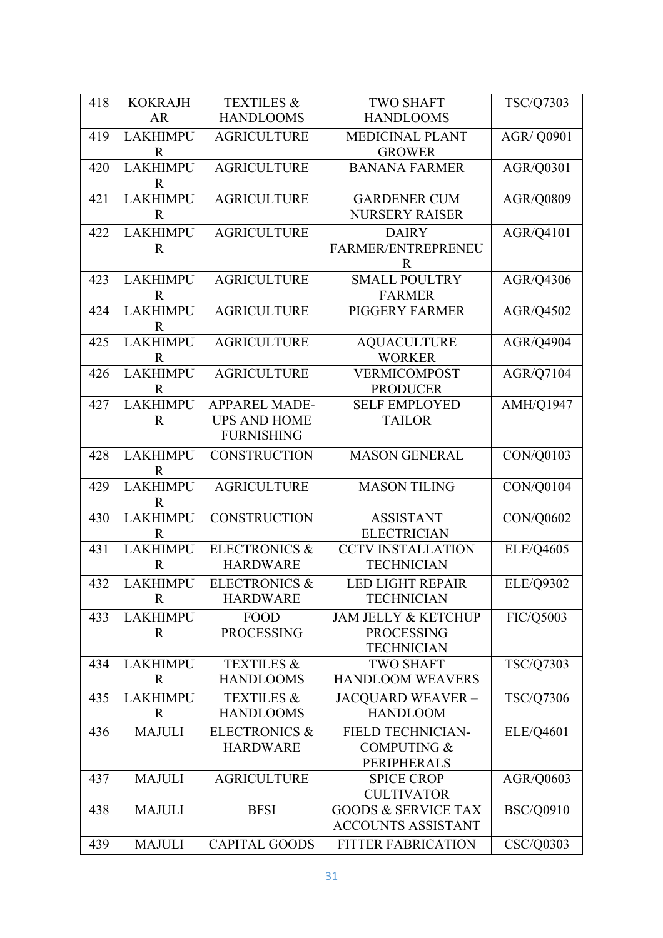| <b>HANDLOOMS</b><br><b>HANDLOOMS</b><br><b>AR</b><br><b>LAKHIMPU</b><br><b>AGRICULTURE</b><br><b>MEDICINAL PLANT</b><br><b>AGR/ Q0901</b><br>419<br>$\mathbf R$<br><b>GROWER</b><br><b>LAKHIMPU</b><br><b>AGRICULTURE</b><br><b>BANANA FARMER</b><br>AGR/Q0301<br>420<br>$\mathbb{R}$<br><b>LAKHIMPU</b><br><b>AGRICULTURE</b><br>AGR/Q0809<br>421<br><b>GARDENER CUM</b><br>$\mathbf R$<br><b>NURSERY RAISER</b><br><b>LAKHIMPU</b><br><b>AGRICULTURE</b><br>422<br><b>DAIRY</b><br>AGR/Q4101<br>$\mathbf R$<br>FARMER/ENTREPRENEU<br>$\mathbb{R}$<br><b>LAKHIMPU</b><br><b>AGRICULTURE</b><br>423<br><b>SMALL POULTRY</b><br>AGR/Q4306<br><b>FARMER</b><br>$\mathbf R$<br><b>LAKHIMPU</b><br><b>AGRICULTURE</b><br>PIGGERY FARMER<br>424<br>AGR/Q4502<br>$\mathbf R$<br><b>LAKHIMPU</b><br><b>AGRICULTURE</b><br>AGR/Q4904<br>425<br><b>AQUACULTURE</b><br><b>WORKER</b><br>$\mathbb{R}$<br><b>LAKHIMPU</b><br><b>AGRICULTURE</b><br>426<br><b>VERMICOMPOST</b><br>AGR/Q7104<br><b>PRODUCER</b><br>$\mathbb{R}$<br><b>LAKHIMPU</b><br><b>APPAREL MADE-</b><br><b>AMH/Q1947</b><br><b>SELF EMPLOYED</b><br>427<br><b>UPS AND HOME</b><br><b>TAILOR</b><br>$\mathbf R$<br><b>FURNISHING</b><br><b>LAKHIMPU</b><br><b>CONSTRUCTION</b><br><b>MASON GENERAL</b><br>CON/Q0103<br>428<br>$\mathbf R$<br><b>LAKHIMPU</b><br><b>AGRICULTURE</b><br><b>MASON TILING</b><br>CON/Q0104<br>429<br>$\mathbf R$<br><b>LAKHIMPU</b><br><b>CONSTRUCTION</b><br>CON/Q0602<br><b>ASSISTANT</b><br>430<br>$\mathbb{R}$<br><b>ELECTRICIAN</b><br><b>ELECTRONICS &amp;</b><br><b>LAKHIMPU</b><br>ELE/Q4605<br>431<br><b>CCTV INSTALLATION</b><br>$\mathbf R$<br><b>HARDWARE</b><br><b>TECHNICIAN</b><br><b>ELECTRONICS &amp;</b><br><b>LED LIGHT REPAIR</b><br>432<br><b>LAKHIMPU</b><br><b>ELE/Q9302</b><br><b>HARDWARE</b><br><b>TECHNICIAN</b><br>R<br><b>LAKHIMPU</b><br><b>FOOD</b><br><b>JAM JELLY &amp; KETCHUP</b><br>FIC/Q5003<br>433<br><b>PROCESSING</b><br><b>PROCESSING</b><br>R<br><b>TECHNICIAN</b><br>TSC/Q7303<br><b>TEXTILES &amp;</b><br><b>LAKHIMPU</b><br><b>TWO SHAFT</b><br>434<br><b>HANDLOOM WEAVERS</b><br><b>HANDLOOMS</b><br>R<br><b>LAKHIMPU</b><br>TSC/Q7306<br><b>TEXTILES &amp;</b><br><b>JACQUARD WEAVER -</b><br>435<br><b>HANDLOOMS</b><br><b>HANDLOOM</b><br>R<br><b>MAJULI</b><br><b>ELECTRONICS &amp;</b><br><b>FIELD TECHNICIAN-</b><br>ELE/Q4601<br>436<br><b>HARDWARE</b><br><b>COMPUTING &amp;</b><br>PERIPHERALS<br><b>MAJULI</b><br>AGR/Q0603<br>437<br><b>AGRICULTURE</b><br><b>SPICE CROP</b><br><b>CULTIVATOR</b><br><b>BSC/Q0910</b><br><b>MAJULI</b><br><b>GOODS &amp; SERVICE TAX</b><br>438<br><b>BFSI</b><br><b>ACCOUNTS ASSISTANT</b><br><b>CAPITAL GOODS</b><br>CSC/Q0303<br><b>MAJULI</b><br><b>FITTER FABRICATION</b><br>439 |     |                |                       |                  |           |
|-------------------------------------------------------------------------------------------------------------------------------------------------------------------------------------------------------------------------------------------------------------------------------------------------------------------------------------------------------------------------------------------------------------------------------------------------------------------------------------------------------------------------------------------------------------------------------------------------------------------------------------------------------------------------------------------------------------------------------------------------------------------------------------------------------------------------------------------------------------------------------------------------------------------------------------------------------------------------------------------------------------------------------------------------------------------------------------------------------------------------------------------------------------------------------------------------------------------------------------------------------------------------------------------------------------------------------------------------------------------------------------------------------------------------------------------------------------------------------------------------------------------------------------------------------------------------------------------------------------------------------------------------------------------------------------------------------------------------------------------------------------------------------------------------------------------------------------------------------------------------------------------------------------------------------------------------------------------------------------------------------------------------------------------------------------------------------------------------------------------------------------------------------------------------------------------------------------------------------------------------------------------------------------------------------------------------------------------------------------------------------------------------------------------------------------------------------------------------------------------------------------------------------------------------------------------------------------------------------------------------------------------------------------------------------------------------------------------------------------------------------------------|-----|----------------|-----------------------|------------------|-----------|
|                                                                                                                                                                                                                                                                                                                                                                                                                                                                                                                                                                                                                                                                                                                                                                                                                                                                                                                                                                                                                                                                                                                                                                                                                                                                                                                                                                                                                                                                                                                                                                                                                                                                                                                                                                                                                                                                                                                                                                                                                                                                                                                                                                                                                                                                                                                                                                                                                                                                                                                                                                                                                                                                                                                                                                   | 418 | <b>KOKRAJH</b> | <b>TEXTILES &amp;</b> | <b>TWO SHAFT</b> | TSC/Q7303 |
|                                                                                                                                                                                                                                                                                                                                                                                                                                                                                                                                                                                                                                                                                                                                                                                                                                                                                                                                                                                                                                                                                                                                                                                                                                                                                                                                                                                                                                                                                                                                                                                                                                                                                                                                                                                                                                                                                                                                                                                                                                                                                                                                                                                                                                                                                                                                                                                                                                                                                                                                                                                                                                                                                                                                                                   |     |                |                       |                  |           |
|                                                                                                                                                                                                                                                                                                                                                                                                                                                                                                                                                                                                                                                                                                                                                                                                                                                                                                                                                                                                                                                                                                                                                                                                                                                                                                                                                                                                                                                                                                                                                                                                                                                                                                                                                                                                                                                                                                                                                                                                                                                                                                                                                                                                                                                                                                                                                                                                                                                                                                                                                                                                                                                                                                                                                                   |     |                |                       |                  |           |
|                                                                                                                                                                                                                                                                                                                                                                                                                                                                                                                                                                                                                                                                                                                                                                                                                                                                                                                                                                                                                                                                                                                                                                                                                                                                                                                                                                                                                                                                                                                                                                                                                                                                                                                                                                                                                                                                                                                                                                                                                                                                                                                                                                                                                                                                                                                                                                                                                                                                                                                                                                                                                                                                                                                                                                   |     |                |                       |                  |           |
|                                                                                                                                                                                                                                                                                                                                                                                                                                                                                                                                                                                                                                                                                                                                                                                                                                                                                                                                                                                                                                                                                                                                                                                                                                                                                                                                                                                                                                                                                                                                                                                                                                                                                                                                                                                                                                                                                                                                                                                                                                                                                                                                                                                                                                                                                                                                                                                                                                                                                                                                                                                                                                                                                                                                                                   |     |                |                       |                  |           |
|                                                                                                                                                                                                                                                                                                                                                                                                                                                                                                                                                                                                                                                                                                                                                                                                                                                                                                                                                                                                                                                                                                                                                                                                                                                                                                                                                                                                                                                                                                                                                                                                                                                                                                                                                                                                                                                                                                                                                                                                                                                                                                                                                                                                                                                                                                                                                                                                                                                                                                                                                                                                                                                                                                                                                                   |     |                |                       |                  |           |
|                                                                                                                                                                                                                                                                                                                                                                                                                                                                                                                                                                                                                                                                                                                                                                                                                                                                                                                                                                                                                                                                                                                                                                                                                                                                                                                                                                                                                                                                                                                                                                                                                                                                                                                                                                                                                                                                                                                                                                                                                                                                                                                                                                                                                                                                                                                                                                                                                                                                                                                                                                                                                                                                                                                                                                   |     |                |                       |                  |           |
|                                                                                                                                                                                                                                                                                                                                                                                                                                                                                                                                                                                                                                                                                                                                                                                                                                                                                                                                                                                                                                                                                                                                                                                                                                                                                                                                                                                                                                                                                                                                                                                                                                                                                                                                                                                                                                                                                                                                                                                                                                                                                                                                                                                                                                                                                                                                                                                                                                                                                                                                                                                                                                                                                                                                                                   |     |                |                       |                  |           |
|                                                                                                                                                                                                                                                                                                                                                                                                                                                                                                                                                                                                                                                                                                                                                                                                                                                                                                                                                                                                                                                                                                                                                                                                                                                                                                                                                                                                                                                                                                                                                                                                                                                                                                                                                                                                                                                                                                                                                                                                                                                                                                                                                                                                                                                                                                                                                                                                                                                                                                                                                                                                                                                                                                                                                                   |     |                |                       |                  |           |
|                                                                                                                                                                                                                                                                                                                                                                                                                                                                                                                                                                                                                                                                                                                                                                                                                                                                                                                                                                                                                                                                                                                                                                                                                                                                                                                                                                                                                                                                                                                                                                                                                                                                                                                                                                                                                                                                                                                                                                                                                                                                                                                                                                                                                                                                                                                                                                                                                                                                                                                                                                                                                                                                                                                                                                   |     |                |                       |                  |           |
|                                                                                                                                                                                                                                                                                                                                                                                                                                                                                                                                                                                                                                                                                                                                                                                                                                                                                                                                                                                                                                                                                                                                                                                                                                                                                                                                                                                                                                                                                                                                                                                                                                                                                                                                                                                                                                                                                                                                                                                                                                                                                                                                                                                                                                                                                                                                                                                                                                                                                                                                                                                                                                                                                                                                                                   |     |                |                       |                  |           |
|                                                                                                                                                                                                                                                                                                                                                                                                                                                                                                                                                                                                                                                                                                                                                                                                                                                                                                                                                                                                                                                                                                                                                                                                                                                                                                                                                                                                                                                                                                                                                                                                                                                                                                                                                                                                                                                                                                                                                                                                                                                                                                                                                                                                                                                                                                                                                                                                                                                                                                                                                                                                                                                                                                                                                                   |     |                |                       |                  |           |
|                                                                                                                                                                                                                                                                                                                                                                                                                                                                                                                                                                                                                                                                                                                                                                                                                                                                                                                                                                                                                                                                                                                                                                                                                                                                                                                                                                                                                                                                                                                                                                                                                                                                                                                                                                                                                                                                                                                                                                                                                                                                                                                                                                                                                                                                                                                                                                                                                                                                                                                                                                                                                                                                                                                                                                   |     |                |                       |                  |           |
|                                                                                                                                                                                                                                                                                                                                                                                                                                                                                                                                                                                                                                                                                                                                                                                                                                                                                                                                                                                                                                                                                                                                                                                                                                                                                                                                                                                                                                                                                                                                                                                                                                                                                                                                                                                                                                                                                                                                                                                                                                                                                                                                                                                                                                                                                                                                                                                                                                                                                                                                                                                                                                                                                                                                                                   |     |                |                       |                  |           |
|                                                                                                                                                                                                                                                                                                                                                                                                                                                                                                                                                                                                                                                                                                                                                                                                                                                                                                                                                                                                                                                                                                                                                                                                                                                                                                                                                                                                                                                                                                                                                                                                                                                                                                                                                                                                                                                                                                                                                                                                                                                                                                                                                                                                                                                                                                                                                                                                                                                                                                                                                                                                                                                                                                                                                                   |     |                |                       |                  |           |
|                                                                                                                                                                                                                                                                                                                                                                                                                                                                                                                                                                                                                                                                                                                                                                                                                                                                                                                                                                                                                                                                                                                                                                                                                                                                                                                                                                                                                                                                                                                                                                                                                                                                                                                                                                                                                                                                                                                                                                                                                                                                                                                                                                                                                                                                                                                                                                                                                                                                                                                                                                                                                                                                                                                                                                   |     |                |                       |                  |           |
|                                                                                                                                                                                                                                                                                                                                                                                                                                                                                                                                                                                                                                                                                                                                                                                                                                                                                                                                                                                                                                                                                                                                                                                                                                                                                                                                                                                                                                                                                                                                                                                                                                                                                                                                                                                                                                                                                                                                                                                                                                                                                                                                                                                                                                                                                                                                                                                                                                                                                                                                                                                                                                                                                                                                                                   |     |                |                       |                  |           |
|                                                                                                                                                                                                                                                                                                                                                                                                                                                                                                                                                                                                                                                                                                                                                                                                                                                                                                                                                                                                                                                                                                                                                                                                                                                                                                                                                                                                                                                                                                                                                                                                                                                                                                                                                                                                                                                                                                                                                                                                                                                                                                                                                                                                                                                                                                                                                                                                                                                                                                                                                                                                                                                                                                                                                                   |     |                |                       |                  |           |
|                                                                                                                                                                                                                                                                                                                                                                                                                                                                                                                                                                                                                                                                                                                                                                                                                                                                                                                                                                                                                                                                                                                                                                                                                                                                                                                                                                                                                                                                                                                                                                                                                                                                                                                                                                                                                                                                                                                                                                                                                                                                                                                                                                                                                                                                                                                                                                                                                                                                                                                                                                                                                                                                                                                                                                   |     |                |                       |                  |           |
|                                                                                                                                                                                                                                                                                                                                                                                                                                                                                                                                                                                                                                                                                                                                                                                                                                                                                                                                                                                                                                                                                                                                                                                                                                                                                                                                                                                                                                                                                                                                                                                                                                                                                                                                                                                                                                                                                                                                                                                                                                                                                                                                                                                                                                                                                                                                                                                                                                                                                                                                                                                                                                                                                                                                                                   |     |                |                       |                  |           |
|                                                                                                                                                                                                                                                                                                                                                                                                                                                                                                                                                                                                                                                                                                                                                                                                                                                                                                                                                                                                                                                                                                                                                                                                                                                                                                                                                                                                                                                                                                                                                                                                                                                                                                                                                                                                                                                                                                                                                                                                                                                                                                                                                                                                                                                                                                                                                                                                                                                                                                                                                                                                                                                                                                                                                                   |     |                |                       |                  |           |
|                                                                                                                                                                                                                                                                                                                                                                                                                                                                                                                                                                                                                                                                                                                                                                                                                                                                                                                                                                                                                                                                                                                                                                                                                                                                                                                                                                                                                                                                                                                                                                                                                                                                                                                                                                                                                                                                                                                                                                                                                                                                                                                                                                                                                                                                                                                                                                                                                                                                                                                                                                                                                                                                                                                                                                   |     |                |                       |                  |           |
|                                                                                                                                                                                                                                                                                                                                                                                                                                                                                                                                                                                                                                                                                                                                                                                                                                                                                                                                                                                                                                                                                                                                                                                                                                                                                                                                                                                                                                                                                                                                                                                                                                                                                                                                                                                                                                                                                                                                                                                                                                                                                                                                                                                                                                                                                                                                                                                                                                                                                                                                                                                                                                                                                                                                                                   |     |                |                       |                  |           |
|                                                                                                                                                                                                                                                                                                                                                                                                                                                                                                                                                                                                                                                                                                                                                                                                                                                                                                                                                                                                                                                                                                                                                                                                                                                                                                                                                                                                                                                                                                                                                                                                                                                                                                                                                                                                                                                                                                                                                                                                                                                                                                                                                                                                                                                                                                                                                                                                                                                                                                                                                                                                                                                                                                                                                                   |     |                |                       |                  |           |
|                                                                                                                                                                                                                                                                                                                                                                                                                                                                                                                                                                                                                                                                                                                                                                                                                                                                                                                                                                                                                                                                                                                                                                                                                                                                                                                                                                                                                                                                                                                                                                                                                                                                                                                                                                                                                                                                                                                                                                                                                                                                                                                                                                                                                                                                                                                                                                                                                                                                                                                                                                                                                                                                                                                                                                   |     |                |                       |                  |           |
|                                                                                                                                                                                                                                                                                                                                                                                                                                                                                                                                                                                                                                                                                                                                                                                                                                                                                                                                                                                                                                                                                                                                                                                                                                                                                                                                                                                                                                                                                                                                                                                                                                                                                                                                                                                                                                                                                                                                                                                                                                                                                                                                                                                                                                                                                                                                                                                                                                                                                                                                                                                                                                                                                                                                                                   |     |                |                       |                  |           |
|                                                                                                                                                                                                                                                                                                                                                                                                                                                                                                                                                                                                                                                                                                                                                                                                                                                                                                                                                                                                                                                                                                                                                                                                                                                                                                                                                                                                                                                                                                                                                                                                                                                                                                                                                                                                                                                                                                                                                                                                                                                                                                                                                                                                                                                                                                                                                                                                                                                                                                                                                                                                                                                                                                                                                                   |     |                |                       |                  |           |
|                                                                                                                                                                                                                                                                                                                                                                                                                                                                                                                                                                                                                                                                                                                                                                                                                                                                                                                                                                                                                                                                                                                                                                                                                                                                                                                                                                                                                                                                                                                                                                                                                                                                                                                                                                                                                                                                                                                                                                                                                                                                                                                                                                                                                                                                                                                                                                                                                                                                                                                                                                                                                                                                                                                                                                   |     |                |                       |                  |           |
|                                                                                                                                                                                                                                                                                                                                                                                                                                                                                                                                                                                                                                                                                                                                                                                                                                                                                                                                                                                                                                                                                                                                                                                                                                                                                                                                                                                                                                                                                                                                                                                                                                                                                                                                                                                                                                                                                                                                                                                                                                                                                                                                                                                                                                                                                                                                                                                                                                                                                                                                                                                                                                                                                                                                                                   |     |                |                       |                  |           |
|                                                                                                                                                                                                                                                                                                                                                                                                                                                                                                                                                                                                                                                                                                                                                                                                                                                                                                                                                                                                                                                                                                                                                                                                                                                                                                                                                                                                                                                                                                                                                                                                                                                                                                                                                                                                                                                                                                                                                                                                                                                                                                                                                                                                                                                                                                                                                                                                                                                                                                                                                                                                                                                                                                                                                                   |     |                |                       |                  |           |
|                                                                                                                                                                                                                                                                                                                                                                                                                                                                                                                                                                                                                                                                                                                                                                                                                                                                                                                                                                                                                                                                                                                                                                                                                                                                                                                                                                                                                                                                                                                                                                                                                                                                                                                                                                                                                                                                                                                                                                                                                                                                                                                                                                                                                                                                                                                                                                                                                                                                                                                                                                                                                                                                                                                                                                   |     |                |                       |                  |           |
|                                                                                                                                                                                                                                                                                                                                                                                                                                                                                                                                                                                                                                                                                                                                                                                                                                                                                                                                                                                                                                                                                                                                                                                                                                                                                                                                                                                                                                                                                                                                                                                                                                                                                                                                                                                                                                                                                                                                                                                                                                                                                                                                                                                                                                                                                                                                                                                                                                                                                                                                                                                                                                                                                                                                                                   |     |                |                       |                  |           |
|                                                                                                                                                                                                                                                                                                                                                                                                                                                                                                                                                                                                                                                                                                                                                                                                                                                                                                                                                                                                                                                                                                                                                                                                                                                                                                                                                                                                                                                                                                                                                                                                                                                                                                                                                                                                                                                                                                                                                                                                                                                                                                                                                                                                                                                                                                                                                                                                                                                                                                                                                                                                                                                                                                                                                                   |     |                |                       |                  |           |
|                                                                                                                                                                                                                                                                                                                                                                                                                                                                                                                                                                                                                                                                                                                                                                                                                                                                                                                                                                                                                                                                                                                                                                                                                                                                                                                                                                                                                                                                                                                                                                                                                                                                                                                                                                                                                                                                                                                                                                                                                                                                                                                                                                                                                                                                                                                                                                                                                                                                                                                                                                                                                                                                                                                                                                   |     |                |                       |                  |           |
|                                                                                                                                                                                                                                                                                                                                                                                                                                                                                                                                                                                                                                                                                                                                                                                                                                                                                                                                                                                                                                                                                                                                                                                                                                                                                                                                                                                                                                                                                                                                                                                                                                                                                                                                                                                                                                                                                                                                                                                                                                                                                                                                                                                                                                                                                                                                                                                                                                                                                                                                                                                                                                                                                                                                                                   |     |                |                       |                  |           |
|                                                                                                                                                                                                                                                                                                                                                                                                                                                                                                                                                                                                                                                                                                                                                                                                                                                                                                                                                                                                                                                                                                                                                                                                                                                                                                                                                                                                                                                                                                                                                                                                                                                                                                                                                                                                                                                                                                                                                                                                                                                                                                                                                                                                                                                                                                                                                                                                                                                                                                                                                                                                                                                                                                                                                                   |     |                |                       |                  |           |
|                                                                                                                                                                                                                                                                                                                                                                                                                                                                                                                                                                                                                                                                                                                                                                                                                                                                                                                                                                                                                                                                                                                                                                                                                                                                                                                                                                                                                                                                                                                                                                                                                                                                                                                                                                                                                                                                                                                                                                                                                                                                                                                                                                                                                                                                                                                                                                                                                                                                                                                                                                                                                                                                                                                                                                   |     |                |                       |                  |           |
|                                                                                                                                                                                                                                                                                                                                                                                                                                                                                                                                                                                                                                                                                                                                                                                                                                                                                                                                                                                                                                                                                                                                                                                                                                                                                                                                                                                                                                                                                                                                                                                                                                                                                                                                                                                                                                                                                                                                                                                                                                                                                                                                                                                                                                                                                                                                                                                                                                                                                                                                                                                                                                                                                                                                                                   |     |                |                       |                  |           |
|                                                                                                                                                                                                                                                                                                                                                                                                                                                                                                                                                                                                                                                                                                                                                                                                                                                                                                                                                                                                                                                                                                                                                                                                                                                                                                                                                                                                                                                                                                                                                                                                                                                                                                                                                                                                                                                                                                                                                                                                                                                                                                                                                                                                                                                                                                                                                                                                                                                                                                                                                                                                                                                                                                                                                                   |     |                |                       |                  |           |
|                                                                                                                                                                                                                                                                                                                                                                                                                                                                                                                                                                                                                                                                                                                                                                                                                                                                                                                                                                                                                                                                                                                                                                                                                                                                                                                                                                                                                                                                                                                                                                                                                                                                                                                                                                                                                                                                                                                                                                                                                                                                                                                                                                                                                                                                                                                                                                                                                                                                                                                                                                                                                                                                                                                                                                   |     |                |                       |                  |           |
|                                                                                                                                                                                                                                                                                                                                                                                                                                                                                                                                                                                                                                                                                                                                                                                                                                                                                                                                                                                                                                                                                                                                                                                                                                                                                                                                                                                                                                                                                                                                                                                                                                                                                                                                                                                                                                                                                                                                                                                                                                                                                                                                                                                                                                                                                                                                                                                                                                                                                                                                                                                                                                                                                                                                                                   |     |                |                       |                  |           |
|                                                                                                                                                                                                                                                                                                                                                                                                                                                                                                                                                                                                                                                                                                                                                                                                                                                                                                                                                                                                                                                                                                                                                                                                                                                                                                                                                                                                                                                                                                                                                                                                                                                                                                                                                                                                                                                                                                                                                                                                                                                                                                                                                                                                                                                                                                                                                                                                                                                                                                                                                                                                                                                                                                                                                                   |     |                |                       |                  |           |
|                                                                                                                                                                                                                                                                                                                                                                                                                                                                                                                                                                                                                                                                                                                                                                                                                                                                                                                                                                                                                                                                                                                                                                                                                                                                                                                                                                                                                                                                                                                                                                                                                                                                                                                                                                                                                                                                                                                                                                                                                                                                                                                                                                                                                                                                                                                                                                                                                                                                                                                                                                                                                                                                                                                                                                   |     |                |                       |                  |           |
|                                                                                                                                                                                                                                                                                                                                                                                                                                                                                                                                                                                                                                                                                                                                                                                                                                                                                                                                                                                                                                                                                                                                                                                                                                                                                                                                                                                                                                                                                                                                                                                                                                                                                                                                                                                                                                                                                                                                                                                                                                                                                                                                                                                                                                                                                                                                                                                                                                                                                                                                                                                                                                                                                                                                                                   |     |                |                       |                  |           |
|                                                                                                                                                                                                                                                                                                                                                                                                                                                                                                                                                                                                                                                                                                                                                                                                                                                                                                                                                                                                                                                                                                                                                                                                                                                                                                                                                                                                                                                                                                                                                                                                                                                                                                                                                                                                                                                                                                                                                                                                                                                                                                                                                                                                                                                                                                                                                                                                                                                                                                                                                                                                                                                                                                                                                                   |     |                |                       |                  |           |
|                                                                                                                                                                                                                                                                                                                                                                                                                                                                                                                                                                                                                                                                                                                                                                                                                                                                                                                                                                                                                                                                                                                                                                                                                                                                                                                                                                                                                                                                                                                                                                                                                                                                                                                                                                                                                                                                                                                                                                                                                                                                                                                                                                                                                                                                                                                                                                                                                                                                                                                                                                                                                                                                                                                                                                   |     |                |                       |                  |           |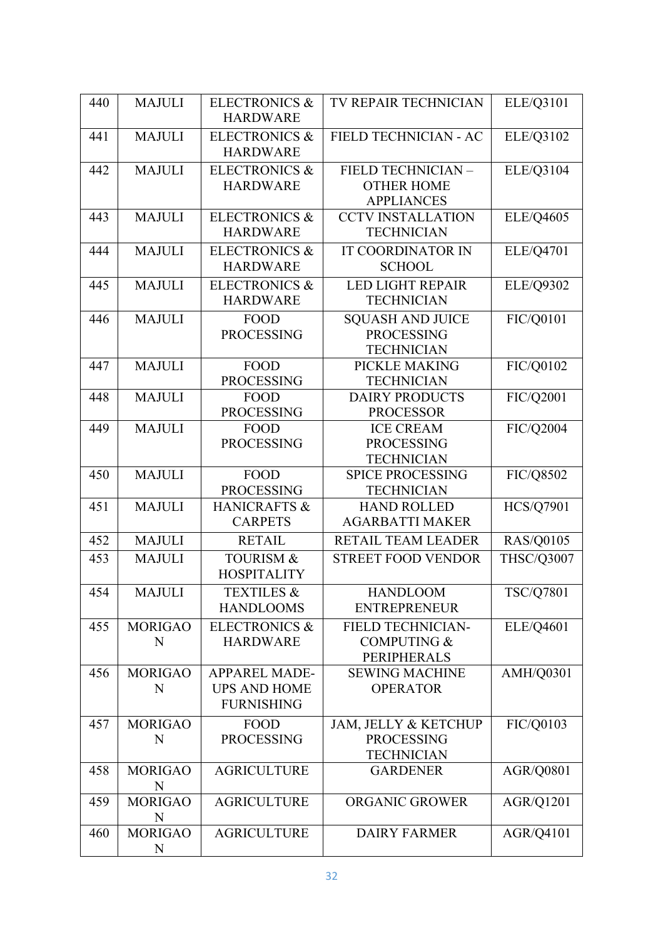| 440 | <b>MAJULI</b>       | <b>ELECTRONICS &amp;</b><br><b>HARDWARE</b>                      | TV REPAIR TECHNICIAN                                                      | ELE/Q3101         |
|-----|---------------------|------------------------------------------------------------------|---------------------------------------------------------------------------|-------------------|
| 441 | <b>MAJULI</b>       | <b>ELECTRONICS &amp;</b><br><b>HARDWARE</b>                      | FIELD TECHNICIAN - AC                                                     | ELE/Q3102         |
| 442 | <b>MAJULI</b>       | <b>ELECTRONICS &amp;</b><br><b>HARDWARE</b>                      | FIELD TECHNICIAN -<br><b>OTHER HOME</b><br><b>APPLIANCES</b>              | ELE/Q3104         |
| 443 | <b>MAJULI</b>       | <b>ELECTRONICS &amp;</b><br><b>HARDWARE</b>                      | <b>CCTV INSTALLATION</b><br><b>TECHNICIAN</b>                             | ELE/Q4605         |
| 444 | <b>MAJULI</b>       | <b>ELECTRONICS &amp;</b><br><b>HARDWARE</b>                      | <b>IT COORDINATOR IN</b><br><b>SCHOOL</b>                                 | ELE/Q4701         |
| 445 | <b>MAJULI</b>       | <b>ELECTRONICS &amp;</b><br><b>HARDWARE</b>                      | <b>LED LIGHT REPAIR</b><br><b>TECHNICIAN</b>                              | ELE/Q9302         |
| 446 | <b>MAJULI</b>       | <b>FOOD</b><br><b>PROCESSING</b>                                 | <b>SQUASH AND JUICE</b><br><b>PROCESSING</b><br><b>TECHNICIAN</b>         | FIC/Q0101         |
| 447 | <b>MAJULI</b>       | <b>FOOD</b><br><b>PROCESSING</b>                                 | PICKLE MAKING<br><b>TECHNICIAN</b>                                        | FIC/Q0102         |
| 448 | <b>MAJULI</b>       | <b>FOOD</b><br><b>PROCESSING</b>                                 | <b>DAIRY PRODUCTS</b><br><b>PROCESSOR</b>                                 | FIC/Q2001         |
| 449 | <b>MAJULI</b>       | <b>FOOD</b><br><b>PROCESSING</b>                                 | <b>ICE CREAM</b><br><b>PROCESSING</b><br><b>TECHNICIAN</b>                | FIC/Q2004         |
| 450 | <b>MAJULI</b>       | <b>FOOD</b><br><b>PROCESSING</b>                                 | <b>SPICE PROCESSING</b><br><b>TECHNICIAN</b>                              | FIC/Q8502         |
| 451 | <b>MAJULI</b>       | <b>HANICRAFTS &amp;</b><br><b>CARPETS</b>                        | <b>HAND ROLLED</b><br><b>AGARBATTI MAKER</b>                              | <b>HCS/Q7901</b>  |
| 452 | <b>MAJULI</b>       | <b>RETAIL</b>                                                    | <b>RETAIL TEAM LEADER</b>                                                 | RAS/Q0105         |
| 453 | <b>MAJULI</b>       | <b>TOURISM &amp;</b><br><b>HOSPITALITY</b>                       | <b>STREET FOOD VENDOR</b>                                                 | <b>THSC/Q3007</b> |
| 454 | <b>MAJULI</b>       | <b>TEXTILES &amp;</b><br><b>HANDLOOMS</b>                        | <b>HANDLOOM</b><br><b>ENTREPRENEUR</b>                                    | TSC/Q7801         |
| 455 | <b>MORIGAO</b><br>N | <b>ELECTRONICS &amp;</b><br><b>HARDWARE</b>                      | <b>FIELD TECHNICIAN-</b><br><b>COMPUTING &amp;</b><br>PERIPHERALS         | ELE/Q4601         |
| 456 | <b>MORIGAO</b><br>N | <b>APPAREL MADE-</b><br><b>UPS AND HOME</b><br><b>FURNISHING</b> | <b>SEWING MACHINE</b><br><b>OPERATOR</b>                                  | AMH/Q0301         |
| 457 | <b>MORIGAO</b><br>N | <b>FOOD</b><br><b>PROCESSING</b>                                 | <b>JAM, JELLY &amp; KETCHUP</b><br><b>PROCESSING</b><br><b>TECHNICIAN</b> | FIC/Q0103         |
| 458 | <b>MORIGAO</b><br>N | <b>AGRICULTURE</b>                                               | <b>GARDENER</b>                                                           | AGR/Q0801         |
| 459 | <b>MORIGAO</b><br>N | <b>AGRICULTURE</b>                                               | <b>ORGANIC GROWER</b>                                                     | AGR/Q1201         |
| 460 | <b>MORIGAO</b><br>N | <b>AGRICULTURE</b>                                               | <b>DAIRY FARMER</b>                                                       | AGR/Q4101         |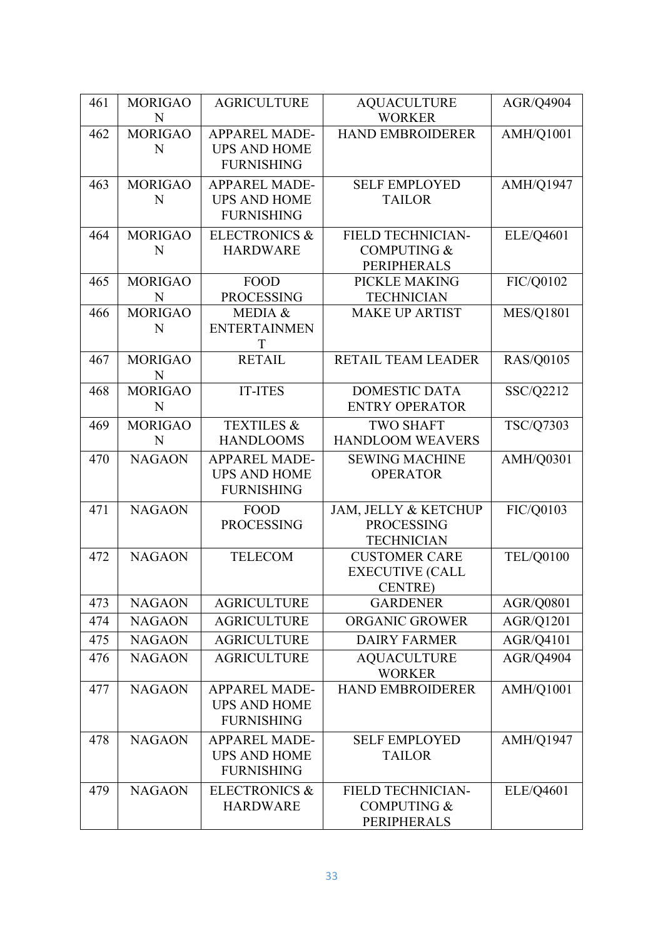| 461 | <b>MORIGAO</b><br>N | <b>AGRICULTURE</b>                          | <b>AQUACULTURE</b><br><b>WORKER</b>          | AGR/Q4904        |
|-----|---------------------|---------------------------------------------|----------------------------------------------|------------------|
| 462 | <b>MORIGAO</b>      | <b>APPAREL MADE-</b>                        | <b>HAND EMBROIDERER</b>                      | AMH/Q1001        |
|     | N                   | <b>UPS AND HOME</b>                         |                                              |                  |
|     |                     | <b>FURNISHING</b>                           |                                              |                  |
| 463 | <b>MORIGAO</b>      | <b>APPAREL MADE-</b>                        | <b>SELF EMPLOYED</b>                         | AMH/Q1947        |
|     | N                   | <b>UPS AND HOME</b>                         | <b>TAILOR</b>                                |                  |
|     |                     | <b>FURNISHING</b>                           |                                              |                  |
| 464 | <b>MORIGAO</b>      | <b>ELECTRONICS &amp;</b>                    | FIELD TECHNICIAN-                            | ELE/Q4601        |
|     | N                   | <b>HARDWARE</b>                             | <b>COMPUTING &amp;</b><br><b>PERIPHERALS</b> |                  |
| 465 | <b>MORIGAO</b>      | <b>FOOD</b>                                 | PICKLE MAKING                                | FIC/Q0102        |
|     | N                   | <b>PROCESSING</b>                           | <b>TECHNICIAN</b>                            |                  |
| 466 | <b>MORIGAO</b>      | MEDIA &                                     | <b>MAKE UP ARTIST</b>                        | <b>MES/Q1801</b> |
|     | N                   | <b>ENTERTAINMEN</b>                         |                                              |                  |
|     |                     | T                                           |                                              |                  |
| 467 | <b>MORIGAO</b><br>N | <b>RETAIL</b>                               | RETAIL TEAM LEADER                           | <b>RAS/Q0105</b> |
| 468 | <b>MORIGAO</b>      | <b>IT-ITES</b>                              | <b>DOMESTIC DATA</b>                         | SSC/Q2212        |
|     | N                   |                                             | <b>ENTRY OPERATOR</b>                        |                  |
| 469 | <b>MORIGAO</b>      | <b>TEXTILES &amp;</b>                       | <b>TWO SHAFT</b>                             | TSC/Q7303        |
|     | N                   | <b>HANDLOOMS</b>                            | <b>HANDLOOM WEAVERS</b>                      |                  |
| 470 | <b>NAGAON</b>       | <b>APPAREL MADE-</b>                        | <b>SEWING MACHINE</b>                        | AMH/Q0301        |
|     |                     | <b>UPS AND HOME</b><br><b>FURNISHING</b>    | <b>OPERATOR</b>                              |                  |
| 471 | <b>NAGAON</b>       | <b>FOOD</b>                                 | JAM, JELLY & KETCHUP                         | FIC/Q0103        |
|     |                     | <b>PROCESSING</b>                           | <b>PROCESSING</b>                            |                  |
|     |                     |                                             | <b>TECHNICIAN</b>                            |                  |
| 472 | <b>NAGAON</b>       | <b>TELECOM</b>                              | <b>CUSTOMER CARE</b>                         | <b>TEL/Q0100</b> |
|     |                     |                                             | <b>EXECUTIVE (CALL</b>                       |                  |
|     |                     |                                             | <b>CENTRE)</b>                               |                  |
| 473 | <b>NAGAON</b>       | <b>AGRICULTURE</b>                          | <b>GARDENER</b>                              | <b>AGR/Q0801</b> |
| 474 | <b>NAGAON</b>       | <b>AGRICULTURE</b>                          | <b>ORGANIC GROWER</b>                        | <b>AGR/Q1201</b> |
| 475 | <b>NAGAON</b>       | <b>AGRICULTURE</b>                          | <b>DAIRY FARMER</b>                          | AGR/Q4101        |
| 476 | <b>NAGAON</b>       | <b>AGRICULTURE</b>                          | <b>AQUACULTURE</b><br><b>WORKER</b>          | AGR/Q4904        |
| 477 | <b>NAGAON</b>       | <b>APPAREL MADE-</b>                        | <b>HAND EMBROIDERER</b>                      | AMH/Q1001        |
|     |                     | <b>UPS AND HOME</b>                         |                                              |                  |
|     |                     | <b>FURNISHING</b>                           |                                              |                  |
| 478 | <b>NAGAON</b>       | <b>APPAREL MADE-</b>                        | <b>SELF EMPLOYED</b>                         | <b>AMH/Q1947</b> |
|     |                     | <b>UPS AND HOME</b><br><b>FURNISHING</b>    | <b>TAILOR</b>                                |                  |
|     |                     |                                             |                                              |                  |
| 479 | <b>NAGAON</b>       | <b>ELECTRONICS &amp;</b><br><b>HARDWARE</b> | FIELD TECHNICIAN-<br>COMPUTING &             | <b>ELE/Q4601</b> |
|     |                     |                                             | PERIPHERALS                                  |                  |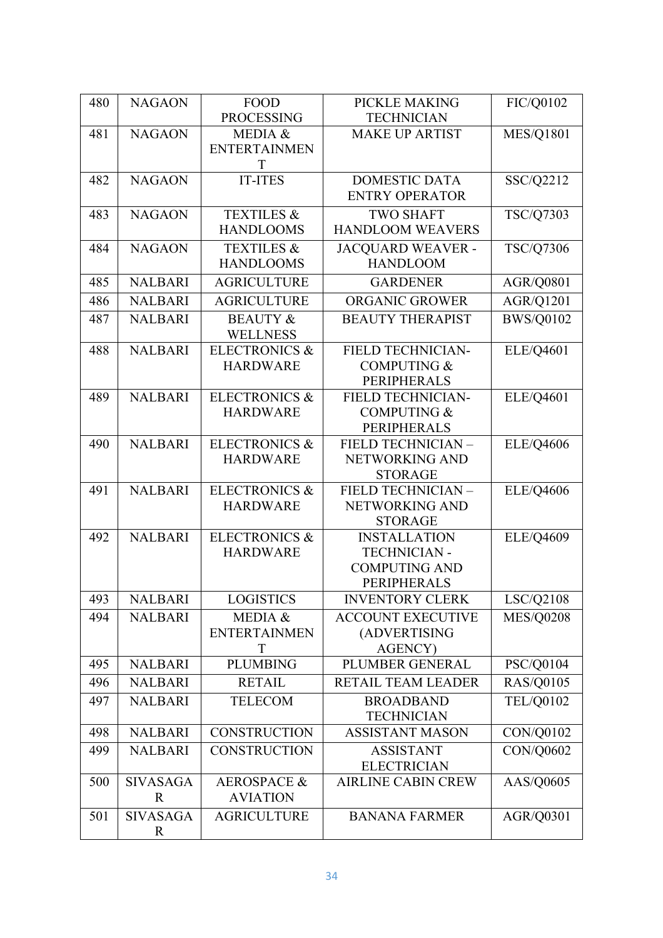| 480 | <b>NAGAON</b>   | <b>FOOD</b>              | PICKLE MAKING                    | FIC/Q0102        |
|-----|-----------------|--------------------------|----------------------------------|------------------|
|     |                 | <b>PROCESSING</b>        | <b>TECHNICIAN</b>                |                  |
| 481 | <b>NAGAON</b>   | MEDIA &                  | <b>MAKE UP ARTIST</b>            | <b>MES/Q1801</b> |
|     |                 | <b>ENTERTAINMEN</b>      |                                  |                  |
|     |                 | T                        |                                  |                  |
| 482 | <b>NAGAON</b>   | <b>IT-ITES</b>           | <b>DOMESTIC DATA</b>             | SSC/Q2212        |
|     |                 |                          | <b>ENTRY OPERATOR</b>            |                  |
| 483 | <b>NAGAON</b>   | <b>TEXTILES &amp;</b>    | <b>TWO SHAFT</b>                 | TSC/Q7303        |
|     |                 | <b>HANDLOOMS</b>         | <b>HANDLOOM WEAVERS</b>          |                  |
| 484 | <b>NAGAON</b>   | <b>TEXTILES &amp;</b>    | <b>JACQUARD WEAVER -</b>         | TSC/Q7306        |
|     |                 | <b>HANDLOOMS</b>         | <b>HANDLOOM</b>                  |                  |
| 485 | <b>NALBARI</b>  | <b>AGRICULTURE</b>       | <b>GARDENER</b>                  | <b>AGR/Q0801</b> |
| 486 | <b>NALBARI</b>  | <b>AGRICULTURE</b>       | ORGANIC GROWER                   | AGR/Q1201        |
| 487 | <b>NALBARI</b>  | <b>BEAUTY &amp;</b>      | <b>BEAUTY THERAPIST</b>          | <b>BWS/Q0102</b> |
|     |                 | <b>WELLNESS</b>          |                                  |                  |
| 488 | <b>NALBARI</b>  | <b>ELECTRONICS &amp;</b> | FIELD TECHNICIAN-                | ELE/Q4601        |
|     |                 | <b>HARDWARE</b>          | <b>COMPUTING &amp;</b>           |                  |
|     |                 |                          | <b>PERIPHERALS</b>               |                  |
| 489 | <b>NALBARI</b>  | <b>ELECTRONICS &amp;</b> | <b>FIELD TECHNICIAN-</b>         | ELE/Q4601        |
|     |                 | <b>HARDWARE</b>          | <b>COMPUTING &amp;</b>           |                  |
|     |                 |                          | <b>PERIPHERALS</b>               |                  |
| 490 | <b>NALBARI</b>  | <b>ELECTRONICS &amp;</b> | FIELD TECHNICIAN -               | <b>ELE/Q4606</b> |
|     |                 | <b>HARDWARE</b>          | NETWORKING AND                   |                  |
|     |                 |                          | <b>STORAGE</b>                   |                  |
| 491 | <b>NALBARI</b>  | <b>ELECTRONICS &amp;</b> | FIELD TECHNICIAN -               | ELE/Q4606        |
|     |                 | <b>HARDWARE</b>          | NETWORKING AND<br><b>STORAGE</b> |                  |
| 492 | <b>NALBARI</b>  | <b>ELECTRONICS &amp;</b> | <b>INSTALLATION</b>              | <b>ELE/Q4609</b> |
|     |                 | <b>HARDWARE</b>          | <b>TECHNICIAN -</b>              |                  |
|     |                 |                          | <b>COMPUTING AND</b>             |                  |
|     |                 |                          | <b>PERIPHERALS</b>               |                  |
| 493 | <b>NALBARI</b>  | <b>LOGISTICS</b>         | <b>INVENTORY CLERK</b>           | LSC/Q2108        |
| 494 | <b>NALBARI</b>  | MEDIA &                  | <b>ACCOUNT EXECUTIVE</b>         | <b>MES/Q0208</b> |
|     |                 | <b>ENTERTAINMEN</b>      | (ADVERTISING                     |                  |
|     |                 | T                        | <b>AGENCY)</b>                   |                  |
| 495 | <b>NALBARI</b>  | <b>PLUMBING</b>          | PLUMBER GENERAL                  | PSC/Q0104        |
| 496 | <b>NALBARI</b>  | <b>RETAIL</b>            | <b>RETAIL TEAM LEADER</b>        | RAS/Q0105        |
| 497 | <b>NALBARI</b>  | <b>TELECOM</b>           | <b>BROADBAND</b>                 | <b>TEL/Q0102</b> |
|     |                 |                          | <b>TECHNICIAN</b>                |                  |
| 498 | <b>NALBARI</b>  | <b>CONSTRUCTION</b>      | <b>ASSISTANT MASON</b>           | CON/Q0102        |
| 499 | <b>NALBARI</b>  | <b>CONSTRUCTION</b>      | <b>ASSISTANT</b>                 | CON/Q0602        |
|     |                 |                          | <b>ELECTRICIAN</b>               |                  |
| 500 | <b>SIVASAGA</b> | <b>AEROSPACE &amp;</b>   | <b>AIRLINE CABIN CREW</b>        | AAS/Q0605        |
|     | $\mathbf R$     | <b>AVIATION</b>          |                                  |                  |
| 501 | <b>SIVASAGA</b> | <b>AGRICULTURE</b>       | <b>BANANA FARMER</b>             | AGR/Q0301        |
|     | $\mathbf R$     |                          |                                  |                  |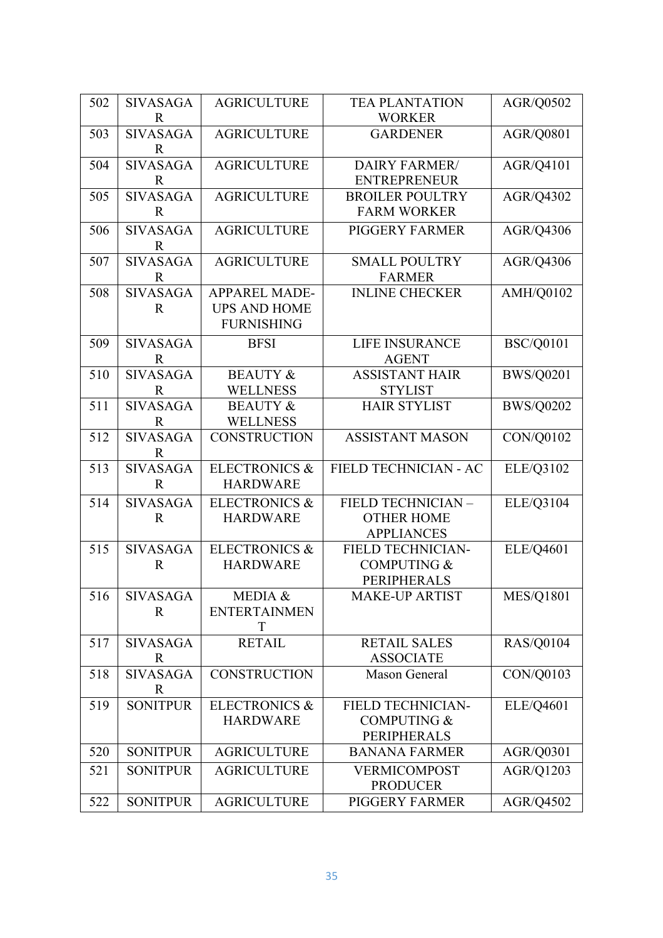| 502 | <b>SIVASAGA</b> | <b>AGRICULTURE</b>       | <b>TEA PLANTATION</b>    | AGR/Q0502        |
|-----|-----------------|--------------------------|--------------------------|------------------|
|     | R               |                          | <b>WORKER</b>            |                  |
| 503 | <b>SIVASAGA</b> | <b>AGRICULTURE</b>       | <b>GARDENER</b>          | AGR/Q0801        |
|     | $\mathbf R$     |                          |                          |                  |
| 504 | <b>SIVASAGA</b> | <b>AGRICULTURE</b>       | <b>DAIRY FARMER/</b>     | AGR/Q4101        |
|     | $\mathbf R$     |                          | <b>ENTREPRENEUR</b>      |                  |
| 505 | <b>SIVASAGA</b> | <b>AGRICULTURE</b>       | <b>BROILER POULTRY</b>   | AGR/Q4302        |
|     | $\mathbf R$     |                          | <b>FARM WORKER</b>       |                  |
| 506 | <b>SIVASAGA</b> | <b>AGRICULTURE</b>       | PIGGERY FARMER           | AGR/Q4306        |
|     | $\mathbf R$     |                          |                          |                  |
| 507 | <b>SIVASAGA</b> | <b>AGRICULTURE</b>       | <b>SMALL POULTRY</b>     | AGR/Q4306        |
|     | $\mathbf R$     |                          | <b>FARMER</b>            |                  |
| 508 | <b>SIVASAGA</b> | <b>APPAREL MADE-</b>     | <b>INLINE CHECKER</b>    | AMH/Q0102        |
|     | $\mathbf R$     | <b>UPS AND HOME</b>      |                          |                  |
|     |                 | <b>FURNISHING</b>        |                          |                  |
| 509 | <b>SIVASAGA</b> | <b>BFSI</b>              | <b>LIFE INSURANCE</b>    | <b>BSC/Q0101</b> |
|     | R               |                          | <b>AGENT</b>             |                  |
| 510 | <b>SIVASAGA</b> | <b>BEAUTY &amp;</b>      | <b>ASSISTANT HAIR</b>    | <b>BWS/Q0201</b> |
|     | $\mathbf R$     | <b>WELLNESS</b>          | <b>STYLIST</b>           |                  |
| 511 | <b>SIVASAGA</b> | <b>BEAUTY &amp;</b>      | <b>HAIR STYLIST</b>      | <b>BWS/Q0202</b> |
|     | $\mathbf R$     | <b>WELLNESS</b>          |                          |                  |
| 512 | <b>SIVASAGA</b> | <b>CONSTRUCTION</b>      | <b>ASSISTANT MASON</b>   | CON/Q0102        |
|     | $\mathbf R$     |                          |                          |                  |
| 513 | <b>SIVASAGA</b> | <b>ELECTRONICS &amp;</b> | FIELD TECHNICIAN - AC    | ELE/Q3102        |
|     | $\mathbf R$     | <b>HARDWARE</b>          |                          |                  |
| 514 | <b>SIVASAGA</b> | <b>ELECTRONICS &amp;</b> | FIELD TECHNICIAN -       | ELE/Q3104        |
|     | $\mathbf R$     | <b>HARDWARE</b>          | <b>OTHER HOME</b>        |                  |
|     |                 |                          | <b>APPLIANCES</b>        |                  |
| 515 | <b>SIVASAGA</b> | <b>ELECTRONICS &amp;</b> | FIELD TECHNICIAN-        | ELE/Q4601        |
|     | $\mathbf R$     | <b>HARDWARE</b>          | <b>COMPUTING &amp;</b>   |                  |
|     |                 |                          | <b>PERIPHERALS</b>       |                  |
| 516 | <b>SIVASAGA</b> | MEDIA &                  | <b>MAKE-UP ARTIST</b>    | <b>MES/Q1801</b> |
|     | $\mathbf R$     | <b>ENTERTAINMEN</b>      |                          |                  |
|     |                 | T                        |                          |                  |
| 517 | <b>SIVASAGA</b> | <b>RETAIL</b>            | <b>RETAIL SALES</b>      | <b>RAS/Q0104</b> |
|     | $\mathbf R$     |                          | <b>ASSOCIATE</b>         |                  |
| 518 | <b>SIVASAGA</b> | <b>CONSTRUCTION</b>      | Mason General            | CON/Q0103        |
|     | R               |                          |                          |                  |
| 519 | <b>SONITPUR</b> | <b>ELECTRONICS &amp;</b> | <b>FIELD TECHNICIAN-</b> | ELE/Q4601        |
|     |                 | <b>HARDWARE</b>          | <b>COMPUTING &amp;</b>   |                  |
|     |                 |                          | PERIPHERALS              |                  |
| 520 | <b>SONITPUR</b> | <b>AGRICULTURE</b>       | <b>BANANA FARMER</b>     | AGR/Q0301        |
| 521 | <b>SONITPUR</b> | <b>AGRICULTURE</b>       | <b>VERMICOMPOST</b>      | AGR/Q1203        |
|     |                 |                          | <b>PRODUCER</b>          |                  |
| 522 | <b>SONITPUR</b> | <b>AGRICULTURE</b>       | PIGGERY FARMER           | AGR/Q4502        |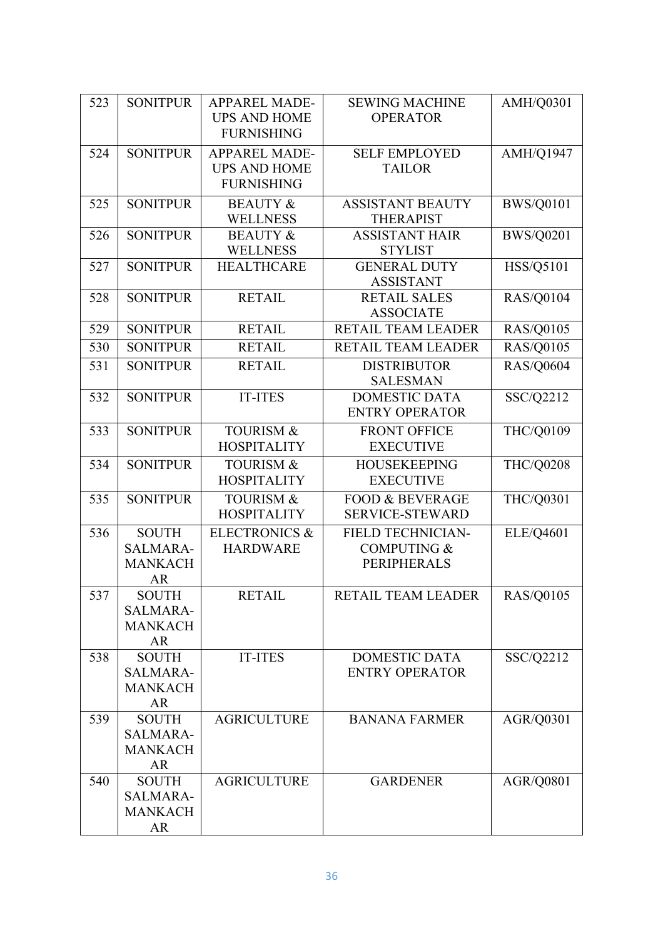| 523 | <b>SONITPUR</b>                                                | <b>APPAREL MADE-</b><br><b>UPS AND HOME</b><br><b>FURNISHING</b> | <b>SEWING MACHINE</b><br><b>OPERATOR</b>                                 | AMH/Q0301        |
|-----|----------------------------------------------------------------|------------------------------------------------------------------|--------------------------------------------------------------------------|------------------|
| 524 | <b>SONITPUR</b>                                                | <b>APPAREL MADE-</b><br><b>UPS AND HOME</b><br><b>FURNISHING</b> | <b>SELF EMPLOYED</b><br><b>TAILOR</b>                                    | <b>AMH/Q1947</b> |
| 525 | <b>SONITPUR</b>                                                | <b>BEAUTY &amp;</b><br><b>WELLNESS</b>                           | <b>ASSISTANT BEAUTY</b><br><b>THERAPIST</b>                              | <b>BWS/Q0101</b> |
| 526 | <b>SONITPUR</b>                                                | <b>BEAUTY &amp;</b><br><b>WELLNESS</b>                           | <b>ASSISTANT HAIR</b><br><b>STYLIST</b>                                  | <b>BWS/Q0201</b> |
| 527 | <b>SONITPUR</b>                                                | <b>HEALTHCARE</b>                                                | <b>GENERAL DUTY</b><br><b>ASSISTANT</b>                                  | HSS/Q5101        |
| 528 | <b>SONITPUR</b>                                                | <b>RETAIL</b>                                                    | <b>RETAIL SALES</b><br><b>ASSOCIATE</b>                                  | <b>RAS/Q0104</b> |
| 529 | <b>SONITPUR</b>                                                | <b>RETAIL</b>                                                    | RETAIL TEAM LEADER                                                       | <b>RAS/Q0105</b> |
| 530 | <b>SONITPUR</b>                                                | <b>RETAIL</b>                                                    | RETAIL TEAM LEADER                                                       | <b>RAS/Q0105</b> |
| 531 | <b>SONITPUR</b>                                                | <b>RETAIL</b>                                                    | <b>DISTRIBUTOR</b><br><b>SALESMAN</b>                                    | <b>RAS/Q0604</b> |
| 532 | <b>SONITPUR</b>                                                | <b>IT-ITES</b>                                                   | <b>DOMESTIC DATA</b><br><b>ENTRY OPERATOR</b>                            | SSC/Q2212        |
| 533 | <b>SONITPUR</b>                                                | <b>TOURISM &amp;</b><br><b>HOSPITALITY</b>                       | <b>FRONT OFFICE</b><br><b>EXECUTIVE</b>                                  | THC/Q0109        |
| 534 | <b>SONITPUR</b>                                                | <b>TOURISM &amp;</b><br><b>HOSPITALITY</b>                       | <b>HOUSEKEEPING</b><br><b>EXECUTIVE</b>                                  | THC/Q0208        |
| 535 | <b>SONITPUR</b>                                                | <b>TOURISM &amp;</b><br><b>HOSPITALITY</b>                       | <b>FOOD &amp; BEVERAGE</b><br><b>SERVICE-STEWARD</b>                     | THC/Q0301        |
| 536 | <b>SOUTH</b><br>SALMARA-<br><b>MANKACH</b><br><b>AR</b>        | <b>ELECTRONICS &amp;</b><br><b>HARDWARE</b>                      | <b>FIELD TECHNICIAN-</b><br><b>COMPUTING &amp;</b><br><b>PERIPHERALS</b> | ELE/Q4601        |
| 537 | <b>SOUTH</b><br><b>SALMARA-</b><br><b>MANKACH</b><br><b>AR</b> | <b>RETAIL</b>                                                    | RETAIL TEAM LEADER                                                       | <b>RAS/Q0105</b> |
| 538 | <b>SOUTH</b><br><b>SALMARA-</b><br><b>MANKACH</b><br><b>AR</b> | <b>IT-ITES</b>                                                   | <b>DOMESTIC DATA</b><br><b>ENTRY OPERATOR</b>                            | SSC/Q2212        |
| 539 | <b>SOUTH</b><br><b>SALMARA-</b><br><b>MANKACH</b><br>AR        | <b>AGRICULTURE</b>                                               | <b>BANANA FARMER</b>                                                     | AGR/Q0301        |
| 540 | <b>SOUTH</b><br>SALMARA-<br><b>MANKACH</b><br><b>AR</b>        | <b>AGRICULTURE</b>                                               | <b>GARDENER</b>                                                          | AGR/Q0801        |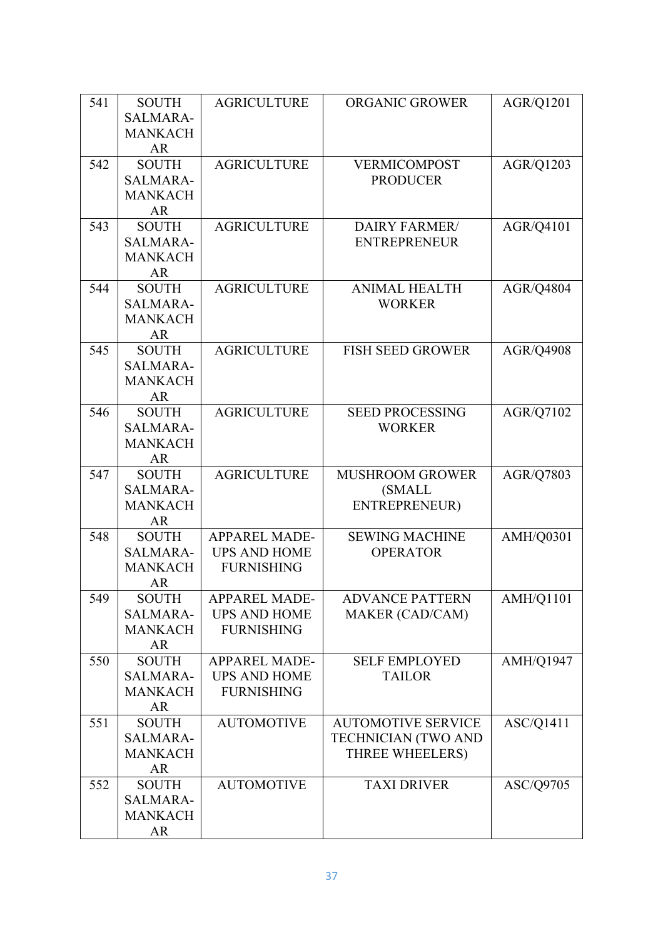| 541 | <b>SOUTH</b>              | <b>AGRICULTURE</b>   | <b>ORGANIC GROWER</b>     | AGR/Q1201        |
|-----|---------------------------|----------------------|---------------------------|------------------|
|     | <b>SALMARA-</b>           |                      |                           |                  |
|     | <b>MANKACH</b>            |                      |                           |                  |
|     | <b>AR</b>                 |                      |                           |                  |
| 542 | <b>SOUTH</b>              | <b>AGRICULTURE</b>   | <b>VERMICOMPOST</b>       | AGR/Q1203        |
|     | <b>SALMARA-</b>           |                      | <b>PRODUCER</b>           |                  |
|     | <b>MANKACH</b>            |                      |                           |                  |
|     | <b>AR</b>                 |                      |                           |                  |
| 543 | <b>SOUTH</b>              | <b>AGRICULTURE</b>   | <b>DAIRY FARMER/</b>      | AGR/Q4101        |
|     | <b>SALMARA-</b>           |                      | <b>ENTREPRENEUR</b>       |                  |
|     | <b>MANKACH</b>            |                      |                           |                  |
|     | <b>AR</b>                 |                      |                           |                  |
| 544 | <b>SOUTH</b>              | <b>AGRICULTURE</b>   | <b>ANIMAL HEALTH</b>      | <b>AGR/Q4804</b> |
|     | <b>SALMARA-</b>           |                      | <b>WORKER</b>             |                  |
|     | <b>MANKACH</b>            |                      |                           |                  |
|     | <b>AR</b>                 |                      |                           |                  |
| 545 | <b>SOUTH</b>              | <b>AGRICULTURE</b>   | <b>FISH SEED GROWER</b>   | AGR/Q4908        |
|     | <b>SALMARA-</b>           |                      |                           |                  |
|     | <b>MANKACH</b>            |                      |                           |                  |
|     | <b>AR</b>                 |                      |                           |                  |
| 546 | <b>SOUTH</b>              | <b>AGRICULTURE</b>   | <b>SEED PROCESSING</b>    | AGR/Q7102        |
|     | <b>SALMARA-</b>           |                      | <b>WORKER</b>             |                  |
|     | <b>MANKACH</b>            |                      |                           |                  |
|     | <b>AR</b>                 |                      |                           |                  |
| 547 | <b>SOUTH</b>              | <b>AGRICULTURE</b>   | MUSHROOM GROWER           | <b>AGR/Q7803</b> |
|     | <b>SALMARA-</b>           |                      | (SMALL                    |                  |
|     | <b>MANKACH</b>            |                      | ENTREPRENEUR)             |                  |
|     | <b>AR</b>                 |                      |                           |                  |
| 548 | <b>SOUTH</b>              | <b>APPAREL MADE-</b> | <b>SEWING MACHINE</b>     | AMH/Q0301        |
|     | <b>SALMARA-</b>           | <b>UPS AND HOME</b>  | <b>OPERATOR</b>           |                  |
|     | <b>MANKACH</b>            | <b>FURNISHING</b>    |                           |                  |
|     | <b>AR</b>                 |                      |                           |                  |
| 549 | <b>SOUTH</b>              | <b>APPAREL MADE-</b> | <b>ADVANCE PATTERN</b>    | <b>AMH/Q1101</b> |
|     | SALMARA-                  | <b>UPS AND HOME</b>  | MAKER (CAD/CAM)           |                  |
|     | <b>MANKACH</b>            | <b>FURNISHING</b>    |                           |                  |
|     | <b>AR</b>                 |                      |                           |                  |
| 550 | <b>SOUTH</b>              | <b>APPAREL MADE-</b> | <b>SELF EMPLOYED</b>      | <b>AMH/Q1947</b> |
|     | SALMARA-                  | <b>UPS AND HOME</b>  | <b>TAILOR</b>             |                  |
|     | <b>MANKACH</b>            | <b>FURNISHING</b>    |                           |                  |
| 551 | <b>AR</b><br><b>SOUTH</b> | <b>AUTOMOTIVE</b>    | <b>AUTOMOTIVE SERVICE</b> |                  |
|     | SALMARA-                  |                      | TECHNICIAN (TWO AND       | ASC/Q1411        |
|     | <b>MANKACH</b>            |                      |                           |                  |
|     | AR                        |                      | THREE WHEELERS)           |                  |
| 552 | <b>SOUTH</b>              | <b>AUTOMOTIVE</b>    | <b>TAXI DRIVER</b>        | ASC/Q9705        |
|     | SALMARA-                  |                      |                           |                  |
|     | <b>MANKACH</b>            |                      |                           |                  |
|     | <b>AR</b>                 |                      |                           |                  |
|     |                           |                      |                           |                  |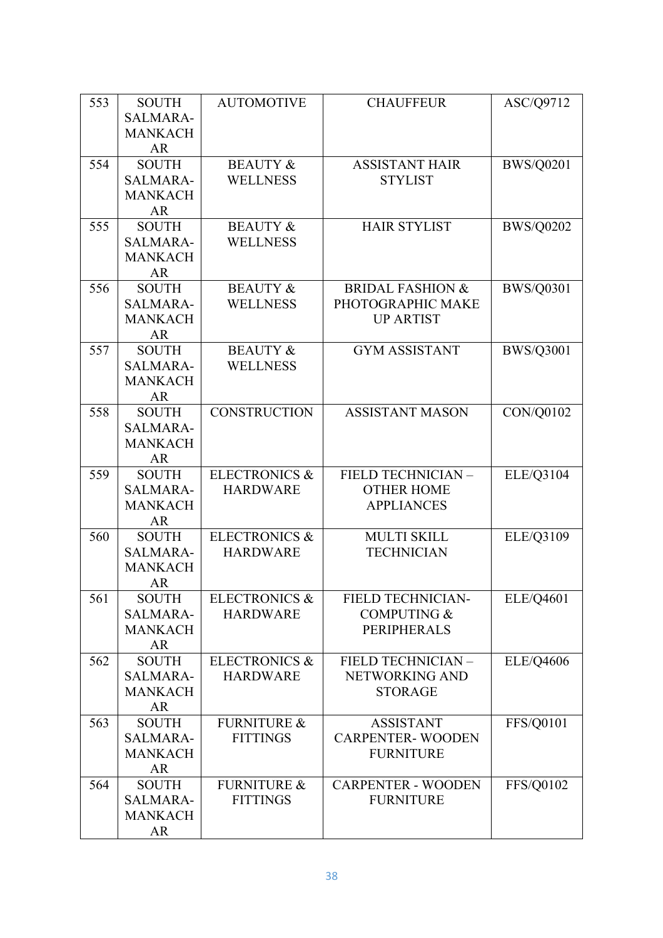| 553 | <b>SOUTH</b>             | <b>AUTOMOTIVE</b>        | <b>CHAUFFEUR</b>                     | ASC/Q9712        |
|-----|--------------------------|--------------------------|--------------------------------------|------------------|
|     | <b>SALMARA-</b>          |                          |                                      |                  |
|     | <b>MANKACH</b>           |                          |                                      |                  |
|     | AR                       |                          |                                      |                  |
| 554 | <b>SOUTH</b>             | <b>BEAUTY &amp;</b>      | <b>ASSISTANT HAIR</b>                | <b>BWS/Q0201</b> |
|     | <b>SALMARA-</b>          | <b>WELLNESS</b>          | <b>STYLIST</b>                       |                  |
|     | <b>MANKACH</b>           |                          |                                      |                  |
|     | <b>AR</b>                |                          |                                      |                  |
| 555 | <b>SOUTH</b>             | <b>BEAUTY &amp;</b>      | <b>HAIR STYLIST</b>                  | <b>BWS/Q0202</b> |
|     | <b>SALMARA-</b>          | <b>WELLNESS</b>          |                                      |                  |
|     | <b>MANKACH</b>           |                          |                                      |                  |
|     | <b>AR</b>                |                          |                                      |                  |
| 556 | <b>SOUTH</b>             | <b>BEAUTY &amp;</b>      | <b>BRIDAL FASHION &amp;</b>          | <b>BWS/Q0301</b> |
|     | <b>SALMARA-</b>          | <b>WELLNESS</b>          | PHOTOGRAPHIC MAKE                    |                  |
|     | <b>MANKACH</b>           |                          | <b>UP ARTIST</b>                     |                  |
|     | AR                       |                          |                                      |                  |
| 557 | <b>SOUTH</b>             | <b>BEAUTY &amp;</b>      | <b>GYM ASSISTANT</b>                 | <b>BWS/Q3001</b> |
|     | <b>SALMARA-</b>          | <b>WELLNESS</b>          |                                      |                  |
|     | <b>MANKACH</b>           |                          |                                      |                  |
|     | <b>AR</b>                |                          |                                      |                  |
| 558 | <b>SOUTH</b>             | <b>CONSTRUCTION</b>      | <b>ASSISTANT MASON</b>               | CON/Q0102        |
|     | <b>SALMARA-</b>          |                          |                                      |                  |
|     | <b>MANKACH</b>           |                          |                                      |                  |
|     | <b>AR</b>                |                          |                                      |                  |
| 559 | <b>SOUTH</b>             | <b>ELECTRONICS &amp;</b> | FIELD TECHNICIAN -                   | ELE/Q3104        |
|     | <b>SALMARA-</b>          | <b>HARDWARE</b>          | <b>OTHER HOME</b>                    |                  |
|     | <b>MANKACH</b>           |                          | <b>APPLIANCES</b>                    |                  |
|     | AR                       |                          |                                      |                  |
| 560 | <b>SOUTH</b>             | <b>ELECTRONICS &amp;</b> | <b>MULTI SKILL</b>                   | ELE/Q3109        |
|     | <b>SALMARA-</b>          | <b>HARDWARE</b>          | <b>TECHNICIAN</b>                    |                  |
|     | <b>MANKACH</b>           |                          |                                      |                  |
|     | <b>AR</b>                |                          |                                      |                  |
| 561 | <b>SOUTH</b>             | <b>ELECTRONICS &amp;</b> | <b>FIELD TECHNICIAN-</b>             | ELE/Q4601        |
|     | SALMARA-                 | <b>HARDWARE</b>          | <b>COMPUTING &amp;</b>               |                  |
|     | <b>MANKACH</b>           |                          | <b>PERIPHERALS</b>                   |                  |
| 562 | <b>AR</b>                | <b>ELECTRONICS &amp;</b> |                                      |                  |
|     | <b>SOUTH</b><br>SALMARA- | <b>HARDWARE</b>          | FIELD TECHNICIAN -<br>NETWORKING AND | <b>ELE/Q4606</b> |
|     | <b>MANKACH</b>           |                          | <b>STORAGE</b>                       |                  |
|     | AR                       |                          |                                      |                  |
| 563 | <b>SOUTH</b>             | <b>FURNITURE &amp;</b>   | <b>ASSISTANT</b>                     | <b>FFS/Q0101</b> |
|     | SALMARA-                 | <b>FITTINGS</b>          | <b>CARPENTER-WOODEN</b>              |                  |
|     | <b>MANKACH</b>           |                          | <b>FURNITURE</b>                     |                  |
|     | AR                       |                          |                                      |                  |
| 564 | <b>SOUTH</b>             | <b>FURNITURE &amp;</b>   | <b>CARPENTER - WOODEN</b>            | FFS/Q0102        |
|     | SALMARA-                 | <b>FITTINGS</b>          | <b>FURNITURE</b>                     |                  |
|     | <b>MANKACH</b>           |                          |                                      |                  |
|     | <b>AR</b>                |                          |                                      |                  |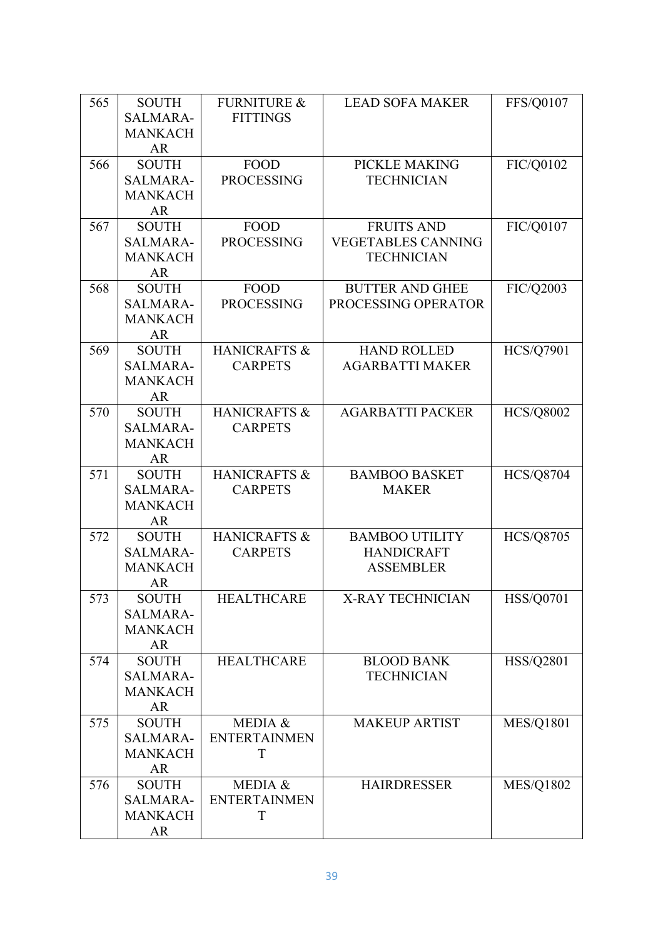| 565 | <b>SOUTH</b>       | <b>FURNITURE &amp;</b> | <b>LEAD SOFA MAKER</b>    | <b>FFS/Q0107</b> |
|-----|--------------------|------------------------|---------------------------|------------------|
|     | <b>SALMARA-</b>    | <b>FITTINGS</b>        |                           |                  |
|     | <b>MANKACH</b>     |                        |                           |                  |
|     | <b>AR</b>          |                        |                           |                  |
| 566 | <b>SOUTH</b>       | <b>FOOD</b>            | PICKLE MAKING             | FIC/Q0102        |
|     | <b>SALMARA-</b>    | <b>PROCESSING</b>      | <b>TECHNICIAN</b>         |                  |
|     | <b>MANKACH</b>     |                        |                           |                  |
|     | <b>AR</b>          |                        |                           |                  |
| 567 | <b>SOUTH</b>       | <b>FOOD</b>            | <b>FRUITS AND</b>         | FIC/Q0107        |
|     | <b>SALMARA-</b>    | <b>PROCESSING</b>      | <b>VEGETABLES CANNING</b> |                  |
|     | <b>MANKACH</b>     |                        | <b>TECHNICIAN</b>         |                  |
|     | <b>AR</b>          |                        |                           |                  |
| 568 | <b>SOUTH</b>       | <b>FOOD</b>            | <b>BUTTER AND GHEE</b>    | FIC/Q2003        |
|     | <b>SALMARA-</b>    | <b>PROCESSING</b>      | PROCESSING OPERATOR       |                  |
|     | <b>MANKACH</b>     |                        |                           |                  |
|     | AR                 |                        |                           |                  |
| 569 | <b>SOUTH</b>       | HANICRAFTS &           | <b>HAND ROLLED</b>        | <b>HCS/Q7901</b> |
|     | <b>SALMARA-</b>    | <b>CARPETS</b>         | <b>AGARBATTI MAKER</b>    |                  |
|     | <b>MANKACH</b>     |                        |                           |                  |
|     | <b>AR</b>          |                        |                           |                  |
| 570 | <b>SOUTH</b>       | HANICRAFTS &           | <b>AGARBATTI PACKER</b>   | <b>HCS/Q8002</b> |
|     | <b>SALMARA-</b>    | <b>CARPETS</b>         |                           |                  |
|     | <b>MANKACH</b>     |                        |                           |                  |
|     | <b>AR</b>          |                        |                           |                  |
| 571 | <b>SOUTH</b>       | HANICRAFTS &           | <b>BAMBOO BASKET</b>      | <b>HCS/Q8704</b> |
|     | <b>SALMARA-</b>    | <b>CARPETS</b>         | <b>MAKER</b>              |                  |
|     | <b>MANKACH</b>     |                        |                           |                  |
|     | <b>AR</b>          |                        |                           |                  |
| 572 | <b>SOUTH</b>       | HANICRAFTS &           | <b>BAMBOO UTILITY</b>     | <b>HCS/Q8705</b> |
|     | <b>SALMARA-</b>    | <b>CARPETS</b>         | <b>HANDICRAFT</b>         |                  |
|     | <b>MANKACH</b>     |                        | <b>ASSEMBLER</b>          |                  |
|     | <b>AR</b>          |                        |                           |                  |
| 573 | <b>SOUTH</b>       | <b>HEALTHCARE</b>      | X-RAY TECHNICIAN          | <b>HSS/Q0701</b> |
|     | SALMARA-           |                        |                           |                  |
|     | <b>MANKACH</b>     |                        |                           |                  |
|     | AR                 |                        |                           |                  |
| 574 | <b>SOUTH</b>       | <b>HEALTHCARE</b>      | <b>BLOOD BANK</b>         | HSS/Q2801        |
|     | SALMARA-           |                        | <b>TECHNICIAN</b>         |                  |
|     | <b>MANKACH</b>     |                        |                           |                  |
|     | <b>AR</b>          |                        |                           |                  |
| 575 | <b>SOUTH</b>       | MEDIA &                | <b>MAKEUP ARTIST</b>      | <b>MES/Q1801</b> |
|     | SALMARA-           | <b>ENTERTAINMEN</b>    |                           |                  |
|     | <b>MANKACH</b>     | T                      |                           |                  |
|     | AR<br><b>SOUTH</b> | MEDIA &                |                           |                  |
| 576 |                    |                        | <b>HAIRDRESSER</b>        | <b>MES/Q1802</b> |
|     | SALMARA-           | <b>ENTERTAINMEN</b>    |                           |                  |
|     | <b>MANKACH</b>     | T                      |                           |                  |
|     | AR                 |                        |                           |                  |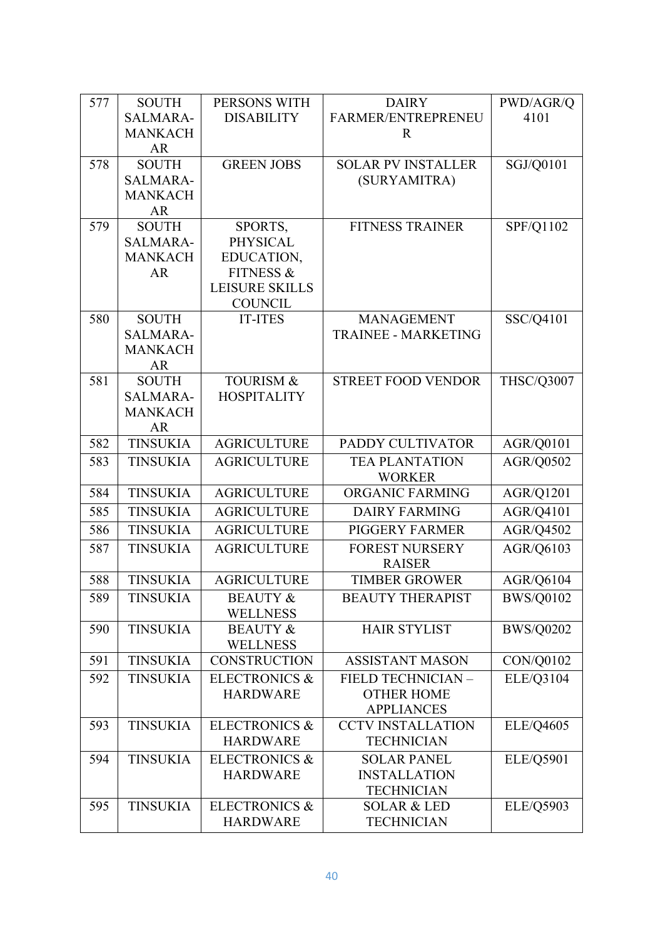| 577 | <b>SOUTH</b>    | PERSONS WITH                            | <b>DAIRY</b>               | PWD/AGR/Q         |
|-----|-----------------|-----------------------------------------|----------------------------|-------------------|
|     | <b>SALMARA-</b> | <b>DISABILITY</b>                       | FARMER/ENTREPRENEU         | 4101              |
|     | <b>MANKACH</b>  |                                         | $\mathbf R$                |                   |
|     | AR              |                                         |                            |                   |
| 578 | <b>SOUTH</b>    | <b>GREEN JOBS</b>                       | <b>SOLAR PV INSTALLER</b>  | SGJ/Q0101         |
|     | <b>SALMARA-</b> |                                         | (SURYAMITRA)               |                   |
|     | <b>MANKACH</b>  |                                         |                            |                   |
|     | <b>AR</b>       |                                         |                            |                   |
| 579 | <b>SOUTH</b>    | SPORTS,                                 | <b>FITNESS TRAINER</b>     | SPF/Q1102         |
|     | <b>SALMARA-</b> | <b>PHYSICAL</b>                         |                            |                   |
|     | <b>MANKACH</b>  | EDUCATION,                              |                            |                   |
|     | <b>AR</b>       | <b>FITNESS &amp;</b>                    |                            |                   |
|     |                 | <b>LEISURE SKILLS</b><br><b>COUNCIL</b> |                            |                   |
| 580 | <b>SOUTH</b>    | <b>IT-ITES</b>                          | <b>MANAGEMENT</b>          | SSC/Q4101         |
|     | <b>SALMARA-</b> |                                         | <b>TRAINEE - MARKETING</b> |                   |
|     | <b>MANKACH</b>  |                                         |                            |                   |
|     | <b>AR</b>       |                                         |                            |                   |
| 581 | <b>SOUTH</b>    | <b>TOURISM &amp;</b>                    | <b>STREET FOOD VENDOR</b>  | <b>THSC/Q3007</b> |
|     | <b>SALMARA-</b> | <b>HOSPITALITY</b>                      |                            |                   |
|     | <b>MANKACH</b>  |                                         |                            |                   |
|     | <b>AR</b>       |                                         |                            |                   |
| 582 | <b>TINSUKIA</b> | <b>AGRICULTURE</b>                      | PADDY CULTIVATOR           | AGR/Q0101         |
| 583 | <b>TINSUKIA</b> | <b>AGRICULTURE</b>                      | <b>TEA PLANTATION</b>      | AGR/Q0502         |
|     |                 |                                         | <b>WORKER</b>              |                   |
| 584 | <b>TINSUKIA</b> | <b>AGRICULTURE</b>                      | ORGANIC FARMING            | AGR/Q1201         |
| 585 | <b>TINSUKIA</b> | <b>AGRICULTURE</b>                      | <b>DAIRY FARMING</b>       | AGR/Q4101         |
| 586 | <b>TINSUKIA</b> | <b>AGRICULTURE</b>                      | PIGGERY FARMER             | AGR/Q4502         |
| 587 | <b>TINSUKIA</b> | <b>AGRICULTURE</b>                      | <b>FOREST NURSERY</b>      | AGR/Q6103         |
|     |                 |                                         | <b>RAISER</b>              |                   |
| 588 | <b>TINSUKIA</b> | <b>AGRICULTURE</b>                      | <b>TIMBER GROWER</b>       | AGR/Q6104         |
| 589 | <b>TINSUKIA</b> | <b>BEAUTY &amp;</b>                     | <b>BEAUTY THERAPIST</b>    | <b>BWS/Q0102</b>  |
|     |                 | <b>WELLNESS</b>                         |                            |                   |
| 590 | <b>TINSUKIA</b> | <b>BEAUTY &amp;</b>                     | <b>HAIR STYLIST</b>        | <b>BWS/Q0202</b>  |
|     |                 | <b>WELLNESS</b>                         |                            |                   |
| 591 | <b>TINSUKIA</b> | <b>CONSTRUCTION</b>                     | <b>ASSISTANT MASON</b>     | CON/Q0102         |
| 592 | <b>TINSUKIA</b> | <b>ELECTRONICS &amp;</b>                | FIELD TECHNICIAN -         | ELE/Q3104         |
|     |                 | <b>HARDWARE</b>                         | <b>OTHER HOME</b>          |                   |
|     |                 |                                         | <b>APPLIANCES</b>          |                   |
| 593 | <b>TINSUKIA</b> | <b>ELECTRONICS &amp;</b>                | <b>CCTV INSTALLATION</b>   | ELE/Q4605         |
|     |                 | <b>HARDWARE</b>                         | <b>TECHNICIAN</b>          |                   |
| 594 | <b>TINSUKIA</b> | <b>ELECTRONICS &amp;</b>                | <b>SOLAR PANEL</b>         | ELE/Q5901         |
|     |                 | <b>HARDWARE</b>                         | <b>INSTALLATION</b>        |                   |
|     |                 |                                         | <b>TECHNICIAN</b>          |                   |
| 595 | <b>TINSUKIA</b> | <b>ELECTRONICS &amp;</b>                | <b>SOLAR &amp; LED</b>     | ELE/Q5903         |
|     |                 | <b>HARDWARE</b>                         | <b>TECHNICIAN</b>          |                   |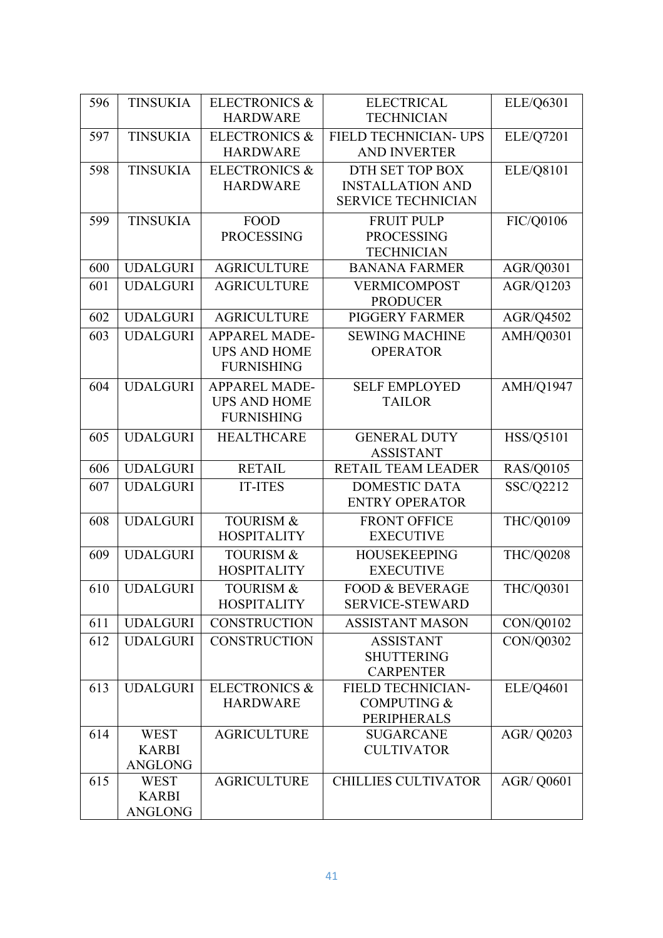| 596 | <b>TINSUKIA</b> | <b>ELECTRONICS &amp;</b>                    | <b>ELECTRICAL</b>                                  | ELE/Q6301         |
|-----|-----------------|---------------------------------------------|----------------------------------------------------|-------------------|
|     |                 | <b>HARDWARE</b>                             | <b>TECHNICIAN</b>                                  |                   |
| 597 | <b>TINSUKIA</b> | <b>ELECTRONICS &amp;</b>                    | FIELD TECHNICIAN- UPS                              | ELE/Q7201         |
|     |                 | <b>HARDWARE</b>                             | <b>AND INVERTER</b>                                |                   |
| 598 | <b>TINSUKIA</b> | <b>ELECTRONICS &amp;</b>                    | DTH SET TOP BOX                                    | ELE/Q8101         |
|     |                 | <b>HARDWARE</b>                             | <b>INSTALLATION AND</b>                            |                   |
|     |                 |                                             | <b>SERVICE TECHNICIAN</b>                          |                   |
| 599 | <b>TINSUKIA</b> | <b>FOOD</b>                                 | <b>FRUIT PULP</b>                                  | FIC/Q0106         |
|     |                 | <b>PROCESSING</b>                           | <b>PROCESSING</b>                                  |                   |
| 600 | <b>UDALGURI</b> | <b>AGRICULTURE</b>                          | <b>TECHNICIAN</b><br><b>BANANA FARMER</b>          |                   |
|     |                 |                                             |                                                    | AGR/Q0301         |
| 601 | <b>UDALGURI</b> | <b>AGRICULTURE</b>                          | <b>VERMICOMPOST</b><br><b>PRODUCER</b>             | AGR/Q1203         |
| 602 | <b>UDALGURI</b> | <b>AGRICULTURE</b>                          | <b>PIGGERY FARMER</b>                              | AGR/Q4502         |
| 603 | <b>UDALGURI</b> | APPAREL MADE-                               | <b>SEWING MACHINE</b>                              | AMH/Q0301         |
|     |                 | <b>UPS AND HOME</b>                         | <b>OPERATOR</b>                                    |                   |
|     |                 | <b>FURNISHING</b>                           |                                                    |                   |
| 604 | <b>UDALGURI</b> | <b>APPAREL MADE-</b>                        | <b>SELF EMPLOYED</b>                               | <b>AMH/Q1947</b>  |
|     |                 | <b>UPS AND HOME</b>                         | <b>TAILOR</b>                                      |                   |
|     |                 | <b>FURNISHING</b>                           |                                                    |                   |
| 605 | <b>UDALGURI</b> | <b>HEALTHCARE</b>                           | <b>GENERAL DUTY</b>                                | HSS/Q5101         |
|     |                 |                                             | <b>ASSISTANT</b>                                   |                   |
| 606 | <b>UDALGURI</b> | <b>RETAIL</b>                               | <b>RETAIL TEAM LEADER</b>                          | <b>RAS/Q0105</b>  |
| 607 | <b>UDALGURI</b> | <b>IT-ITES</b>                              | <b>DOMESTIC DATA</b>                               | SSC/Q2212         |
|     |                 |                                             | <b>ENTRY OPERATOR</b>                              |                   |
| 608 | <b>UDALGURI</b> | <b>TOURISM &amp;</b>                        | <b>FRONT OFFICE</b>                                | THC/Q0109         |
|     |                 | <b>HOSPITALITY</b>                          | <b>EXECUTIVE</b>                                   |                   |
| 609 | <b>UDALGURI</b> | <b>TOURISM &amp;</b>                        | <b>HOUSEKEEPING</b>                                | <b>THC/Q0208</b>  |
|     |                 | <b>HOSPITALITY</b>                          | <b>EXECUTIVE</b>                                   |                   |
| 610 | <b>UDALGURI</b> | <b>TOURISM &amp;</b>                        | <b>FOOD &amp; BEVERAGE</b>                         | <b>THC/Q0301</b>  |
|     |                 | <b>HOSPITALITY</b>                          | <b>SERVICE-STEWARD</b>                             |                   |
| 611 | <b>UDALGURI</b> | <b>CONSTRUCTION</b>                         | <b>ASSISTANT MASON</b>                             | CON/Q0102         |
| 612 | <b>UDALGURI</b> | <b>CONSTRUCTION</b>                         | <b>ASSISTANT</b>                                   | CON/Q0302         |
|     |                 |                                             | <b>SHUTTERING</b>                                  |                   |
|     |                 |                                             | <b>CARPENTER</b>                                   |                   |
| 613 | <b>UDALGURI</b> | <b>ELECTRONICS &amp;</b><br><b>HARDWARE</b> | <b>FIELD TECHNICIAN-</b><br><b>COMPUTING &amp;</b> | ELE/Q4601         |
|     |                 |                                             | PERIPHERALS                                        |                   |
| 614 | <b>WEST</b>     | <b>AGRICULTURE</b>                          | <b>SUGARCANE</b>                                   | AGR/ Q0203        |
|     | <b>KARBI</b>    |                                             | <b>CULTIVATOR</b>                                  |                   |
|     | ANGLONG         |                                             |                                                    |                   |
| 615 | <b>WEST</b>     | <b>AGRICULTURE</b>                          | <b>CHILLIES CULTIVATOR</b>                         | <b>AGR/ Q0601</b> |
|     | <b>KARBI</b>    |                                             |                                                    |                   |
|     | ANGLONG         |                                             |                                                    |                   |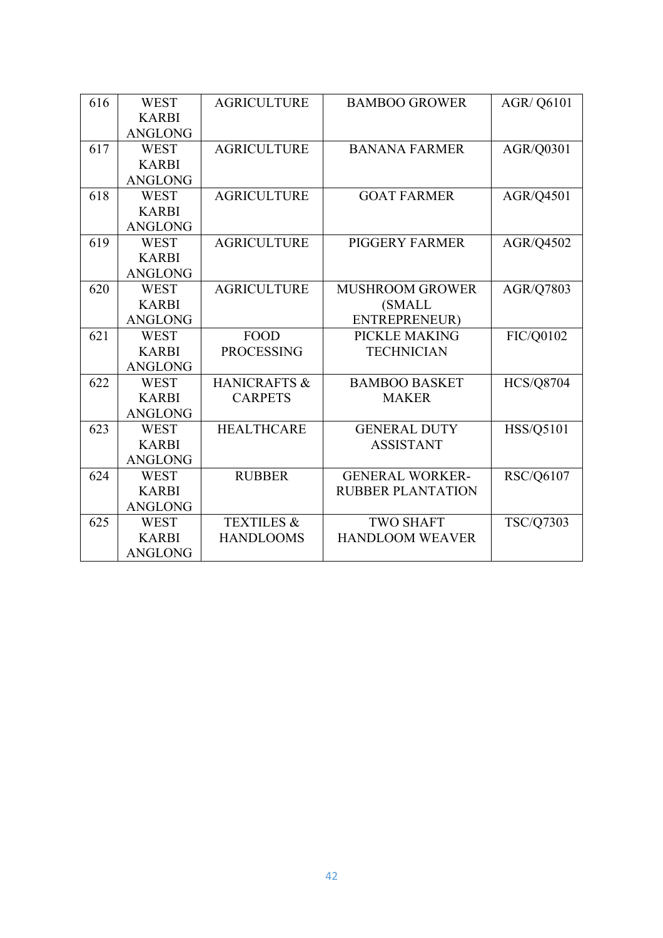|                |                                                                                                                                                                                                                                      |                                                                                                                                | <b>AGR/ Q6101</b>                                                                                                                                                                                          |
|----------------|--------------------------------------------------------------------------------------------------------------------------------------------------------------------------------------------------------------------------------------|--------------------------------------------------------------------------------------------------------------------------------|------------------------------------------------------------------------------------------------------------------------------------------------------------------------------------------------------------|
|                |                                                                                                                                                                                                                                      |                                                                                                                                |                                                                                                                                                                                                            |
|                |                                                                                                                                                                                                                                      |                                                                                                                                |                                                                                                                                                                                                            |
|                |                                                                                                                                                                                                                                      |                                                                                                                                |                                                                                                                                                                                                            |
|                |                                                                                                                                                                                                                                      |                                                                                                                                | AGR/Q0301                                                                                                                                                                                                  |
|                |                                                                                                                                                                                                                                      |                                                                                                                                |                                                                                                                                                                                                            |
|                |                                                                                                                                                                                                                                      |                                                                                                                                |                                                                                                                                                                                                            |
|                |                                                                                                                                                                                                                                      |                                                                                                                                | AGR/Q4501                                                                                                                                                                                                  |
|                |                                                                                                                                                                                                                                      |                                                                                                                                |                                                                                                                                                                                                            |
|                |                                                                                                                                                                                                                                      |                                                                                                                                |                                                                                                                                                                                                            |
| <b>WEST</b>    |                                                                                                                                                                                                                                      | <b>PIGGERY FARMER</b>                                                                                                          | AGR/Q4502                                                                                                                                                                                                  |
| <b>KARBI</b>   |                                                                                                                                                                                                                                      |                                                                                                                                |                                                                                                                                                                                                            |
| <b>ANGLONG</b> |                                                                                                                                                                                                                                      |                                                                                                                                |                                                                                                                                                                                                            |
| <b>WEST</b>    | <b>AGRICULTURE</b>                                                                                                                                                                                                                   | <b>MUSHROOM GROWER</b>                                                                                                         | AGR/Q7803                                                                                                                                                                                                  |
| <b>KARBI</b>   |                                                                                                                                                                                                                                      | (SMALL                                                                                                                         |                                                                                                                                                                                                            |
| <b>ANGLONG</b> |                                                                                                                                                                                                                                      | ENTREPRENEUR)                                                                                                                  |                                                                                                                                                                                                            |
| <b>WEST</b>    | <b>FOOD</b>                                                                                                                                                                                                                          | PICKLE MAKING                                                                                                                  | FIC/Q0102                                                                                                                                                                                                  |
| <b>KARBI</b>   | <b>PROCESSING</b>                                                                                                                                                                                                                    | <b>TECHNICIAN</b>                                                                                                              |                                                                                                                                                                                                            |
| <b>ANGLONG</b> |                                                                                                                                                                                                                                      |                                                                                                                                |                                                                                                                                                                                                            |
| <b>WEST</b>    | <b>HANICRAFTS &amp;</b>                                                                                                                                                                                                              | <b>BAMBOO BASKET</b>                                                                                                           | <b>HCS/Q8704</b>                                                                                                                                                                                           |
| <b>KARBI</b>   | <b>CARPETS</b>                                                                                                                                                                                                                       | <b>MAKER</b>                                                                                                                   |                                                                                                                                                                                                            |
|                |                                                                                                                                                                                                                                      |                                                                                                                                |                                                                                                                                                                                                            |
| <b>WEST</b>    | <b>HEALTHCARE</b>                                                                                                                                                                                                                    | <b>GENERAL DUTY</b>                                                                                                            | HSS/Q5101                                                                                                                                                                                                  |
| <b>KARBI</b>   |                                                                                                                                                                                                                                      | <b>ASSISTANT</b>                                                                                                               |                                                                                                                                                                                                            |
|                |                                                                                                                                                                                                                                      |                                                                                                                                |                                                                                                                                                                                                            |
| <b>WEST</b>    |                                                                                                                                                                                                                                      |                                                                                                                                | RSC/Q6107                                                                                                                                                                                                  |
|                |                                                                                                                                                                                                                                      |                                                                                                                                |                                                                                                                                                                                                            |
|                |                                                                                                                                                                                                                                      |                                                                                                                                |                                                                                                                                                                                                            |
|                |                                                                                                                                                                                                                                      |                                                                                                                                | TSC/Q7303                                                                                                                                                                                                  |
|                |                                                                                                                                                                                                                                      |                                                                                                                                |                                                                                                                                                                                                            |
|                |                                                                                                                                                                                                                                      |                                                                                                                                |                                                                                                                                                                                                            |
|                | <b>WEST</b><br><b>KARBI</b><br><b>ANGLONG</b><br><b>WEST</b><br><b>KARBI</b><br><b>ANGLONG</b><br><b>WEST</b><br><b>KARBI</b><br><b>ANGLONG</b><br><b>ANGLONG</b><br><b>ANGLONG</b><br><b>KARBI</b><br><b>ANGLONG</b><br><b>WEST</b> | <b>AGRICULTURE</b><br><b>AGRICULTURE</b><br><b>AGRICULTURE</b><br><b>AGRICULTURE</b><br><b>RUBBER</b><br><b>TEXTILES &amp;</b> | <b>BAMBOO GROWER</b><br><b>BANANA FARMER</b><br><b>GOAT FARMER</b><br><b>GENERAL WORKER-</b><br><b>RUBBER PLANTATION</b><br><b>TWO SHAFT</b><br><b>HANDLOOMS</b><br><b>HANDLOOM WEAVER</b><br><b>KARBI</b> |